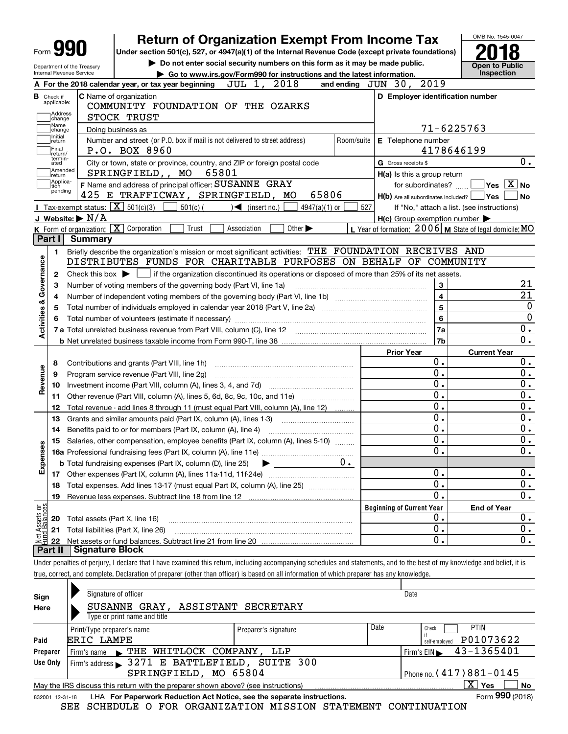|                           | Form <b>YYU</b>                                        | <b>Return of Organization Exempt From Income Tax</b><br>Under section 501(c), 527, or 4947(a)(1) of the Internal Revenue Code (except private foundations)                  |                                                                             |                                                                       | OMB No. 1545-0047                                   |
|---------------------------|--------------------------------------------------------|-----------------------------------------------------------------------------------------------------------------------------------------------------------------------------|-----------------------------------------------------------------------------|-----------------------------------------------------------------------|-----------------------------------------------------|
|                           |                                                        |                                                                                                                                                                             | Do not enter social security numbers on this form as it may be made public. |                                                                       |                                                     |
|                           | Department of the Treasury<br>Internal Revenue Service |                                                                                                                                                                             | ► Go to www.irs.gov/Form990 for instructions and the latest information.    |                                                                       | <b>Open to Public</b><br><b>Inspection</b>          |
|                           |                                                        | A For the 2018 calendar year, or tax year beginning                                                                                                                         | JUL 1, 2018                                                                 | and ending JUN 30, 2019                                               |                                                     |
| <b>B</b> Check if         | applicable:<br>Address<br> change                      | <b>C</b> Name of organization<br>COMMUNITY FOUNDATION OF THE OZARKS<br>STOCK TRUST                                                                                          |                                                                             | D Employer identification number                                      |                                                     |
|                           | Name<br>change                                         | Doing business as                                                                                                                                                           |                                                                             |                                                                       | 71-6225763                                          |
|                           | Initial<br>return<br>Final<br>return/                  | Number and street (or P.O. box if mail is not delivered to street address)<br>P.O. BOX 8960                                                                                 | Room/suite                                                                  | E Telephone number                                                    | 4178646199                                          |
|                           | termin-<br>ated                                        | City or town, state or province, country, and ZIP or foreign postal code                                                                                                    |                                                                             | G Gross receipts \$                                                   | 0.                                                  |
|                           | Amended<br>return                                      | SPRINGFIELD,, MO<br>65801                                                                                                                                                   |                                                                             | $H(a)$ is this a group return                                         |                                                     |
|                           | Applica-<br>tion<br>pending                            | F Name and address of principal officer: SUSANNE GRAY<br>425 E TRAFFICWAY, SPRINGFIELD, MO                                                                                  | 65806                                                                       | for subordinates?<br>$H(b)$ Are all subordinates included? $\Box$ Yes | $\sqrt{}$ Yes $\sqrt{}$ X $\sqrt{}$ No<br><b>No</b> |
|                           | Tax-exempt status: $\boxed{\mathbf{X}}$ 501(c)(3)      | $501(c)$ (<br>◀                                                                                                                                                             | (insert no.)<br>$4947(a)(1)$ or                                             | 527                                                                   | If "No," attach a list. (see instructions)          |
|                           | J Website: $\triangleright$ N/A                        |                                                                                                                                                                             |                                                                             | $H(c)$ Group exemption number $\blacktriangleright$                   |                                                     |
|                           | K Form of organization: $\boxed{\mathbf{X}}$<br>Part I | Corporation<br>Trust<br>Association                                                                                                                                         | Other $\blacktriangleright$                                                 | L Year of formation: $2006$ M State of legal domicile: MO             |                                                     |
|                           | Summary                                                |                                                                                                                                                                             |                                                                             |                                                                       |                                                     |
|                           | 1.                                                     | Briefly describe the organization's mission or most significant activities: THE FOUNDATION RECEIVES AND<br>DISTRIBUTES FUNDS FOR CHARITABLE PURPOSES ON BEHALF OF COMMUNITY |                                                                             |                                                                       |                                                     |
| Activities & Governance   | 2                                                      | Check this box $\blacktriangleright$ $\Box$ if the organization discontinued its operations or disposed of more than 25% of its net assets.                                 |                                                                             |                                                                       |                                                     |
|                           | З                                                      | Number of voting members of the governing body (Part VI, line 1a)                                                                                                           |                                                                             | $\mathbf{3}$                                                          | 21                                                  |
|                           | 4                                                      |                                                                                                                                                                             |                                                                             | $\overline{4}$                                                        | $\overline{21}$                                     |
|                           |                                                        |                                                                                                                                                                             |                                                                             | 5                                                                     | $\mathbf 0$                                         |
|                           |                                                        | Total number of volunteers (estimate if necessary)                                                                                                                          |                                                                             | 6                                                                     | $\overline{0}$                                      |
|                           |                                                        |                                                                                                                                                                             |                                                                             | 7a                                                                    | 0.                                                  |
|                           |                                                        |                                                                                                                                                                             |                                                                             | 7b                                                                    | $\overline{0}$ .                                    |
|                           |                                                        |                                                                                                                                                                             |                                                                             | <b>Prior Year</b>                                                     | <b>Current Year</b>                                 |
|                           | 8                                                      | Contributions and grants (Part VIII, line 1h)                                                                                                                               |                                                                             | Ο.                                                                    | 0.                                                  |
| Revenue                   | 9                                                      | Program service revenue (Part VIII, line 2g)                                                                                                                                |                                                                             | 0.                                                                    | 0.                                                  |
|                           | 10                                                     |                                                                                                                                                                             |                                                                             | 0.                                                                    | 0.                                                  |
|                           | 11                                                     | Other revenue (Part VIII, column (A), lines 5, 6d, 8c, 9c, 10c, and 11e)                                                                                                    |                                                                             | 0.                                                                    | 0.                                                  |
|                           | 12                                                     | Total revenue - add lines 8 through 11 (must equal Part VIII, column (A), line 12)                                                                                          |                                                                             | 0.                                                                    | 0.                                                  |
|                           | 13                                                     | Grants and similar amounts paid (Part IX, column (A), lines 1-3)                                                                                                            |                                                                             | 0.<br>0.                                                              | 0.                                                  |
|                           | 14                                                     | Benefits paid to or for members (Part IX, column (A), line 4)                                                                                                               |                                                                             | $\overline{0}$ .                                                      | 0.<br>$\overline{0}$ .                              |
| w                         |                                                        | 15 Salaries, other compensation, employee benefits (Part IX, column (A), lines 5-10)                                                                                        |                                                                             | 0.                                                                    | 0.                                                  |
| Expense                   |                                                        |                                                                                                                                                                             | $0 \cdot$                                                                   |                                                                       |                                                     |
|                           |                                                        | <b>b</b> Total fundraising expenses (Part IX, column (D), line 25)                                                                                                          |                                                                             | 0.                                                                    | 0.                                                  |
|                           | 18                                                     | Total expenses. Add lines 13-17 (must equal Part IX, column (A), line 25) [                                                                                                 |                                                                             | $\mathbf 0$ .                                                         | 0.                                                  |
|                           |                                                        |                                                                                                                                                                             |                                                                             | 0.                                                                    | $\overline{0}$ .                                    |
|                           |                                                        |                                                                                                                                                                             |                                                                             |                                                                       |                                                     |
|                           | 19                                                     |                                                                                                                                                                             |                                                                             |                                                                       |                                                     |
|                           |                                                        |                                                                                                                                                                             |                                                                             | <b>Beginning of Current Year</b><br>Ο.                                | <b>End of Year</b>                                  |
|                           | 20<br>Total assets (Part X, line 16)<br>21             | Total liabilities (Part X, line 26)                                                                                                                                         |                                                                             | 0.                                                                    | 0.                                                  |
| t Assets or<br>d Balances | 22                                                     |                                                                                                                                                                             |                                                                             | 0.                                                                    | $\overline{0}$ .<br>0.                              |
| 혏                         | <b>Signature Block</b><br>Part II                      |                                                                                                                                                                             |                                                                             |                                                                       |                                                     |
|                           |                                                        | Under penalties of perjury, I declare that I have examined this return, including accompanying schedules and statements, and to the best of my knowledge and belief, it is  |                                                                             |                                                                       |                                                     |
|                           |                                                        | true, correct, and complete. Declaration of preparer (other than officer) is based on all information of which preparer has any knowledge.                                  |                                                                             |                                                                       |                                                     |
|                           |                                                        | Signature of officer                                                                                                                                                        |                                                                             | Date                                                                  |                                                     |
| Sign<br>Here              |                                                        | ASSISTANT SECRETARY<br>SUSANNE GRAY,<br>Type or print name and title                                                                                                        |                                                                             |                                                                       |                                                     |

|                                                                                          | Print/Type preparer's name                   | Preparer's signature | υαιν                        | UIICUK<br>.                                     |  |  |  |  |  |  |  |
|------------------------------------------------------------------------------------------|----------------------------------------------|----------------------|-----------------------------|-------------------------------------------------|--|--|--|--|--|--|--|
| Paid                                                                                     | ERIC LAMPE                                   |                      |                             | P01073622<br>self-emploved                      |  |  |  |  |  |  |  |
| Preparer                                                                                 | THE WHITLOCK COMPANY, LLP<br>Firm's name     |                      |                             | $1$ Firm's EIN $\blacktriangleright$ 43-1365401 |  |  |  |  |  |  |  |
| Use Only                                                                                 | Firm's address 3271 E BATTLEFIELD, SUITE 300 |                      |                             |                                                 |  |  |  |  |  |  |  |
|                                                                                          | SPRINGFIELD, MO 65804                        |                      | Phone no. $(417)881 - 0145$ |                                                 |  |  |  |  |  |  |  |
| Yes<br>May the IRS discuss this return with the preparer shown above? (see instructions) |                                              |                      |                             |                                                 |  |  |  |  |  |  |  |
|                                                                                          | $F = 000 \text{ (0010)}$                     |                      |                             |                                                 |  |  |  |  |  |  |  |

|  |  | 832001_12-31-18  LHA_For Paperwork Reduction Act Notice, see the separate instructions. |  | Form 990 (2018) |
|--|--|-----------------------------------------------------------------------------------------|--|-----------------|
|  |  | SEE SCHEDULE O FOR ORGANIZATION MISSION STATEMENT CONTINUATION                          |  |                 |

**990**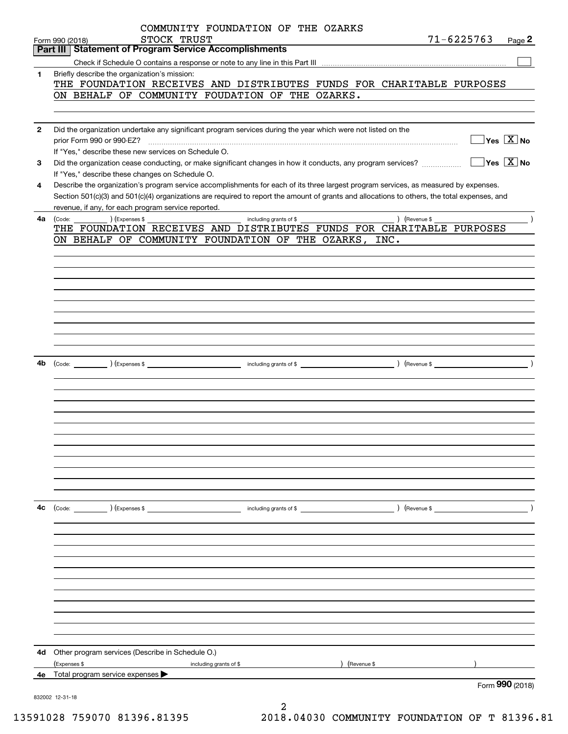|              | COMMUNITY FOUNDATION OF THE OZARKS<br>$71 - 6225763$<br>STOCK TRUST<br>Page 2<br>Form 990 (2018)                                                                |
|--------------|-----------------------------------------------------------------------------------------------------------------------------------------------------------------|
|              | <b>Statement of Program Service Accomplishments</b><br>Part III                                                                                                 |
|              |                                                                                                                                                                 |
| 1            | Briefly describe the organization's mission:                                                                                                                    |
|              | THE FOUNDATION RECEIVES AND DISTRIBUTES FUNDS FOR CHARITABLE PURPOSES                                                                                           |
|              | ON BEHALF OF COMMUNITY FOUDATION OF THE OZARKS.                                                                                                                 |
|              |                                                                                                                                                                 |
|              |                                                                                                                                                                 |
| $\mathbf{2}$ | Did the organization undertake any significant program services during the year which were not listed on the                                                    |
|              | $\Box$ Yes $[\overline{\mathrm{X}}]$ No<br>prior Form 990 or 990-EZ?                                                                                            |
|              | If "Yes," describe these new services on Schedule O.                                                                                                            |
| 3            | $\boxed{\phantom{1}}$ Yes $\boxed{\text{X}}$ No<br>Did the organization cease conducting, or make significant changes in how it conducts, any program services? |
|              | If "Yes," describe these changes on Schedule O.                                                                                                                 |
|              |                                                                                                                                                                 |
| 4            | Describe the organization's program service accomplishments for each of its three largest program services, as measured by expenses.                            |
|              | Section 501(c)(3) and 501(c)(4) organizations are required to report the amount of grants and allocations to others, the total expenses, and                    |
|              | revenue, if any, for each program service reported.                                                                                                             |
| 4a           | ) (Expenses \$<br>) (Revenue \$<br>(Code:<br>including grants of \$                                                                                             |
|              | THE FOUNDATION RECEIVES AND DISTRIBUTES FUNDS FOR CHARITABLE PURPOSES                                                                                           |
|              | ON BEHALF OF COMMUNITY FOUNDATION OF THE OZARKS,<br>INC.                                                                                                        |
|              |                                                                                                                                                                 |
|              |                                                                                                                                                                 |
|              |                                                                                                                                                                 |
|              |                                                                                                                                                                 |
|              |                                                                                                                                                                 |
|              |                                                                                                                                                                 |
|              |                                                                                                                                                                 |
|              |                                                                                                                                                                 |
|              |                                                                                                                                                                 |
|              |                                                                                                                                                                 |
|              |                                                                                                                                                                 |
| 4b           |                                                                                                                                                                 |
|              |                                                                                                                                                                 |
|              |                                                                                                                                                                 |
|              |                                                                                                                                                                 |
|              |                                                                                                                                                                 |
|              |                                                                                                                                                                 |
|              |                                                                                                                                                                 |
|              |                                                                                                                                                                 |
|              |                                                                                                                                                                 |
|              |                                                                                                                                                                 |
|              |                                                                                                                                                                 |
|              |                                                                                                                                                                 |
|              |                                                                                                                                                                 |
|              |                                                                                                                                                                 |
| 4c           |                                                                                                                                                                 |
|              |                                                                                                                                                                 |
|              |                                                                                                                                                                 |
|              |                                                                                                                                                                 |
|              |                                                                                                                                                                 |
|              |                                                                                                                                                                 |
|              |                                                                                                                                                                 |
|              |                                                                                                                                                                 |
|              |                                                                                                                                                                 |
|              |                                                                                                                                                                 |
|              |                                                                                                                                                                 |
|              |                                                                                                                                                                 |
|              |                                                                                                                                                                 |
|              |                                                                                                                                                                 |
| 4d           | Other program services (Describe in Schedule O.)                                                                                                                |
|              | (Revenue \$                                                                                                                                                     |
|              | (Expenses \$<br>including grants of \$                                                                                                                          |
|              | <b>4e</b> Total program service expenses $\blacktriangleright$<br>Form 990 (2018)                                                                               |
|              |                                                                                                                                                                 |
|              | 832002 12-31-18                                                                                                                                                 |
|              |                                                                                                                                                                 |

 <sup>13591028 759070 81396.81395 2018.04030</sup> COMMUNITY FOUNDATION OF T 81396.81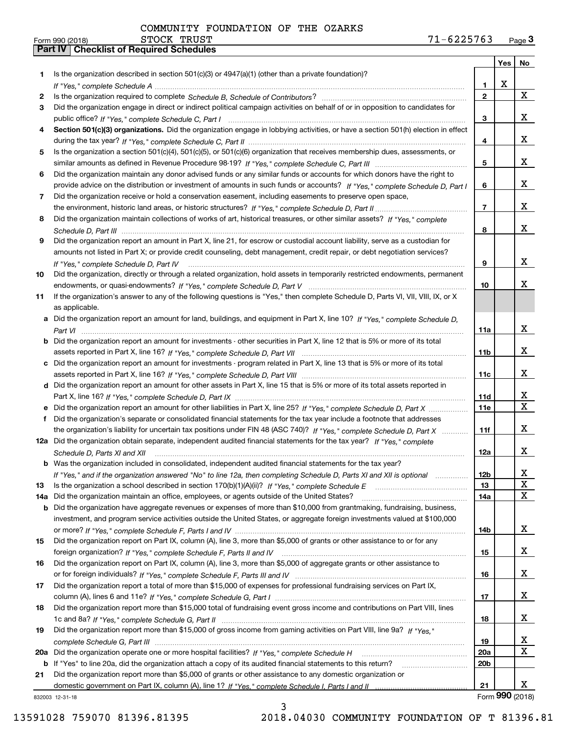| 1<br>х<br>1<br>$\mathbf{2}$<br>2<br>Did the organization engage in direct or indirect political campaign activities on behalf of or in opposition to candidates for<br>3<br>з<br>Section 501(c)(3) organizations. Did the organization engage in lobbying activities, or have a section 501(h) election in effect<br>4<br>4<br>Is the organization a section 501(c)(4), 501(c)(5), or 501(c)(6) organization that receives membership dues, assessments, or<br>5<br>5<br>Did the organization maintain any donor advised funds or any similar funds or accounts for which donors have the right to<br>6<br>provide advice on the distribution or investment of amounts in such funds or accounts? If "Yes," complete Schedule D, Part I<br>6<br>Did the organization receive or hold a conservation easement, including easements to preserve open space,<br>7<br>$\overline{7}$<br>Did the organization maintain collections of works of art, historical treasures, or other similar assets? If "Yes," complete<br>8<br>8<br>Did the organization report an amount in Part X, line 21, for escrow or custodial account liability, serve as a custodian for<br>9<br>amounts not listed in Part X; or provide credit counseling, debt management, credit repair, or debt negotiation services?<br>9<br>If "Yes," complete Schedule D, Part IV<br>Did the organization, directly or through a related organization, hold assets in temporarily restricted endowments, permanent<br>10<br>10<br>If the organization's answer to any of the following questions is "Yes," then complete Schedule D, Parts VI, VII, VIII, IX, or X<br>11<br>as applicable.<br>Did the organization report an amount for land, buildings, and equipment in Part X, line 10? If "Yes," complete Schedule D,<br>11a<br>Did the organization report an amount for investments - other securities in Part X, line 12 that is 5% or more of its total<br>b<br>11b<br>Did the organization report an amount for investments - program related in Part X, line 13 that is 5% or more of its total<br>с<br>11c<br>d Did the organization report an amount for other assets in Part X, line 15 that is 5% or more of its total assets reported in<br>11d<br>Did the organization report an amount for other liabilities in Part X, line 25? If "Yes," complete Schedule D, Part X<br><b>11e</b><br>Did the organization's separate or consolidated financial statements for the tax year include a footnote that addresses<br>f<br>the organization's liability for uncertain tax positions under FIN 48 (ASC 740)? If "Yes," complete Schedule D, Part X<br>11f<br>Did the organization obtain separate, independent audited financial statements for the tax year? If "Yes," complete<br>12a<br>12a<br>Schedule D, Parts XI and XII<br><b>b</b> Was the organization included in consolidated, independent audited financial statements for the tax year?<br>12 <sub>b</sub><br>If "Yes," and if the organization answered "No" to line 12a, then completing Schedule D, Parts XI and XII is optional<br>13<br>Is the organization a school described in section 170(b)(1)(A)(ii)? If "Yes," complete Schedule E<br>13<br>Did the organization maintain an office, employees, or agents outside of the United States?<br>14a<br>14a<br>Did the organization have aggregate revenues or expenses of more than \$10,000 from grantmaking, fundraising, business,<br>b<br>investment, and program service activities outside the United States, or aggregate foreign investments valued at \$100,000<br>14b<br>Did the organization report on Part IX, column (A), line 3, more than \$5,000 of grants or other assistance to or for any<br>15<br>15<br>Did the organization report on Part IX, column (A), line 3, more than \$5,000 of aggregate grants or other assistance to<br>16<br>16<br>Did the organization report a total of more than \$15,000 of expenses for professional fundraising services on Part IX,<br>17<br>17<br>Did the organization report more than \$15,000 total of fundraising event gross income and contributions on Part VIII, lines<br>18<br>18<br>Did the organization report more than \$15,000 of gross income from gaming activities on Part VIII, line 9a? If "Yes."<br>19<br>19<br>Did the organization operate one or more hospital facilities? If "Yes," complete Schedule H<br>20a<br>20a<br>If "Yes" to line 20a, did the organization attach a copy of its audited financial statements to this return?<br>20b<br>b<br>Did the organization report more than \$5,000 of grants or other assistance to any domestic organization or<br>21<br>21<br>Form 990 (2018) |                                                                                                     | Yes | No                      |
|------------------------------------------------------------------------------------------------------------------------------------------------------------------------------------------------------------------------------------------------------------------------------------------------------------------------------------------------------------------------------------------------------------------------------------------------------------------------------------------------------------------------------------------------------------------------------------------------------------------------------------------------------------------------------------------------------------------------------------------------------------------------------------------------------------------------------------------------------------------------------------------------------------------------------------------------------------------------------------------------------------------------------------------------------------------------------------------------------------------------------------------------------------------------------------------------------------------------------------------------------------------------------------------------------------------------------------------------------------------------------------------------------------------------------------------------------------------------------------------------------------------------------------------------------------------------------------------------------------------------------------------------------------------------------------------------------------------------------------------------------------------------------------------------------------------------------------------------------------------------------------------------------------------------------------------------------------------------------------------------------------------------------------------------------------------------------------------------------------------------------------------------------------------------------------------------------------------------------------------------------------------------------------------------------------------------------------------------------------------------------------------------------------------------------------------------------------------------------------------------------------------------------------------------------------------------------------------------------------------------------------------------------------------------------------------------------------------------------------------------------------------------------------------------------------------------------------------------------------------------------------------------------------------------------------------------------------------------------------------------------------------------------------------------------------------------------------------------------------------------------------------------------------------------------------------------------------------------------------------------------------------------------------------------------------------------------------------------------------------------------------------------------------------------------------------------------------------------------------------------------------------------------------------------------------------------------------------------------------------------------------------------------------------------------------------------------------------------------------------------------------------------------------------------------------------------------------------------------------------------------------------------------------------------------------------------------------------------------------------------------------------------------------------------------------------------------------------------------------------------------------------------------------------------------------------------------------------------------------------------------------------------------------------------------------------------------------------------------------------------------------------------------------------------------------------------------------------------------------------------------------------------------------------------------------------------------------------------------------------------------------------------------------------------------|-----------------------------------------------------------------------------------------------------|-----|-------------------------|
|                                                                                                                                                                                                                                                                                                                                                                                                                                                                                                                                                                                                                                                                                                                                                                                                                                                                                                                                                                                                                                                                                                                                                                                                                                                                                                                                                                                                                                                                                                                                                                                                                                                                                                                                                                                                                                                                                                                                                                                                                                                                                                                                                                                                                                                                                                                                                                                                                                                                                                                                                                                                                                                                                                                                                                                                                                                                                                                                                                                                                                                                                                                                                                                                                                                                                                                                                                                                                                                                                                                                                                                                                                                                                                                                                                                                                                                                                                                                                                                                                                                                                                                                                                                                                                                                                                                                                                                                                                                                                                                                                                                                                                                                              | Is the organization described in section 501(c)(3) or 4947(a)(1) (other than a private foundation)? |     |                         |
|                                                                                                                                                                                                                                                                                                                                                                                                                                                                                                                                                                                                                                                                                                                                                                                                                                                                                                                                                                                                                                                                                                                                                                                                                                                                                                                                                                                                                                                                                                                                                                                                                                                                                                                                                                                                                                                                                                                                                                                                                                                                                                                                                                                                                                                                                                                                                                                                                                                                                                                                                                                                                                                                                                                                                                                                                                                                                                                                                                                                                                                                                                                                                                                                                                                                                                                                                                                                                                                                                                                                                                                                                                                                                                                                                                                                                                                                                                                                                                                                                                                                                                                                                                                                                                                                                                                                                                                                                                                                                                                                                                                                                                                                              |                                                                                                     |     | X                       |
|                                                                                                                                                                                                                                                                                                                                                                                                                                                                                                                                                                                                                                                                                                                                                                                                                                                                                                                                                                                                                                                                                                                                                                                                                                                                                                                                                                                                                                                                                                                                                                                                                                                                                                                                                                                                                                                                                                                                                                                                                                                                                                                                                                                                                                                                                                                                                                                                                                                                                                                                                                                                                                                                                                                                                                                                                                                                                                                                                                                                                                                                                                                                                                                                                                                                                                                                                                                                                                                                                                                                                                                                                                                                                                                                                                                                                                                                                                                                                                                                                                                                                                                                                                                                                                                                                                                                                                                                                                                                                                                                                                                                                                                                              |                                                                                                     |     |                         |
|                                                                                                                                                                                                                                                                                                                                                                                                                                                                                                                                                                                                                                                                                                                                                                                                                                                                                                                                                                                                                                                                                                                                                                                                                                                                                                                                                                                                                                                                                                                                                                                                                                                                                                                                                                                                                                                                                                                                                                                                                                                                                                                                                                                                                                                                                                                                                                                                                                                                                                                                                                                                                                                                                                                                                                                                                                                                                                                                                                                                                                                                                                                                                                                                                                                                                                                                                                                                                                                                                                                                                                                                                                                                                                                                                                                                                                                                                                                                                                                                                                                                                                                                                                                                                                                                                                                                                                                                                                                                                                                                                                                                                                                                              |                                                                                                     |     | x                       |
|                                                                                                                                                                                                                                                                                                                                                                                                                                                                                                                                                                                                                                                                                                                                                                                                                                                                                                                                                                                                                                                                                                                                                                                                                                                                                                                                                                                                                                                                                                                                                                                                                                                                                                                                                                                                                                                                                                                                                                                                                                                                                                                                                                                                                                                                                                                                                                                                                                                                                                                                                                                                                                                                                                                                                                                                                                                                                                                                                                                                                                                                                                                                                                                                                                                                                                                                                                                                                                                                                                                                                                                                                                                                                                                                                                                                                                                                                                                                                                                                                                                                                                                                                                                                                                                                                                                                                                                                                                                                                                                                                                                                                                                                              |                                                                                                     |     |                         |
|                                                                                                                                                                                                                                                                                                                                                                                                                                                                                                                                                                                                                                                                                                                                                                                                                                                                                                                                                                                                                                                                                                                                                                                                                                                                                                                                                                                                                                                                                                                                                                                                                                                                                                                                                                                                                                                                                                                                                                                                                                                                                                                                                                                                                                                                                                                                                                                                                                                                                                                                                                                                                                                                                                                                                                                                                                                                                                                                                                                                                                                                                                                                                                                                                                                                                                                                                                                                                                                                                                                                                                                                                                                                                                                                                                                                                                                                                                                                                                                                                                                                                                                                                                                                                                                                                                                                                                                                                                                                                                                                                                                                                                                                              |                                                                                                     |     | x                       |
|                                                                                                                                                                                                                                                                                                                                                                                                                                                                                                                                                                                                                                                                                                                                                                                                                                                                                                                                                                                                                                                                                                                                                                                                                                                                                                                                                                                                                                                                                                                                                                                                                                                                                                                                                                                                                                                                                                                                                                                                                                                                                                                                                                                                                                                                                                                                                                                                                                                                                                                                                                                                                                                                                                                                                                                                                                                                                                                                                                                                                                                                                                                                                                                                                                                                                                                                                                                                                                                                                                                                                                                                                                                                                                                                                                                                                                                                                                                                                                                                                                                                                                                                                                                                                                                                                                                                                                                                                                                                                                                                                                                                                                                                              |                                                                                                     |     |                         |
|                                                                                                                                                                                                                                                                                                                                                                                                                                                                                                                                                                                                                                                                                                                                                                                                                                                                                                                                                                                                                                                                                                                                                                                                                                                                                                                                                                                                                                                                                                                                                                                                                                                                                                                                                                                                                                                                                                                                                                                                                                                                                                                                                                                                                                                                                                                                                                                                                                                                                                                                                                                                                                                                                                                                                                                                                                                                                                                                                                                                                                                                                                                                                                                                                                                                                                                                                                                                                                                                                                                                                                                                                                                                                                                                                                                                                                                                                                                                                                                                                                                                                                                                                                                                                                                                                                                                                                                                                                                                                                                                                                                                                                                                              |                                                                                                     |     | x                       |
|                                                                                                                                                                                                                                                                                                                                                                                                                                                                                                                                                                                                                                                                                                                                                                                                                                                                                                                                                                                                                                                                                                                                                                                                                                                                                                                                                                                                                                                                                                                                                                                                                                                                                                                                                                                                                                                                                                                                                                                                                                                                                                                                                                                                                                                                                                                                                                                                                                                                                                                                                                                                                                                                                                                                                                                                                                                                                                                                                                                                                                                                                                                                                                                                                                                                                                                                                                                                                                                                                                                                                                                                                                                                                                                                                                                                                                                                                                                                                                                                                                                                                                                                                                                                                                                                                                                                                                                                                                                                                                                                                                                                                                                                              |                                                                                                     |     |                         |
|                                                                                                                                                                                                                                                                                                                                                                                                                                                                                                                                                                                                                                                                                                                                                                                                                                                                                                                                                                                                                                                                                                                                                                                                                                                                                                                                                                                                                                                                                                                                                                                                                                                                                                                                                                                                                                                                                                                                                                                                                                                                                                                                                                                                                                                                                                                                                                                                                                                                                                                                                                                                                                                                                                                                                                                                                                                                                                                                                                                                                                                                                                                                                                                                                                                                                                                                                                                                                                                                                                                                                                                                                                                                                                                                                                                                                                                                                                                                                                                                                                                                                                                                                                                                                                                                                                                                                                                                                                                                                                                                                                                                                                                                              |                                                                                                     |     | x                       |
|                                                                                                                                                                                                                                                                                                                                                                                                                                                                                                                                                                                                                                                                                                                                                                                                                                                                                                                                                                                                                                                                                                                                                                                                                                                                                                                                                                                                                                                                                                                                                                                                                                                                                                                                                                                                                                                                                                                                                                                                                                                                                                                                                                                                                                                                                                                                                                                                                                                                                                                                                                                                                                                                                                                                                                                                                                                                                                                                                                                                                                                                                                                                                                                                                                                                                                                                                                                                                                                                                                                                                                                                                                                                                                                                                                                                                                                                                                                                                                                                                                                                                                                                                                                                                                                                                                                                                                                                                                                                                                                                                                                                                                                                              |                                                                                                     |     |                         |
|                                                                                                                                                                                                                                                                                                                                                                                                                                                                                                                                                                                                                                                                                                                                                                                                                                                                                                                                                                                                                                                                                                                                                                                                                                                                                                                                                                                                                                                                                                                                                                                                                                                                                                                                                                                                                                                                                                                                                                                                                                                                                                                                                                                                                                                                                                                                                                                                                                                                                                                                                                                                                                                                                                                                                                                                                                                                                                                                                                                                                                                                                                                                                                                                                                                                                                                                                                                                                                                                                                                                                                                                                                                                                                                                                                                                                                                                                                                                                                                                                                                                                                                                                                                                                                                                                                                                                                                                                                                                                                                                                                                                                                                                              |                                                                                                     |     | x                       |
|                                                                                                                                                                                                                                                                                                                                                                                                                                                                                                                                                                                                                                                                                                                                                                                                                                                                                                                                                                                                                                                                                                                                                                                                                                                                                                                                                                                                                                                                                                                                                                                                                                                                                                                                                                                                                                                                                                                                                                                                                                                                                                                                                                                                                                                                                                                                                                                                                                                                                                                                                                                                                                                                                                                                                                                                                                                                                                                                                                                                                                                                                                                                                                                                                                                                                                                                                                                                                                                                                                                                                                                                                                                                                                                                                                                                                                                                                                                                                                                                                                                                                                                                                                                                                                                                                                                                                                                                                                                                                                                                                                                                                                                                              |                                                                                                     |     |                         |
|                                                                                                                                                                                                                                                                                                                                                                                                                                                                                                                                                                                                                                                                                                                                                                                                                                                                                                                                                                                                                                                                                                                                                                                                                                                                                                                                                                                                                                                                                                                                                                                                                                                                                                                                                                                                                                                                                                                                                                                                                                                                                                                                                                                                                                                                                                                                                                                                                                                                                                                                                                                                                                                                                                                                                                                                                                                                                                                                                                                                                                                                                                                                                                                                                                                                                                                                                                                                                                                                                                                                                                                                                                                                                                                                                                                                                                                                                                                                                                                                                                                                                                                                                                                                                                                                                                                                                                                                                                                                                                                                                                                                                                                                              |                                                                                                     |     | x                       |
|                                                                                                                                                                                                                                                                                                                                                                                                                                                                                                                                                                                                                                                                                                                                                                                                                                                                                                                                                                                                                                                                                                                                                                                                                                                                                                                                                                                                                                                                                                                                                                                                                                                                                                                                                                                                                                                                                                                                                                                                                                                                                                                                                                                                                                                                                                                                                                                                                                                                                                                                                                                                                                                                                                                                                                                                                                                                                                                                                                                                                                                                                                                                                                                                                                                                                                                                                                                                                                                                                                                                                                                                                                                                                                                                                                                                                                                                                                                                                                                                                                                                                                                                                                                                                                                                                                                                                                                                                                                                                                                                                                                                                                                                              |                                                                                                     |     |                         |
|                                                                                                                                                                                                                                                                                                                                                                                                                                                                                                                                                                                                                                                                                                                                                                                                                                                                                                                                                                                                                                                                                                                                                                                                                                                                                                                                                                                                                                                                                                                                                                                                                                                                                                                                                                                                                                                                                                                                                                                                                                                                                                                                                                                                                                                                                                                                                                                                                                                                                                                                                                                                                                                                                                                                                                                                                                                                                                                                                                                                                                                                                                                                                                                                                                                                                                                                                                                                                                                                                                                                                                                                                                                                                                                                                                                                                                                                                                                                                                                                                                                                                                                                                                                                                                                                                                                                                                                                                                                                                                                                                                                                                                                                              |                                                                                                     |     |                         |
|                                                                                                                                                                                                                                                                                                                                                                                                                                                                                                                                                                                                                                                                                                                                                                                                                                                                                                                                                                                                                                                                                                                                                                                                                                                                                                                                                                                                                                                                                                                                                                                                                                                                                                                                                                                                                                                                                                                                                                                                                                                                                                                                                                                                                                                                                                                                                                                                                                                                                                                                                                                                                                                                                                                                                                                                                                                                                                                                                                                                                                                                                                                                                                                                                                                                                                                                                                                                                                                                                                                                                                                                                                                                                                                                                                                                                                                                                                                                                                                                                                                                                                                                                                                                                                                                                                                                                                                                                                                                                                                                                                                                                                                                              |                                                                                                     |     | x                       |
|                                                                                                                                                                                                                                                                                                                                                                                                                                                                                                                                                                                                                                                                                                                                                                                                                                                                                                                                                                                                                                                                                                                                                                                                                                                                                                                                                                                                                                                                                                                                                                                                                                                                                                                                                                                                                                                                                                                                                                                                                                                                                                                                                                                                                                                                                                                                                                                                                                                                                                                                                                                                                                                                                                                                                                                                                                                                                                                                                                                                                                                                                                                                                                                                                                                                                                                                                                                                                                                                                                                                                                                                                                                                                                                                                                                                                                                                                                                                                                                                                                                                                                                                                                                                                                                                                                                                                                                                                                                                                                                                                                                                                                                                              |                                                                                                     |     |                         |
|                                                                                                                                                                                                                                                                                                                                                                                                                                                                                                                                                                                                                                                                                                                                                                                                                                                                                                                                                                                                                                                                                                                                                                                                                                                                                                                                                                                                                                                                                                                                                                                                                                                                                                                                                                                                                                                                                                                                                                                                                                                                                                                                                                                                                                                                                                                                                                                                                                                                                                                                                                                                                                                                                                                                                                                                                                                                                                                                                                                                                                                                                                                                                                                                                                                                                                                                                                                                                                                                                                                                                                                                                                                                                                                                                                                                                                                                                                                                                                                                                                                                                                                                                                                                                                                                                                                                                                                                                                                                                                                                                                                                                                                                              |                                                                                                     |     | х                       |
|                                                                                                                                                                                                                                                                                                                                                                                                                                                                                                                                                                                                                                                                                                                                                                                                                                                                                                                                                                                                                                                                                                                                                                                                                                                                                                                                                                                                                                                                                                                                                                                                                                                                                                                                                                                                                                                                                                                                                                                                                                                                                                                                                                                                                                                                                                                                                                                                                                                                                                                                                                                                                                                                                                                                                                                                                                                                                                                                                                                                                                                                                                                                                                                                                                                                                                                                                                                                                                                                                                                                                                                                                                                                                                                                                                                                                                                                                                                                                                                                                                                                                                                                                                                                                                                                                                                                                                                                                                                                                                                                                                                                                                                                              |                                                                                                     |     |                         |
|                                                                                                                                                                                                                                                                                                                                                                                                                                                                                                                                                                                                                                                                                                                                                                                                                                                                                                                                                                                                                                                                                                                                                                                                                                                                                                                                                                                                                                                                                                                                                                                                                                                                                                                                                                                                                                                                                                                                                                                                                                                                                                                                                                                                                                                                                                                                                                                                                                                                                                                                                                                                                                                                                                                                                                                                                                                                                                                                                                                                                                                                                                                                                                                                                                                                                                                                                                                                                                                                                                                                                                                                                                                                                                                                                                                                                                                                                                                                                                                                                                                                                                                                                                                                                                                                                                                                                                                                                                                                                                                                                                                                                                                                              |                                                                                                     |     |                         |
|                                                                                                                                                                                                                                                                                                                                                                                                                                                                                                                                                                                                                                                                                                                                                                                                                                                                                                                                                                                                                                                                                                                                                                                                                                                                                                                                                                                                                                                                                                                                                                                                                                                                                                                                                                                                                                                                                                                                                                                                                                                                                                                                                                                                                                                                                                                                                                                                                                                                                                                                                                                                                                                                                                                                                                                                                                                                                                                                                                                                                                                                                                                                                                                                                                                                                                                                                                                                                                                                                                                                                                                                                                                                                                                                                                                                                                                                                                                                                                                                                                                                                                                                                                                                                                                                                                                                                                                                                                                                                                                                                                                                                                                                              |                                                                                                     |     |                         |
|                                                                                                                                                                                                                                                                                                                                                                                                                                                                                                                                                                                                                                                                                                                                                                                                                                                                                                                                                                                                                                                                                                                                                                                                                                                                                                                                                                                                                                                                                                                                                                                                                                                                                                                                                                                                                                                                                                                                                                                                                                                                                                                                                                                                                                                                                                                                                                                                                                                                                                                                                                                                                                                                                                                                                                                                                                                                                                                                                                                                                                                                                                                                                                                                                                                                                                                                                                                                                                                                                                                                                                                                                                                                                                                                                                                                                                                                                                                                                                                                                                                                                                                                                                                                                                                                                                                                                                                                                                                                                                                                                                                                                                                                              |                                                                                                     |     | x                       |
|                                                                                                                                                                                                                                                                                                                                                                                                                                                                                                                                                                                                                                                                                                                                                                                                                                                                                                                                                                                                                                                                                                                                                                                                                                                                                                                                                                                                                                                                                                                                                                                                                                                                                                                                                                                                                                                                                                                                                                                                                                                                                                                                                                                                                                                                                                                                                                                                                                                                                                                                                                                                                                                                                                                                                                                                                                                                                                                                                                                                                                                                                                                                                                                                                                                                                                                                                                                                                                                                                                                                                                                                                                                                                                                                                                                                                                                                                                                                                                                                                                                                                                                                                                                                                                                                                                                                                                                                                                                                                                                                                                                                                                                                              |                                                                                                     |     |                         |
|                                                                                                                                                                                                                                                                                                                                                                                                                                                                                                                                                                                                                                                                                                                                                                                                                                                                                                                                                                                                                                                                                                                                                                                                                                                                                                                                                                                                                                                                                                                                                                                                                                                                                                                                                                                                                                                                                                                                                                                                                                                                                                                                                                                                                                                                                                                                                                                                                                                                                                                                                                                                                                                                                                                                                                                                                                                                                                                                                                                                                                                                                                                                                                                                                                                                                                                                                                                                                                                                                                                                                                                                                                                                                                                                                                                                                                                                                                                                                                                                                                                                                                                                                                                                                                                                                                                                                                                                                                                                                                                                                                                                                                                                              |                                                                                                     |     | x                       |
|                                                                                                                                                                                                                                                                                                                                                                                                                                                                                                                                                                                                                                                                                                                                                                                                                                                                                                                                                                                                                                                                                                                                                                                                                                                                                                                                                                                                                                                                                                                                                                                                                                                                                                                                                                                                                                                                                                                                                                                                                                                                                                                                                                                                                                                                                                                                                                                                                                                                                                                                                                                                                                                                                                                                                                                                                                                                                                                                                                                                                                                                                                                                                                                                                                                                                                                                                                                                                                                                                                                                                                                                                                                                                                                                                                                                                                                                                                                                                                                                                                                                                                                                                                                                                                                                                                                                                                                                                                                                                                                                                                                                                                                                              |                                                                                                     |     |                         |
|                                                                                                                                                                                                                                                                                                                                                                                                                                                                                                                                                                                                                                                                                                                                                                                                                                                                                                                                                                                                                                                                                                                                                                                                                                                                                                                                                                                                                                                                                                                                                                                                                                                                                                                                                                                                                                                                                                                                                                                                                                                                                                                                                                                                                                                                                                                                                                                                                                                                                                                                                                                                                                                                                                                                                                                                                                                                                                                                                                                                                                                                                                                                                                                                                                                                                                                                                                                                                                                                                                                                                                                                                                                                                                                                                                                                                                                                                                                                                                                                                                                                                                                                                                                                                                                                                                                                                                                                                                                                                                                                                                                                                                                                              |                                                                                                     |     | x                       |
|                                                                                                                                                                                                                                                                                                                                                                                                                                                                                                                                                                                                                                                                                                                                                                                                                                                                                                                                                                                                                                                                                                                                                                                                                                                                                                                                                                                                                                                                                                                                                                                                                                                                                                                                                                                                                                                                                                                                                                                                                                                                                                                                                                                                                                                                                                                                                                                                                                                                                                                                                                                                                                                                                                                                                                                                                                                                                                                                                                                                                                                                                                                                                                                                                                                                                                                                                                                                                                                                                                                                                                                                                                                                                                                                                                                                                                                                                                                                                                                                                                                                                                                                                                                                                                                                                                                                                                                                                                                                                                                                                                                                                                                                              |                                                                                                     |     |                         |
|                                                                                                                                                                                                                                                                                                                                                                                                                                                                                                                                                                                                                                                                                                                                                                                                                                                                                                                                                                                                                                                                                                                                                                                                                                                                                                                                                                                                                                                                                                                                                                                                                                                                                                                                                                                                                                                                                                                                                                                                                                                                                                                                                                                                                                                                                                                                                                                                                                                                                                                                                                                                                                                                                                                                                                                                                                                                                                                                                                                                                                                                                                                                                                                                                                                                                                                                                                                                                                                                                                                                                                                                                                                                                                                                                                                                                                                                                                                                                                                                                                                                                                                                                                                                                                                                                                                                                                                                                                                                                                                                                                                                                                                                              |                                                                                                     |     | x                       |
|                                                                                                                                                                                                                                                                                                                                                                                                                                                                                                                                                                                                                                                                                                                                                                                                                                                                                                                                                                                                                                                                                                                                                                                                                                                                                                                                                                                                                                                                                                                                                                                                                                                                                                                                                                                                                                                                                                                                                                                                                                                                                                                                                                                                                                                                                                                                                                                                                                                                                                                                                                                                                                                                                                                                                                                                                                                                                                                                                                                                                                                                                                                                                                                                                                                                                                                                                                                                                                                                                                                                                                                                                                                                                                                                                                                                                                                                                                                                                                                                                                                                                                                                                                                                                                                                                                                                                                                                                                                                                                                                                                                                                                                                              |                                                                                                     |     | $\overline{\mathbf{x}}$ |
|                                                                                                                                                                                                                                                                                                                                                                                                                                                                                                                                                                                                                                                                                                                                                                                                                                                                                                                                                                                                                                                                                                                                                                                                                                                                                                                                                                                                                                                                                                                                                                                                                                                                                                                                                                                                                                                                                                                                                                                                                                                                                                                                                                                                                                                                                                                                                                                                                                                                                                                                                                                                                                                                                                                                                                                                                                                                                                                                                                                                                                                                                                                                                                                                                                                                                                                                                                                                                                                                                                                                                                                                                                                                                                                                                                                                                                                                                                                                                                                                                                                                                                                                                                                                                                                                                                                                                                                                                                                                                                                                                                                                                                                                              |                                                                                                     |     |                         |
|                                                                                                                                                                                                                                                                                                                                                                                                                                                                                                                                                                                                                                                                                                                                                                                                                                                                                                                                                                                                                                                                                                                                                                                                                                                                                                                                                                                                                                                                                                                                                                                                                                                                                                                                                                                                                                                                                                                                                                                                                                                                                                                                                                                                                                                                                                                                                                                                                                                                                                                                                                                                                                                                                                                                                                                                                                                                                                                                                                                                                                                                                                                                                                                                                                                                                                                                                                                                                                                                                                                                                                                                                                                                                                                                                                                                                                                                                                                                                                                                                                                                                                                                                                                                                                                                                                                                                                                                                                                                                                                                                                                                                                                                              |                                                                                                     |     | x                       |
|                                                                                                                                                                                                                                                                                                                                                                                                                                                                                                                                                                                                                                                                                                                                                                                                                                                                                                                                                                                                                                                                                                                                                                                                                                                                                                                                                                                                                                                                                                                                                                                                                                                                                                                                                                                                                                                                                                                                                                                                                                                                                                                                                                                                                                                                                                                                                                                                                                                                                                                                                                                                                                                                                                                                                                                                                                                                                                                                                                                                                                                                                                                                                                                                                                                                                                                                                                                                                                                                                                                                                                                                                                                                                                                                                                                                                                                                                                                                                                                                                                                                                                                                                                                                                                                                                                                                                                                                                                                                                                                                                                                                                                                                              |                                                                                                     |     |                         |
|                                                                                                                                                                                                                                                                                                                                                                                                                                                                                                                                                                                                                                                                                                                                                                                                                                                                                                                                                                                                                                                                                                                                                                                                                                                                                                                                                                                                                                                                                                                                                                                                                                                                                                                                                                                                                                                                                                                                                                                                                                                                                                                                                                                                                                                                                                                                                                                                                                                                                                                                                                                                                                                                                                                                                                                                                                                                                                                                                                                                                                                                                                                                                                                                                                                                                                                                                                                                                                                                                                                                                                                                                                                                                                                                                                                                                                                                                                                                                                                                                                                                                                                                                                                                                                                                                                                                                                                                                                                                                                                                                                                                                                                                              |                                                                                                     |     | x                       |
|                                                                                                                                                                                                                                                                                                                                                                                                                                                                                                                                                                                                                                                                                                                                                                                                                                                                                                                                                                                                                                                                                                                                                                                                                                                                                                                                                                                                                                                                                                                                                                                                                                                                                                                                                                                                                                                                                                                                                                                                                                                                                                                                                                                                                                                                                                                                                                                                                                                                                                                                                                                                                                                                                                                                                                                                                                                                                                                                                                                                                                                                                                                                                                                                                                                                                                                                                                                                                                                                                                                                                                                                                                                                                                                                                                                                                                                                                                                                                                                                                                                                                                                                                                                                                                                                                                                                                                                                                                                                                                                                                                                                                                                                              |                                                                                                     |     |                         |
|                                                                                                                                                                                                                                                                                                                                                                                                                                                                                                                                                                                                                                                                                                                                                                                                                                                                                                                                                                                                                                                                                                                                                                                                                                                                                                                                                                                                                                                                                                                                                                                                                                                                                                                                                                                                                                                                                                                                                                                                                                                                                                                                                                                                                                                                                                                                                                                                                                                                                                                                                                                                                                                                                                                                                                                                                                                                                                                                                                                                                                                                                                                                                                                                                                                                                                                                                                                                                                                                                                                                                                                                                                                                                                                                                                                                                                                                                                                                                                                                                                                                                                                                                                                                                                                                                                                                                                                                                                                                                                                                                                                                                                                                              |                                                                                                     |     | х                       |
|                                                                                                                                                                                                                                                                                                                                                                                                                                                                                                                                                                                                                                                                                                                                                                                                                                                                                                                                                                                                                                                                                                                                                                                                                                                                                                                                                                                                                                                                                                                                                                                                                                                                                                                                                                                                                                                                                                                                                                                                                                                                                                                                                                                                                                                                                                                                                                                                                                                                                                                                                                                                                                                                                                                                                                                                                                                                                                                                                                                                                                                                                                                                                                                                                                                                                                                                                                                                                                                                                                                                                                                                                                                                                                                                                                                                                                                                                                                                                                                                                                                                                                                                                                                                                                                                                                                                                                                                                                                                                                                                                                                                                                                                              |                                                                                                     |     | $\mathbf X$             |
|                                                                                                                                                                                                                                                                                                                                                                                                                                                                                                                                                                                                                                                                                                                                                                                                                                                                                                                                                                                                                                                                                                                                                                                                                                                                                                                                                                                                                                                                                                                                                                                                                                                                                                                                                                                                                                                                                                                                                                                                                                                                                                                                                                                                                                                                                                                                                                                                                                                                                                                                                                                                                                                                                                                                                                                                                                                                                                                                                                                                                                                                                                                                                                                                                                                                                                                                                                                                                                                                                                                                                                                                                                                                                                                                                                                                                                                                                                                                                                                                                                                                                                                                                                                                                                                                                                                                                                                                                                                                                                                                                                                                                                                                              |                                                                                                     |     | X                       |
|                                                                                                                                                                                                                                                                                                                                                                                                                                                                                                                                                                                                                                                                                                                                                                                                                                                                                                                                                                                                                                                                                                                                                                                                                                                                                                                                                                                                                                                                                                                                                                                                                                                                                                                                                                                                                                                                                                                                                                                                                                                                                                                                                                                                                                                                                                                                                                                                                                                                                                                                                                                                                                                                                                                                                                                                                                                                                                                                                                                                                                                                                                                                                                                                                                                                                                                                                                                                                                                                                                                                                                                                                                                                                                                                                                                                                                                                                                                                                                                                                                                                                                                                                                                                                                                                                                                                                                                                                                                                                                                                                                                                                                                                              |                                                                                                     |     |                         |
|                                                                                                                                                                                                                                                                                                                                                                                                                                                                                                                                                                                                                                                                                                                                                                                                                                                                                                                                                                                                                                                                                                                                                                                                                                                                                                                                                                                                                                                                                                                                                                                                                                                                                                                                                                                                                                                                                                                                                                                                                                                                                                                                                                                                                                                                                                                                                                                                                                                                                                                                                                                                                                                                                                                                                                                                                                                                                                                                                                                                                                                                                                                                                                                                                                                                                                                                                                                                                                                                                                                                                                                                                                                                                                                                                                                                                                                                                                                                                                                                                                                                                                                                                                                                                                                                                                                                                                                                                                                                                                                                                                                                                                                                              |                                                                                                     |     |                         |
|                                                                                                                                                                                                                                                                                                                                                                                                                                                                                                                                                                                                                                                                                                                                                                                                                                                                                                                                                                                                                                                                                                                                                                                                                                                                                                                                                                                                                                                                                                                                                                                                                                                                                                                                                                                                                                                                                                                                                                                                                                                                                                                                                                                                                                                                                                                                                                                                                                                                                                                                                                                                                                                                                                                                                                                                                                                                                                                                                                                                                                                                                                                                                                                                                                                                                                                                                                                                                                                                                                                                                                                                                                                                                                                                                                                                                                                                                                                                                                                                                                                                                                                                                                                                                                                                                                                                                                                                                                                                                                                                                                                                                                                                              |                                                                                                     |     | X                       |
|                                                                                                                                                                                                                                                                                                                                                                                                                                                                                                                                                                                                                                                                                                                                                                                                                                                                                                                                                                                                                                                                                                                                                                                                                                                                                                                                                                                                                                                                                                                                                                                                                                                                                                                                                                                                                                                                                                                                                                                                                                                                                                                                                                                                                                                                                                                                                                                                                                                                                                                                                                                                                                                                                                                                                                                                                                                                                                                                                                                                                                                                                                                                                                                                                                                                                                                                                                                                                                                                                                                                                                                                                                                                                                                                                                                                                                                                                                                                                                                                                                                                                                                                                                                                                                                                                                                                                                                                                                                                                                                                                                                                                                                                              |                                                                                                     |     |                         |
|                                                                                                                                                                                                                                                                                                                                                                                                                                                                                                                                                                                                                                                                                                                                                                                                                                                                                                                                                                                                                                                                                                                                                                                                                                                                                                                                                                                                                                                                                                                                                                                                                                                                                                                                                                                                                                                                                                                                                                                                                                                                                                                                                                                                                                                                                                                                                                                                                                                                                                                                                                                                                                                                                                                                                                                                                                                                                                                                                                                                                                                                                                                                                                                                                                                                                                                                                                                                                                                                                                                                                                                                                                                                                                                                                                                                                                                                                                                                                                                                                                                                                                                                                                                                                                                                                                                                                                                                                                                                                                                                                                                                                                                                              |                                                                                                     |     | X                       |
|                                                                                                                                                                                                                                                                                                                                                                                                                                                                                                                                                                                                                                                                                                                                                                                                                                                                                                                                                                                                                                                                                                                                                                                                                                                                                                                                                                                                                                                                                                                                                                                                                                                                                                                                                                                                                                                                                                                                                                                                                                                                                                                                                                                                                                                                                                                                                                                                                                                                                                                                                                                                                                                                                                                                                                                                                                                                                                                                                                                                                                                                                                                                                                                                                                                                                                                                                                                                                                                                                                                                                                                                                                                                                                                                                                                                                                                                                                                                                                                                                                                                                                                                                                                                                                                                                                                                                                                                                                                                                                                                                                                                                                                                              |                                                                                                     |     |                         |
|                                                                                                                                                                                                                                                                                                                                                                                                                                                                                                                                                                                                                                                                                                                                                                                                                                                                                                                                                                                                                                                                                                                                                                                                                                                                                                                                                                                                                                                                                                                                                                                                                                                                                                                                                                                                                                                                                                                                                                                                                                                                                                                                                                                                                                                                                                                                                                                                                                                                                                                                                                                                                                                                                                                                                                                                                                                                                                                                                                                                                                                                                                                                                                                                                                                                                                                                                                                                                                                                                                                                                                                                                                                                                                                                                                                                                                                                                                                                                                                                                                                                                                                                                                                                                                                                                                                                                                                                                                                                                                                                                                                                                                                                              |                                                                                                     |     | X                       |
|                                                                                                                                                                                                                                                                                                                                                                                                                                                                                                                                                                                                                                                                                                                                                                                                                                                                                                                                                                                                                                                                                                                                                                                                                                                                                                                                                                                                                                                                                                                                                                                                                                                                                                                                                                                                                                                                                                                                                                                                                                                                                                                                                                                                                                                                                                                                                                                                                                                                                                                                                                                                                                                                                                                                                                                                                                                                                                                                                                                                                                                                                                                                                                                                                                                                                                                                                                                                                                                                                                                                                                                                                                                                                                                                                                                                                                                                                                                                                                                                                                                                                                                                                                                                                                                                                                                                                                                                                                                                                                                                                                                                                                                                              |                                                                                                     |     |                         |
|                                                                                                                                                                                                                                                                                                                                                                                                                                                                                                                                                                                                                                                                                                                                                                                                                                                                                                                                                                                                                                                                                                                                                                                                                                                                                                                                                                                                                                                                                                                                                                                                                                                                                                                                                                                                                                                                                                                                                                                                                                                                                                                                                                                                                                                                                                                                                                                                                                                                                                                                                                                                                                                                                                                                                                                                                                                                                                                                                                                                                                                                                                                                                                                                                                                                                                                                                                                                                                                                                                                                                                                                                                                                                                                                                                                                                                                                                                                                                                                                                                                                                                                                                                                                                                                                                                                                                                                                                                                                                                                                                                                                                                                                              |                                                                                                     |     | X                       |
|                                                                                                                                                                                                                                                                                                                                                                                                                                                                                                                                                                                                                                                                                                                                                                                                                                                                                                                                                                                                                                                                                                                                                                                                                                                                                                                                                                                                                                                                                                                                                                                                                                                                                                                                                                                                                                                                                                                                                                                                                                                                                                                                                                                                                                                                                                                                                                                                                                                                                                                                                                                                                                                                                                                                                                                                                                                                                                                                                                                                                                                                                                                                                                                                                                                                                                                                                                                                                                                                                                                                                                                                                                                                                                                                                                                                                                                                                                                                                                                                                                                                                                                                                                                                                                                                                                                                                                                                                                                                                                                                                                                                                                                                              |                                                                                                     |     |                         |
|                                                                                                                                                                                                                                                                                                                                                                                                                                                                                                                                                                                                                                                                                                                                                                                                                                                                                                                                                                                                                                                                                                                                                                                                                                                                                                                                                                                                                                                                                                                                                                                                                                                                                                                                                                                                                                                                                                                                                                                                                                                                                                                                                                                                                                                                                                                                                                                                                                                                                                                                                                                                                                                                                                                                                                                                                                                                                                                                                                                                                                                                                                                                                                                                                                                                                                                                                                                                                                                                                                                                                                                                                                                                                                                                                                                                                                                                                                                                                                                                                                                                                                                                                                                                                                                                                                                                                                                                                                                                                                                                                                                                                                                                              |                                                                                                     |     | X                       |
|                                                                                                                                                                                                                                                                                                                                                                                                                                                                                                                                                                                                                                                                                                                                                                                                                                                                                                                                                                                                                                                                                                                                                                                                                                                                                                                                                                                                                                                                                                                                                                                                                                                                                                                                                                                                                                                                                                                                                                                                                                                                                                                                                                                                                                                                                                                                                                                                                                                                                                                                                                                                                                                                                                                                                                                                                                                                                                                                                                                                                                                                                                                                                                                                                                                                                                                                                                                                                                                                                                                                                                                                                                                                                                                                                                                                                                                                                                                                                                                                                                                                                                                                                                                                                                                                                                                                                                                                                                                                                                                                                                                                                                                                              |                                                                                                     |     |                         |
|                                                                                                                                                                                                                                                                                                                                                                                                                                                                                                                                                                                                                                                                                                                                                                                                                                                                                                                                                                                                                                                                                                                                                                                                                                                                                                                                                                                                                                                                                                                                                                                                                                                                                                                                                                                                                                                                                                                                                                                                                                                                                                                                                                                                                                                                                                                                                                                                                                                                                                                                                                                                                                                                                                                                                                                                                                                                                                                                                                                                                                                                                                                                                                                                                                                                                                                                                                                                                                                                                                                                                                                                                                                                                                                                                                                                                                                                                                                                                                                                                                                                                                                                                                                                                                                                                                                                                                                                                                                                                                                                                                                                                                                                              |                                                                                                     |     | X                       |
|                                                                                                                                                                                                                                                                                                                                                                                                                                                                                                                                                                                                                                                                                                                                                                                                                                                                                                                                                                                                                                                                                                                                                                                                                                                                                                                                                                                                                                                                                                                                                                                                                                                                                                                                                                                                                                                                                                                                                                                                                                                                                                                                                                                                                                                                                                                                                                                                                                                                                                                                                                                                                                                                                                                                                                                                                                                                                                                                                                                                                                                                                                                                                                                                                                                                                                                                                                                                                                                                                                                                                                                                                                                                                                                                                                                                                                                                                                                                                                                                                                                                                                                                                                                                                                                                                                                                                                                                                                                                                                                                                                                                                                                                              |                                                                                                     |     | X                       |
|                                                                                                                                                                                                                                                                                                                                                                                                                                                                                                                                                                                                                                                                                                                                                                                                                                                                                                                                                                                                                                                                                                                                                                                                                                                                                                                                                                                                                                                                                                                                                                                                                                                                                                                                                                                                                                                                                                                                                                                                                                                                                                                                                                                                                                                                                                                                                                                                                                                                                                                                                                                                                                                                                                                                                                                                                                                                                                                                                                                                                                                                                                                                                                                                                                                                                                                                                                                                                                                                                                                                                                                                                                                                                                                                                                                                                                                                                                                                                                                                                                                                                                                                                                                                                                                                                                                                                                                                                                                                                                                                                                                                                                                                              |                                                                                                     |     |                         |
|                                                                                                                                                                                                                                                                                                                                                                                                                                                                                                                                                                                                                                                                                                                                                                                                                                                                                                                                                                                                                                                                                                                                                                                                                                                                                                                                                                                                                                                                                                                                                                                                                                                                                                                                                                                                                                                                                                                                                                                                                                                                                                                                                                                                                                                                                                                                                                                                                                                                                                                                                                                                                                                                                                                                                                                                                                                                                                                                                                                                                                                                                                                                                                                                                                                                                                                                                                                                                                                                                                                                                                                                                                                                                                                                                                                                                                                                                                                                                                                                                                                                                                                                                                                                                                                                                                                                                                                                                                                                                                                                                                                                                                                                              |                                                                                                     |     |                         |
| 832003 12-31-18                                                                                                                                                                                                                                                                                                                                                                                                                                                                                                                                                                                                                                                                                                                                                                                                                                                                                                                                                                                                                                                                                                                                                                                                                                                                                                                                                                                                                                                                                                                                                                                                                                                                                                                                                                                                                                                                                                                                                                                                                                                                                                                                                                                                                                                                                                                                                                                                                                                                                                                                                                                                                                                                                                                                                                                                                                                                                                                                                                                                                                                                                                                                                                                                                                                                                                                                                                                                                                                                                                                                                                                                                                                                                                                                                                                                                                                                                                                                                                                                                                                                                                                                                                                                                                                                                                                                                                                                                                                                                                                                                                                                                                                              |                                                                                                     |     | X                       |

832003 12-31-18

13591028 759070 81396.81395 2018.04030 COMMUNITY FOUNDATION OF T 81396.81

3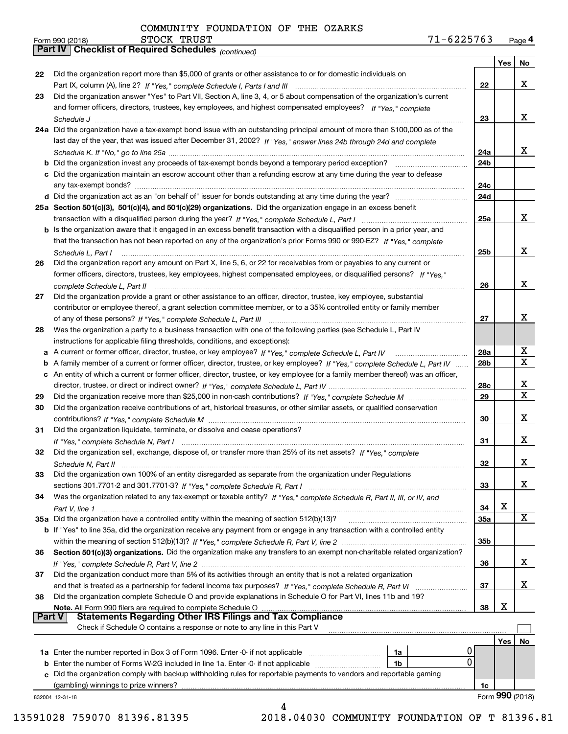|               | $71 - 6225763$<br>STOCK TRUST<br>Form 990 (2018)                                                                                                                                                                                                |                 |     | Page 4          |
|---------------|-------------------------------------------------------------------------------------------------------------------------------------------------------------------------------------------------------------------------------------------------|-----------------|-----|-----------------|
|               | Part IV   Checklist of Required Schedules (continued)                                                                                                                                                                                           |                 |     |                 |
|               |                                                                                                                                                                                                                                                 |                 | Yes | No              |
| 22            | Did the organization report more than \$5,000 of grants or other assistance to or for domestic individuals on                                                                                                                                   |                 |     |                 |
|               |                                                                                                                                                                                                                                                 | 22              |     | x               |
| 23            | Did the organization answer "Yes" to Part VII, Section A, line 3, 4, or 5 about compensation of the organization's current                                                                                                                      |                 |     |                 |
|               | and former officers, directors, trustees, key employees, and highest compensated employees? If "Yes," complete                                                                                                                                  |                 |     |                 |
|               |                                                                                                                                                                                                                                                 | 23              |     | x               |
|               | 24a Did the organization have a tax-exempt bond issue with an outstanding principal amount of more than \$100,000 as of the                                                                                                                     |                 |     |                 |
|               | last day of the year, that was issued after December 31, 2002? If "Yes," answer lines 24b through 24d and complete                                                                                                                              |                 |     |                 |
|               |                                                                                                                                                                                                                                                 | 24a             |     | X               |
|               |                                                                                                                                                                                                                                                 | 24 <sub>b</sub> |     |                 |
|               | c Did the organization maintain an escrow account other than a refunding escrow at any time during the year to defease                                                                                                                          |                 |     |                 |
|               |                                                                                                                                                                                                                                                 | 24c             |     |                 |
|               |                                                                                                                                                                                                                                                 | 24d             |     |                 |
|               | 25a Section 501(c)(3), 501(c)(4), and 501(c)(29) organizations. Did the organization engage in an excess benefit                                                                                                                                |                 |     | X               |
|               |                                                                                                                                                                                                                                                 | 25a             |     |                 |
|               | b Is the organization aware that it engaged in an excess benefit transaction with a disqualified person in a prior year, and                                                                                                                    |                 |     |                 |
|               | that the transaction has not been reported on any of the organization's prior Forms 990 or 990-EZ? If "Yes," complete                                                                                                                           |                 |     | X               |
|               | Schedule L, Part I                                                                                                                                                                                                                              | 25b             |     |                 |
| 26            | Did the organization report any amount on Part X, line 5, 6, or 22 for receivables from or payables to any current or<br>former officers, directors, trustees, key employees, highest compensated employees, or disqualified persons? If "Yes." |                 |     |                 |
|               |                                                                                                                                                                                                                                                 | 26              |     | X               |
| 27            | Did the organization provide a grant or other assistance to an officer, director, trustee, key employee, substantial                                                                                                                            |                 |     |                 |
|               | contributor or employee thereof, a grant selection committee member, or to a 35% controlled entity or family member                                                                                                                             |                 |     |                 |
|               |                                                                                                                                                                                                                                                 | 27              |     | x               |
| 28            | Was the organization a party to a business transaction with one of the following parties (see Schedule L, Part IV                                                                                                                               |                 |     |                 |
|               | instructions for applicable filing thresholds, conditions, and exceptions):                                                                                                                                                                     |                 |     |                 |
|               |                                                                                                                                                                                                                                                 | 28a             |     | X               |
|               | b A family member of a current or former officer, director, trustee, or key employee? If "Yes," complete Schedule L, Part IV                                                                                                                    | 28 <sub>b</sub> |     | X               |
|               | c An entity of which a current or former officer, director, trustee, or key employee (or a family member thereof) was an officer,                                                                                                               |                 |     |                 |
|               |                                                                                                                                                                                                                                                 | 28c             |     | х               |
| 29            |                                                                                                                                                                                                                                                 | 29              |     | $\mathbf X$     |
| 30            | Did the organization receive contributions of art, historical treasures, or other similar assets, or qualified conservation                                                                                                                     |                 |     |                 |
|               |                                                                                                                                                                                                                                                 | 30              |     | x               |
| 31            | Did the organization liquidate, terminate, or dissolve and cease operations?                                                                                                                                                                    |                 |     |                 |
|               |                                                                                                                                                                                                                                                 | 31              |     | x               |
| 32            | Did the organization sell, exchange, dispose of, or transfer more than 25% of its net assets? If "Yes," complete                                                                                                                                |                 |     |                 |
|               |                                                                                                                                                                                                                                                 | 32              |     | х               |
| 33            | Did the organization own 100% of an entity disregarded as separate from the organization under Regulations                                                                                                                                      |                 |     |                 |
|               |                                                                                                                                                                                                                                                 | 33              |     | x               |
| 34            | Was the organization related to any tax-exempt or taxable entity? If "Yes," complete Schedule R, Part II, III, or IV, and                                                                                                                       |                 |     |                 |
|               |                                                                                                                                                                                                                                                 | 34              | х   |                 |
|               |                                                                                                                                                                                                                                                 | <b>35a</b>      |     | X               |
|               | b If "Yes" to line 35a, did the organization receive any payment from or engage in any transaction with a controlled entity                                                                                                                     |                 |     |                 |
|               |                                                                                                                                                                                                                                                 | 35b             |     |                 |
| 36            | Section 501(c)(3) organizations. Did the organization make any transfers to an exempt non-charitable related organization?                                                                                                                      |                 |     |                 |
|               |                                                                                                                                                                                                                                                 | 36              |     | x               |
| 37            | Did the organization conduct more than 5% of its activities through an entity that is not a related organization                                                                                                                                |                 |     |                 |
|               |                                                                                                                                                                                                                                                 | 37              |     | х               |
| 38            | Did the organization complete Schedule O and provide explanations in Schedule O for Part VI, lines 11b and 19?                                                                                                                                  |                 |     |                 |
| <b>Part V</b> | Note. All Form 990 filers are required to complete Schedule O                                                                                                                                                                                   | 38              | х   |                 |
|               | Check if Schedule O contains a response or note to any line in this Part V                                                                                                                                                                      |                 |     |                 |
|               |                                                                                                                                                                                                                                                 |                 |     |                 |
|               | 0                                                                                                                                                                                                                                               |                 | Yes | No              |
|               | 1a<br>0<br>1 <sub>b</sub>                                                                                                                                                                                                                       |                 |     |                 |
|               | c Did the organization comply with backup withholding rules for reportable payments to vendors and reportable gaming                                                                                                                            |                 |     |                 |
|               | (gambling) winnings to prize winners?                                                                                                                                                                                                           | 1c              |     |                 |
|               | 832004 12-31-18                                                                                                                                                                                                                                 |                 |     | Form 990 (2018) |
|               | 4                                                                                                                                                                                                                                               |                 |     |                 |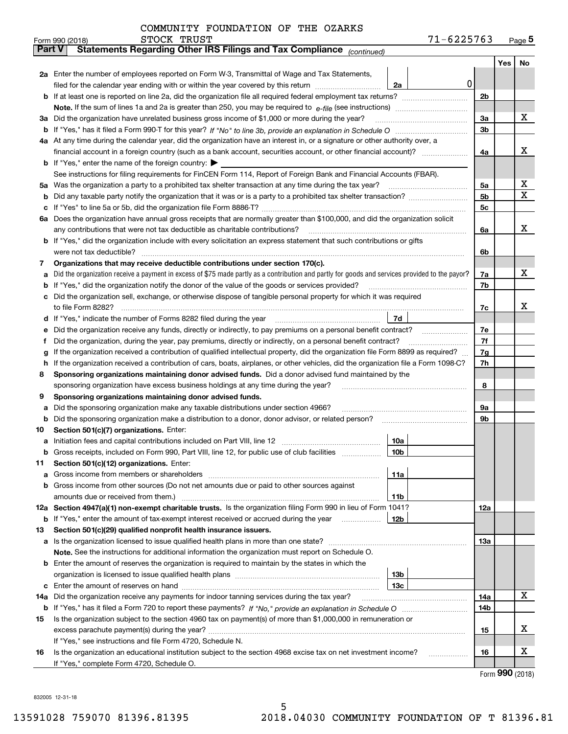| Form 990 (2018) | <b>STOCK</b><br>TRUST | -6225763 | Page <b>J</b> |
|-----------------|-----------------------|----------|---------------|
|-----------------|-----------------------|----------|---------------|

|               | STOCK TRUST<br>Form 990 (2018)                                                                                                                  |                 | 71-6225763 |                |     | $Page$ <sup>5</sup> |
|---------------|-------------------------------------------------------------------------------------------------------------------------------------------------|-----------------|------------|----------------|-----|---------------------|
| <b>Part V</b> | Statements Regarding Other IRS Filings and Tax Compliance (continued)                                                                           |                 |            |                |     |                     |
|               |                                                                                                                                                 |                 |            |                | Yes | No                  |
|               | 2a Enter the number of employees reported on Form W-3, Transmittal of Wage and Tax Statements,                                                  |                 |            |                |     |                     |
|               | filed for the calendar year ending with or within the year covered by this return                                                               | 2a              |            | 0              |     |                     |
| b             |                                                                                                                                                 |                 |            | 2b             |     |                     |
|               |                                                                                                                                                 |                 |            |                |     |                     |
| За            | Did the organization have unrelated business gross income of \$1,000 or more during the year?                                                   |                 |            | 3a             |     | x                   |
| b             |                                                                                                                                                 |                 |            | 3b             |     |                     |
|               | 4a At any time during the calendar year, did the organization have an interest in, or a signature or other authority over, a                    |                 |            |                |     |                     |
|               | financial account in a foreign country (such as a bank account, securities account, or other financial account)?                                |                 |            | 4a             |     | х                   |
|               | <b>b</b> If "Yes," enter the name of the foreign country: $\blacktriangleright$                                                                 |                 |            |                |     |                     |
|               | See instructions for filing requirements for FinCEN Form 114, Report of Foreign Bank and Financial Accounts (FBAR).                             |                 |            |                |     |                     |
| 5a            | Was the organization a party to a prohibited tax shelter transaction at any time during the tax year?                                           |                 |            | 5a             |     | X                   |
| b             |                                                                                                                                                 |                 |            | 5 <sub>b</sub> |     | $\mathbf X$         |
| с             |                                                                                                                                                 |                 |            | 5c             |     |                     |
|               | 6a Does the organization have annual gross receipts that are normally greater than \$100,000, and did the organization solicit                  |                 |            |                |     |                     |
|               | any contributions that were not tax deductible as charitable contributions?                                                                     |                 |            | 6a             |     | x                   |
|               | b If "Yes," did the organization include with every solicitation an express statement that such contributions or gifts                          |                 |            |                |     |                     |
|               | were not tax deductible?                                                                                                                        |                 |            | 6b             |     |                     |
| 7             | Organizations that may receive deductible contributions under section 170(c).                                                                   |                 |            |                |     |                     |
| a             | Did the organization receive a payment in excess of \$75 made partly as a contribution and partly for goods and services provided to the payor? |                 |            | 7a             |     | х                   |
| b             | If "Yes," did the organization notify the donor of the value of the goods or services provided?                                                 |                 |            | 7b             |     |                     |
| c             | Did the organization sell, exchange, or otherwise dispose of tangible personal property for which it was required                               |                 |            |                |     |                     |
|               |                                                                                                                                                 |                 |            | 7c             |     | х                   |
| d             |                                                                                                                                                 | 7d              |            |                |     |                     |
| е             | Did the organization receive any funds, directly or indirectly, to pay premiums on a personal benefit contract?                                 |                 |            | 7e             |     |                     |
| f             | Did the organization, during the year, pay premiums, directly or indirectly, on a personal benefit contract?                                    |                 |            | 7f             |     |                     |
| g             | If the organization received a contribution of qualified intellectual property, did the organization file Form 8899 as required?                |                 |            | 7g             |     |                     |
| h.            | If the organization received a contribution of cars, boats, airplanes, or other vehicles, did the organization file a Form 1098-C?              |                 |            | 7h             |     |                     |
| 8             | Sponsoring organizations maintaining donor advised funds. Did a donor advised fund maintained by the                                            |                 |            |                |     |                     |
|               | sponsoring organization have excess business holdings at any time during the year?                                                              |                 |            | 8              |     |                     |
| 9             | Sponsoring organizations maintaining donor advised funds.                                                                                       |                 |            |                |     |                     |
| a             | Did the sponsoring organization make any taxable distributions under section 4966?                                                              |                 |            | 9а             |     |                     |
| b             | Did the sponsoring organization make a distribution to a donor, donor advisor, or related person?                                               |                 |            | 9b             |     |                     |
| 10            | Section 501(c)(7) organizations. Enter:                                                                                                         |                 |            |                |     |                     |
| а             | Initiation fees and capital contributions included on Part VIII, line 12 [11] [11] [12] [11] [11] [12] [11] [1                                  | 10a             |            |                |     |                     |
|               | Gross receipts, included on Form 990, Part VIII, line 12, for public use of club facilities                                                     | 10 <sub>b</sub> |            |                |     |                     |
| 11            | Section 501(c)(12) organizations. Enter:                                                                                                        |                 |            |                |     |                     |
|               | Gross income from members or shareholders                                                                                                       | 11a             |            |                |     |                     |
| b             | Gross income from other sources (Do not net amounts due or paid to other sources against                                                        |                 |            |                |     |                     |
|               |                                                                                                                                                 | 11b             |            |                |     |                     |
|               | 12a Section 4947(a)(1) non-exempt charitable trusts. Is the organization filing Form 990 in lieu of Form 1041?                                  |                 |            | 12a            |     |                     |
|               | <b>b</b> If "Yes," enter the amount of tax-exempt interest received or accrued during the year                                                  | 12b             |            |                |     |                     |
| 13            | Section 501(c)(29) qualified nonprofit health insurance issuers.                                                                                |                 |            |                |     |                     |
| а             | Is the organization licensed to issue qualified health plans in more than one state?                                                            |                 |            | 13а            |     |                     |
|               | Note. See the instructions for additional information the organization must report on Schedule O.                                               |                 |            |                |     |                     |
| b             | Enter the amount of reserves the organization is required to maintain by the states in which the                                                | 13b             |            |                |     |                     |
|               |                                                                                                                                                 | 13c             |            |                |     |                     |
| c<br>14a      | Did the organization receive any payments for indoor tanning services during the tax year?                                                      |                 |            | 14a            |     | х                   |
|               |                                                                                                                                                 |                 |            | 14b            |     |                     |
| 15            | Is the organization subject to the section 4960 tax on payment(s) of more than \$1,000,000 in remuneration or                                   |                 |            |                |     |                     |
|               |                                                                                                                                                 |                 |            | 15             |     | x                   |
|               | If "Yes," see instructions and file Form 4720, Schedule N.                                                                                      |                 |            |                |     |                     |
| 16            | Is the organization an educational institution subject to the section 4968 excise tax on net investment income?                                 |                 |            | 16             |     | x                   |
|               | If "Yes," complete Form 4720, Schedule O.                                                                                                       |                 |            |                |     |                     |
|               |                                                                                                                                                 |                 |            |                |     |                     |

Form (2018) **990**

832005 12-31-18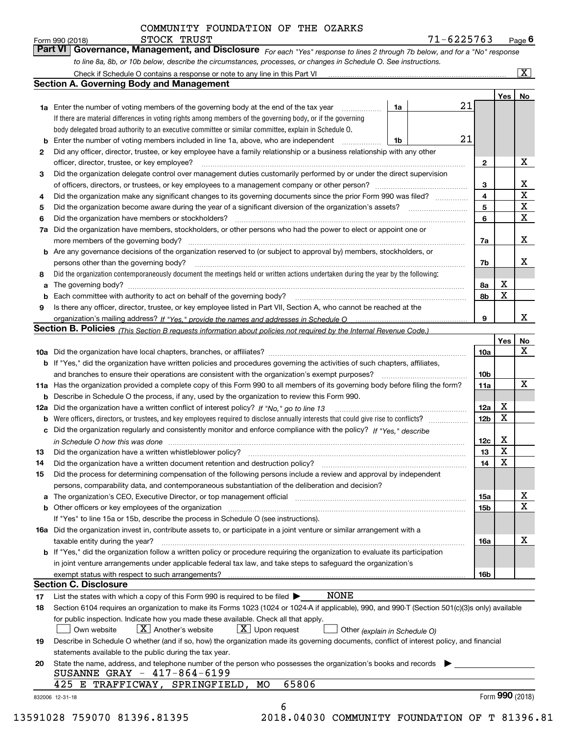*For each "Yes" response to lines 2 through 7b below, and for a "No" response to line 8a, 8b, or 10b below, describe the circumstances, processes, or changes in Schedule O. See instructions.* Form 990 (2018) **Form 990 (2018)** STOCK TRUST<br>**Part VI Governance, Management, and Disclosure** For each "Yes" response to lines 2 through 7b below, and for a "No" response

|                                                                                                                                                                                                                                                                                                                                                                                                                                                                                                                                                                                                                                                                                                                                                                                                                                                                                                                                                                                                                                                                                                                                                                                                                                                                                                                                                                                                                                                                                                                                                                                                                                                                                                                                                                                                                                                                                                                                                                                                                                                                                                                                                                                                                                                                                                                                                                                                                                                                                                                                                                                                                                                                                                                                                                                                                                                                                                                                                                                                                                                                                                                                                                                                                                                                                                                                                                                                                                                                                                                                                                                                                                                                                                                                                                                                                                                                                                                                                                                                                                                                                                                                                                |                                                                                                                                           |    |    |              | Yes   No    |             |
|----------------------------------------------------------------------------------------------------------------------------------------------------------------------------------------------------------------------------------------------------------------------------------------------------------------------------------------------------------------------------------------------------------------------------------------------------------------------------------------------------------------------------------------------------------------------------------------------------------------------------------------------------------------------------------------------------------------------------------------------------------------------------------------------------------------------------------------------------------------------------------------------------------------------------------------------------------------------------------------------------------------------------------------------------------------------------------------------------------------------------------------------------------------------------------------------------------------------------------------------------------------------------------------------------------------------------------------------------------------------------------------------------------------------------------------------------------------------------------------------------------------------------------------------------------------------------------------------------------------------------------------------------------------------------------------------------------------------------------------------------------------------------------------------------------------------------------------------------------------------------------------------------------------------------------------------------------------------------------------------------------------------------------------------------------------------------------------------------------------------------------------------------------------------------------------------------------------------------------------------------------------------------------------------------------------------------------------------------------------------------------------------------------------------------------------------------------------------------------------------------------------------------------------------------------------------------------------------------------------------------------------------------------------------------------------------------------------------------------------------------------------------------------------------------------------------------------------------------------------------------------------------------------------------------------------------------------------------------------------------------------------------------------------------------------------------------------------------------------------------------------------------------------------------------------------------------------------------------------------------------------------------------------------------------------------------------------------------------------------------------------------------------------------------------------------------------------------------------------------------------------------------------------------------------------------------------------------------------------------------------------------------------------------------------------------------------------------------------------------------------------------------------------------------------------------------------------------------------------------------------------------------------------------------------------------------------------------------------------------------------------------------------------------------------------------------------------------------------------------------------------------------------------------|-------------------------------------------------------------------------------------------------------------------------------------------|----|----|--------------|-------------|-------------|
|                                                                                                                                                                                                                                                                                                                                                                                                                                                                                                                                                                                                                                                                                                                                                                                                                                                                                                                                                                                                                                                                                                                                                                                                                                                                                                                                                                                                                                                                                                                                                                                                                                                                                                                                                                                                                                                                                                                                                                                                                                                                                                                                                                                                                                                                                                                                                                                                                                                                                                                                                                                                                                                                                                                                                                                                                                                                                                                                                                                                                                                                                                                                                                                                                                                                                                                                                                                                                                                                                                                                                                                                                                                                                                                                                                                                                                                                                                                                                                                                                                                                                                                                                                |                                                                                                                                           | 1a | 21 |              |             |             |
|                                                                                                                                                                                                                                                                                                                                                                                                                                                                                                                                                                                                                                                                                                                                                                                                                                                                                                                                                                                                                                                                                                                                                                                                                                                                                                                                                                                                                                                                                                                                                                                                                                                                                                                                                                                                                                                                                                                                                                                                                                                                                                                                                                                                                                                                                                                                                                                                                                                                                                                                                                                                                                                                                                                                                                                                                                                                                                                                                                                                                                                                                                                                                                                                                                                                                                                                                                                                                                                                                                                                                                                                                                                                                                                                                                                                                                                                                                                                                                                                                                                                                                                                                                | If there are material differences in voting rights among members of the governing body, or if the governing                               |    |    |              |             |             |
|                                                                                                                                                                                                                                                                                                                                                                                                                                                                                                                                                                                                                                                                                                                                                                                                                                                                                                                                                                                                                                                                                                                                                                                                                                                                                                                                                                                                                                                                                                                                                                                                                                                                                                                                                                                                                                                                                                                                                                                                                                                                                                                                                                                                                                                                                                                                                                                                                                                                                                                                                                                                                                                                                                                                                                                                                                                                                                                                                                                                                                                                                                                                                                                                                                                                                                                                                                                                                                                                                                                                                                                                                                                                                                                                                                                                                                                                                                                                                                                                                                                                                                                                                                | body delegated broad authority to an executive committee or similar committee, explain in Schedule O.                                     |    |    |              |             |             |
|                                                                                                                                                                                                                                                                                                                                                                                                                                                                                                                                                                                                                                                                                                                                                                                                                                                                                                                                                                                                                                                                                                                                                                                                                                                                                                                                                                                                                                                                                                                                                                                                                                                                                                                                                                                                                                                                                                                                                                                                                                                                                                                                                                                                                                                                                                                                                                                                                                                                                                                                                                                                                                                                                                                                                                                                                                                                                                                                                                                                                                                                                                                                                                                                                                                                                                                                                                                                                                                                                                                                                                                                                                                                                                                                                                                                                                                                                                                                                                                                                                                                                                                                                                | Enter the number of voting members included in line 1a, above, who are independent                                                        | 1b |    |              |             |             |
|                                                                                                                                                                                                                                                                                                                                                                                                                                                                                                                                                                                                                                                                                                                                                                                                                                                                                                                                                                                                                                                                                                                                                                                                                                                                                                                                                                                                                                                                                                                                                                                                                                                                                                                                                                                                                                                                                                                                                                                                                                                                                                                                                                                                                                                                                                                                                                                                                                                                                                                                                                                                                                                                                                                                                                                                                                                                                                                                                                                                                                                                                                                                                                                                                                                                                                                                                                                                                                                                                                                                                                                                                                                                                                                                                                                                                                                                                                                                                                                                                                                                                                                                                                |                                                                                                                                           |    |    |              |             |             |
|                                                                                                                                                                                                                                                                                                                                                                                                                                                                                                                                                                                                                                                                                                                                                                                                                                                                                                                                                                                                                                                                                                                                                                                                                                                                                                                                                                                                                                                                                                                                                                                                                                                                                                                                                                                                                                                                                                                                                                                                                                                                                                                                                                                                                                                                                                                                                                                                                                                                                                                                                                                                                                                                                                                                                                                                                                                                                                                                                                                                                                                                                                                                                                                                                                                                                                                                                                                                                                                                                                                                                                                                                                                                                                                                                                                                                                                                                                                                                                                                                                                                                                                                                                | officer, director, trustee, or key employee?                                                                                              |    |    | $\mathbf{2}$ |             | Х           |
|                                                                                                                                                                                                                                                                                                                                                                                                                                                                                                                                                                                                                                                                                                                                                                                                                                                                                                                                                                                                                                                                                                                                                                                                                                                                                                                                                                                                                                                                                                                                                                                                                                                                                                                                                                                                                                                                                                                                                                                                                                                                                                                                                                                                                                                                                                                                                                                                                                                                                                                                                                                                                                                                                                                                                                                                                                                                                                                                                                                                                                                                                                                                                                                                                                                                                                                                                                                                                                                                                                                                                                                                                                                                                                                                                                                                                                                                                                                                                                                                                                                                                                                                                                |                                                                                                                                           |    |    |              |             |             |
|                                                                                                                                                                                                                                                                                                                                                                                                                                                                                                                                                                                                                                                                                                                                                                                                                                                                                                                                                                                                                                                                                                                                                                                                                                                                                                                                                                                                                                                                                                                                                                                                                                                                                                                                                                                                                                                                                                                                                                                                                                                                                                                                                                                                                                                                                                                                                                                                                                                                                                                                                                                                                                                                                                                                                                                                                                                                                                                                                                                                                                                                                                                                                                                                                                                                                                                                                                                                                                                                                                                                                                                                                                                                                                                                                                                                                                                                                                                                                                                                                                                                                                                                                                |                                                                                                                                           |    |    | 3            |             | х           |
|                                                                                                                                                                                                                                                                                                                                                                                                                                                                                                                                                                                                                                                                                                                                                                                                                                                                                                                                                                                                                                                                                                                                                                                                                                                                                                                                                                                                                                                                                                                                                                                                                                                                                                                                                                                                                                                                                                                                                                                                                                                                                                                                                                                                                                                                                                                                                                                                                                                                                                                                                                                                                                                                                                                                                                                                                                                                                                                                                                                                                                                                                                                                                                                                                                                                                                                                                                                                                                                                                                                                                                                                                                                                                                                                                                                                                                                                                                                                                                                                                                                                                                                                                                |                                                                                                                                           |    |    | 4            |             | $\mathbf X$ |
| 5                                                                                                                                                                                                                                                                                                                                                                                                                                                                                                                                                                                                                                                                                                                                                                                                                                                                                                                                                                                                                                                                                                                                                                                                                                                                                                                                                                                                                                                                                                                                                                                                                                                                                                                                                                                                                                                                                                                                                                                                                                                                                                                                                                                                                                                                                                                                                                                                                                                                                                                                                                                                                                                                                                                                                                                                                                                                                                                                                                                                                                                                                                                                                                                                                                                                                                                                                                                                                                                                                                                                                                                                                                                                                                                                                                                                                                                                                                                                                                                                                                                                                                                                                              |                                                                                                                                           |    |    | 5            |             | X           |
| 6                                                                                                                                                                                                                                                                                                                                                                                                                                                                                                                                                                                                                                                                                                                                                                                                                                                                                                                                                                                                                                                                                                                                                                                                                                                                                                                                                                                                                                                                                                                                                                                                                                                                                                                                                                                                                                                                                                                                                                                                                                                                                                                                                                                                                                                                                                                                                                                                                                                                                                                                                                                                                                                                                                                                                                                                                                                                                                                                                                                                                                                                                                                                                                                                                                                                                                                                                                                                                                                                                                                                                                                                                                                                                                                                                                                                                                                                                                                                                                                                                                                                                                                                                              |                                                                                                                                           |    |    | 6            |             | $\mathbf X$ |
| 7a                                                                                                                                                                                                                                                                                                                                                                                                                                                                                                                                                                                                                                                                                                                                                                                                                                                                                                                                                                                                                                                                                                                                                                                                                                                                                                                                                                                                                                                                                                                                                                                                                                                                                                                                                                                                                                                                                                                                                                                                                                                                                                                                                                                                                                                                                                                                                                                                                                                                                                                                                                                                                                                                                                                                                                                                                                                                                                                                                                                                                                                                                                                                                                                                                                                                                                                                                                                                                                                                                                                                                                                                                                                                                                                                                                                                                                                                                                                                                                                                                                                                                                                                                             |                                                                                                                                           |    |    |              |             |             |
|                                                                                                                                                                                                                                                                                                                                                                                                                                                                                                                                                                                                                                                                                                                                                                                                                                                                                                                                                                                                                                                                                                                                                                                                                                                                                                                                                                                                                                                                                                                                                                                                                                                                                                                                                                                                                                                                                                                                                                                                                                                                                                                                                                                                                                                                                                                                                                                                                                                                                                                                                                                                                                                                                                                                                                                                                                                                                                                                                                                                                                                                                                                                                                                                                                                                                                                                                                                                                                                                                                                                                                                                                                                                                                                                                                                                                                                                                                                                                                                                                                                                                                                                                                |                                                                                                                                           |    |    | 7a           |             | Х           |
|                                                                                                                                                                                                                                                                                                                                                                                                                                                                                                                                                                                                                                                                                                                                                                                                                                                                                                                                                                                                                                                                                                                                                                                                                                                                                                                                                                                                                                                                                                                                                                                                                                                                                                                                                                                                                                                                                                                                                                                                                                                                                                                                                                                                                                                                                                                                                                                                                                                                                                                                                                                                                                                                                                                                                                                                                                                                                                                                                                                                                                                                                                                                                                                                                                                                                                                                                                                                                                                                                                                                                                                                                                                                                                                                                                                                                                                                                                                                                                                                                                                                                                                                                                |                                                                                                                                           |    |    |              |             |             |
|                                                                                                                                                                                                                                                                                                                                                                                                                                                                                                                                                                                                                                                                                                                                                                                                                                                                                                                                                                                                                                                                                                                                                                                                                                                                                                                                                                                                                                                                                                                                                                                                                                                                                                                                                                                                                                                                                                                                                                                                                                                                                                                                                                                                                                                                                                                                                                                                                                                                                                                                                                                                                                                                                                                                                                                                                                                                                                                                                                                                                                                                                                                                                                                                                                                                                                                                                                                                                                                                                                                                                                                                                                                                                                                                                                                                                                                                                                                                                                                                                                                                                                                                                                | persons other than the governing body?                                                                                                    |    |    | 7b           |             | х           |
|                                                                                                                                                                                                                                                                                                                                                                                                                                                                                                                                                                                                                                                                                                                                                                                                                                                                                                                                                                                                                                                                                                                                                                                                                                                                                                                                                                                                                                                                                                                                                                                                                                                                                                                                                                                                                                                                                                                                                                                                                                                                                                                                                                                                                                                                                                                                                                                                                                                                                                                                                                                                                                                                                                                                                                                                                                                                                                                                                                                                                                                                                                                                                                                                                                                                                                                                                                                                                                                                                                                                                                                                                                                                                                                                                                                                                                                                                                                                                                                                                                                                                                                                                                |                                                                                                                                           |    |    |              |             |             |
| a                                                                                                                                                                                                                                                                                                                                                                                                                                                                                                                                                                                                                                                                                                                                                                                                                                                                                                                                                                                                                                                                                                                                                                                                                                                                                                                                                                                                                                                                                                                                                                                                                                                                                                                                                                                                                                                                                                                                                                                                                                                                                                                                                                                                                                                                                                                                                                                                                                                                                                                                                                                                                                                                                                                                                                                                                                                                                                                                                                                                                                                                                                                                                                                                                                                                                                                                                                                                                                                                                                                                                                                                                                                                                                                                                                                                                                                                                                                                                                                                                                                                                                                                                              |                                                                                                                                           |    |    | 8а           | х           |             |
|                                                                                                                                                                                                                                                                                                                                                                                                                                                                                                                                                                                                                                                                                                                                                                                                                                                                                                                                                                                                                                                                                                                                                                                                                                                                                                                                                                                                                                                                                                                                                                                                                                                                                                                                                                                                                                                                                                                                                                                                                                                                                                                                                                                                                                                                                                                                                                                                                                                                                                                                                                                                                                                                                                                                                                                                                                                                                                                                                                                                                                                                                                                                                                                                                                                                                                                                                                                                                                                                                                                                                                                                                                                                                                                                                                                                                                                                                                                                                                                                                                                                                                                                                                |                                                                                                                                           |    |    | 8b           | $\mathbf X$ |             |
|                                                                                                                                                                                                                                                                                                                                                                                                                                                                                                                                                                                                                                                                                                                                                                                                                                                                                                                                                                                                                                                                                                                                                                                                                                                                                                                                                                                                                                                                                                                                                                                                                                                                                                                                                                                                                                                                                                                                                                                                                                                                                                                                                                                                                                                                                                                                                                                                                                                                                                                                                                                                                                                                                                                                                                                                                                                                                                                                                                                                                                                                                                                                                                                                                                                                                                                                                                                                                                                                                                                                                                                                                                                                                                                                                                                                                                                                                                                                                                                                                                                                                                                                                                |                                                                                                                                           |    |    |              |             |             |
|                                                                                                                                                                                                                                                                                                                                                                                                                                                                                                                                                                                                                                                                                                                                                                                                                                                                                                                                                                                                                                                                                                                                                                                                                                                                                                                                                                                                                                                                                                                                                                                                                                                                                                                                                                                                                                                                                                                                                                                                                                                                                                                                                                                                                                                                                                                                                                                                                                                                                                                                                                                                                                                                                                                                                                                                                                                                                                                                                                                                                                                                                                                                                                                                                                                                                                                                                                                                                                                                                                                                                                                                                                                                                                                                                                                                                                                                                                                                                                                                                                                                                                                                                                |                                                                                                                                           |    |    | 9            |             | х           |
| <b>Section A. Governing Body and Management</b><br><b>1a</b> Enter the number of voting members of the governing body at the end of the tax year <i>manumum</i><br>21<br>Did any officer, director, trustee, or key employee have a family relationship or a business relationship with any other<br>2<br>$\begin{minipage}{0.5\textwidth} \begin{tabular}{ l l l } \hline \multicolumn{1}{ l l l } \hline \multicolumn{1}{ l l } \hline \multicolumn{1}{ l } \multicolumn{1}{ l } \hline \multicolumn{1}{ l } \multicolumn{1}{ l } \multicolumn{1}{ l } \hline \multicolumn{1}{ l } \multicolumn{1}{ l } \multicolumn{1}{ l } \hline \multicolumn{1}{ l } \multicolumn{1}{ l } \hline \multicolumn{1}{ l } \multicolumn{1}{ l } \hline \multicolumn{1}{ $<br>Did the organization delegate control over management duties customarily performed by or under the direct supervision<br>3<br>Did the organization make any significant changes to its governing documents since the prior Form 990 was filed?<br>4<br>Did the organization have members, stockholders, or other persons who had the power to elect or appoint one or<br><b>b</b> Are any governance decisions of the organization reserved to (or subject to approval by) members, stockholders, or<br>Did the organization contemporaneously document the meetings held or written actions undertaken during the vear by the following:<br>8<br>9<br>Is there any officer, director, trustee, or key employee listed in Part VII, Section A, who cannot be reached at the<br>Section B. Policies (This Section B requests information about policies not required by the Internal Revenue Code.)<br>10a<br><b>b</b> If "Yes," did the organization have written policies and procedures governing the activities of such chapters, affiliates,<br>10 <sub>b</sub><br>11a Has the organization provided a complete copy of this Form 990 to all members of its governing body before filing the form?<br>11a<br><b>b</b> Describe in Schedule O the process, if any, used by the organization to review this Form 990.<br>х<br>12a<br>12a<br>$\mathbf X$<br>12 <sub>b</sub><br>b<br>c Did the organization regularly and consistently monitor and enforce compliance with the policy? If "Yes," describe<br>х<br>12c<br>in Schedule O how this was done continuous contract the control of the state of the control of the control of<br>$\mathbf X$<br>13<br>Did the organization have a written whistleblower policy?<br>13<br>$\mathbf X$<br>14<br>Did the organization have a written document retention and destruction policy? manufactured and the organization have a written document retention and destruction policy?<br>14<br>Did the process for determining compensation of the following persons include a review and approval by independent<br>15<br>persons, comparability data, and contemporaneous substantiation of the deliberation and decision?<br>a The organization's CEO, Executive Director, or top management official manufactured content content of the organization's CEO, Executive Director, or top management official<br>15a<br><b>b</b> Other officers or key employees of the organization<br><b>15b</b><br>If "Yes" to line 15a or 15b, describe the process in Schedule O (see instructions).<br>16a Did the organization invest in, contribute assets to, or participate in a joint venture or similar arrangement with a<br>taxable entity during the year?<br><b>16a</b><br>b If "Yes," did the organization follow a written policy or procedure requiring the organization to evaluate its participation<br>in joint venture arrangements under applicable federal tax law, and take steps to safeguard the organization's<br><b>16b</b><br><b>Section C. Disclosure</b><br><b>NONE</b><br>List the states with which a copy of this Form 990 is required to be filed $\blacktriangleright$<br>17<br>Section 6104 requires an organization to make its Forms 1023 (1024 or 1024 A if applicable), 990, and 990-T (Section 501(c)(3)s only) available<br>18<br>for public inspection. Indicate how you made these available. Check all that apply. |                                                                                                                                           |    |    |              |             |             |
|                                                                                                                                                                                                                                                                                                                                                                                                                                                                                                                                                                                                                                                                                                                                                                                                                                                                                                                                                                                                                                                                                                                                                                                                                                                                                                                                                                                                                                                                                                                                                                                                                                                                                                                                                                                                                                                                                                                                                                                                                                                                                                                                                                                                                                                                                                                                                                                                                                                                                                                                                                                                                                                                                                                                                                                                                                                                                                                                                                                                                                                                                                                                                                                                                                                                                                                                                                                                                                                                                                                                                                                                                                                                                                                                                                                                                                                                                                                                                                                                                                                                                                                                                                |                                                                                                                                           |    |    |              | Yes         | No          |
|                                                                                                                                                                                                                                                                                                                                                                                                                                                                                                                                                                                                                                                                                                                                                                                                                                                                                                                                                                                                                                                                                                                                                                                                                                                                                                                                                                                                                                                                                                                                                                                                                                                                                                                                                                                                                                                                                                                                                                                                                                                                                                                                                                                                                                                                                                                                                                                                                                                                                                                                                                                                                                                                                                                                                                                                                                                                                                                                                                                                                                                                                                                                                                                                                                                                                                                                                                                                                                                                                                                                                                                                                                                                                                                                                                                                                                                                                                                                                                                                                                                                                                                                                                |                                                                                                                                           |    |    |              |             | X           |
|                                                                                                                                                                                                                                                                                                                                                                                                                                                                                                                                                                                                                                                                                                                                                                                                                                                                                                                                                                                                                                                                                                                                                                                                                                                                                                                                                                                                                                                                                                                                                                                                                                                                                                                                                                                                                                                                                                                                                                                                                                                                                                                                                                                                                                                                                                                                                                                                                                                                                                                                                                                                                                                                                                                                                                                                                                                                                                                                                                                                                                                                                                                                                                                                                                                                                                                                                                                                                                                                                                                                                                                                                                                                                                                                                                                                                                                                                                                                                                                                                                                                                                                                                                |                                                                                                                                           |    |    |              |             |             |
|                                                                                                                                                                                                                                                                                                                                                                                                                                                                                                                                                                                                                                                                                                                                                                                                                                                                                                                                                                                                                                                                                                                                                                                                                                                                                                                                                                                                                                                                                                                                                                                                                                                                                                                                                                                                                                                                                                                                                                                                                                                                                                                                                                                                                                                                                                                                                                                                                                                                                                                                                                                                                                                                                                                                                                                                                                                                                                                                                                                                                                                                                                                                                                                                                                                                                                                                                                                                                                                                                                                                                                                                                                                                                                                                                                                                                                                                                                                                                                                                                                                                                                                                                                |                                                                                                                                           |    |    |              |             |             |
|                                                                                                                                                                                                                                                                                                                                                                                                                                                                                                                                                                                                                                                                                                                                                                                                                                                                                                                                                                                                                                                                                                                                                                                                                                                                                                                                                                                                                                                                                                                                                                                                                                                                                                                                                                                                                                                                                                                                                                                                                                                                                                                                                                                                                                                                                                                                                                                                                                                                                                                                                                                                                                                                                                                                                                                                                                                                                                                                                                                                                                                                                                                                                                                                                                                                                                                                                                                                                                                                                                                                                                                                                                                                                                                                                                                                                                                                                                                                                                                                                                                                                                                                                                |                                                                                                                                           |    |    |              |             | x           |
|                                                                                                                                                                                                                                                                                                                                                                                                                                                                                                                                                                                                                                                                                                                                                                                                                                                                                                                                                                                                                                                                                                                                                                                                                                                                                                                                                                                                                                                                                                                                                                                                                                                                                                                                                                                                                                                                                                                                                                                                                                                                                                                                                                                                                                                                                                                                                                                                                                                                                                                                                                                                                                                                                                                                                                                                                                                                                                                                                                                                                                                                                                                                                                                                                                                                                                                                                                                                                                                                                                                                                                                                                                                                                                                                                                                                                                                                                                                                                                                                                                                                                                                                                                |                                                                                                                                           |    |    |              |             |             |
|                                                                                                                                                                                                                                                                                                                                                                                                                                                                                                                                                                                                                                                                                                                                                                                                                                                                                                                                                                                                                                                                                                                                                                                                                                                                                                                                                                                                                                                                                                                                                                                                                                                                                                                                                                                                                                                                                                                                                                                                                                                                                                                                                                                                                                                                                                                                                                                                                                                                                                                                                                                                                                                                                                                                                                                                                                                                                                                                                                                                                                                                                                                                                                                                                                                                                                                                                                                                                                                                                                                                                                                                                                                                                                                                                                                                                                                                                                                                                                                                                                                                                                                                                                |                                                                                                                                           |    |    |              |             |             |
|                                                                                                                                                                                                                                                                                                                                                                                                                                                                                                                                                                                                                                                                                                                                                                                                                                                                                                                                                                                                                                                                                                                                                                                                                                                                                                                                                                                                                                                                                                                                                                                                                                                                                                                                                                                                                                                                                                                                                                                                                                                                                                                                                                                                                                                                                                                                                                                                                                                                                                                                                                                                                                                                                                                                                                                                                                                                                                                                                                                                                                                                                                                                                                                                                                                                                                                                                                                                                                                                                                                                                                                                                                                                                                                                                                                                                                                                                                                                                                                                                                                                                                                                                                |                                                                                                                                           |    |    |              |             |             |
|                                                                                                                                                                                                                                                                                                                                                                                                                                                                                                                                                                                                                                                                                                                                                                                                                                                                                                                                                                                                                                                                                                                                                                                                                                                                                                                                                                                                                                                                                                                                                                                                                                                                                                                                                                                                                                                                                                                                                                                                                                                                                                                                                                                                                                                                                                                                                                                                                                                                                                                                                                                                                                                                                                                                                                                                                                                                                                                                                                                                                                                                                                                                                                                                                                                                                                                                                                                                                                                                                                                                                                                                                                                                                                                                                                                                                                                                                                                                                                                                                                                                                                                                                                |                                                                                                                                           |    |    |              |             |             |
|                                                                                                                                                                                                                                                                                                                                                                                                                                                                                                                                                                                                                                                                                                                                                                                                                                                                                                                                                                                                                                                                                                                                                                                                                                                                                                                                                                                                                                                                                                                                                                                                                                                                                                                                                                                                                                                                                                                                                                                                                                                                                                                                                                                                                                                                                                                                                                                                                                                                                                                                                                                                                                                                                                                                                                                                                                                                                                                                                                                                                                                                                                                                                                                                                                                                                                                                                                                                                                                                                                                                                                                                                                                                                                                                                                                                                                                                                                                                                                                                                                                                                                                                                                |                                                                                                                                           |    |    |              |             |             |
|                                                                                                                                                                                                                                                                                                                                                                                                                                                                                                                                                                                                                                                                                                                                                                                                                                                                                                                                                                                                                                                                                                                                                                                                                                                                                                                                                                                                                                                                                                                                                                                                                                                                                                                                                                                                                                                                                                                                                                                                                                                                                                                                                                                                                                                                                                                                                                                                                                                                                                                                                                                                                                                                                                                                                                                                                                                                                                                                                                                                                                                                                                                                                                                                                                                                                                                                                                                                                                                                                                                                                                                                                                                                                                                                                                                                                                                                                                                                                                                                                                                                                                                                                                |                                                                                                                                           |    |    |              |             |             |
|                                                                                                                                                                                                                                                                                                                                                                                                                                                                                                                                                                                                                                                                                                                                                                                                                                                                                                                                                                                                                                                                                                                                                                                                                                                                                                                                                                                                                                                                                                                                                                                                                                                                                                                                                                                                                                                                                                                                                                                                                                                                                                                                                                                                                                                                                                                                                                                                                                                                                                                                                                                                                                                                                                                                                                                                                                                                                                                                                                                                                                                                                                                                                                                                                                                                                                                                                                                                                                                                                                                                                                                                                                                                                                                                                                                                                                                                                                                                                                                                                                                                                                                                                                |                                                                                                                                           |    |    |              |             |             |
|                                                                                                                                                                                                                                                                                                                                                                                                                                                                                                                                                                                                                                                                                                                                                                                                                                                                                                                                                                                                                                                                                                                                                                                                                                                                                                                                                                                                                                                                                                                                                                                                                                                                                                                                                                                                                                                                                                                                                                                                                                                                                                                                                                                                                                                                                                                                                                                                                                                                                                                                                                                                                                                                                                                                                                                                                                                                                                                                                                                                                                                                                                                                                                                                                                                                                                                                                                                                                                                                                                                                                                                                                                                                                                                                                                                                                                                                                                                                                                                                                                                                                                                                                                |                                                                                                                                           |    |    |              |             |             |
|                                                                                                                                                                                                                                                                                                                                                                                                                                                                                                                                                                                                                                                                                                                                                                                                                                                                                                                                                                                                                                                                                                                                                                                                                                                                                                                                                                                                                                                                                                                                                                                                                                                                                                                                                                                                                                                                                                                                                                                                                                                                                                                                                                                                                                                                                                                                                                                                                                                                                                                                                                                                                                                                                                                                                                                                                                                                                                                                                                                                                                                                                                                                                                                                                                                                                                                                                                                                                                                                                                                                                                                                                                                                                                                                                                                                                                                                                                                                                                                                                                                                                                                                                                |                                                                                                                                           |    |    |              |             |             |
|                                                                                                                                                                                                                                                                                                                                                                                                                                                                                                                                                                                                                                                                                                                                                                                                                                                                                                                                                                                                                                                                                                                                                                                                                                                                                                                                                                                                                                                                                                                                                                                                                                                                                                                                                                                                                                                                                                                                                                                                                                                                                                                                                                                                                                                                                                                                                                                                                                                                                                                                                                                                                                                                                                                                                                                                                                                                                                                                                                                                                                                                                                                                                                                                                                                                                                                                                                                                                                                                                                                                                                                                                                                                                                                                                                                                                                                                                                                                                                                                                                                                                                                                                                |                                                                                                                                           |    |    |              |             | X           |
|                                                                                                                                                                                                                                                                                                                                                                                                                                                                                                                                                                                                                                                                                                                                                                                                                                                                                                                                                                                                                                                                                                                                                                                                                                                                                                                                                                                                                                                                                                                                                                                                                                                                                                                                                                                                                                                                                                                                                                                                                                                                                                                                                                                                                                                                                                                                                                                                                                                                                                                                                                                                                                                                                                                                                                                                                                                                                                                                                                                                                                                                                                                                                                                                                                                                                                                                                                                                                                                                                                                                                                                                                                                                                                                                                                                                                                                                                                                                                                                                                                                                                                                                                                |                                                                                                                                           |    |    |              |             | $\mathbf X$ |
|                                                                                                                                                                                                                                                                                                                                                                                                                                                                                                                                                                                                                                                                                                                                                                                                                                                                                                                                                                                                                                                                                                                                                                                                                                                                                                                                                                                                                                                                                                                                                                                                                                                                                                                                                                                                                                                                                                                                                                                                                                                                                                                                                                                                                                                                                                                                                                                                                                                                                                                                                                                                                                                                                                                                                                                                                                                                                                                                                                                                                                                                                                                                                                                                                                                                                                                                                                                                                                                                                                                                                                                                                                                                                                                                                                                                                                                                                                                                                                                                                                                                                                                                                                |                                                                                                                                           |    |    |              |             |             |
|                                                                                                                                                                                                                                                                                                                                                                                                                                                                                                                                                                                                                                                                                                                                                                                                                                                                                                                                                                                                                                                                                                                                                                                                                                                                                                                                                                                                                                                                                                                                                                                                                                                                                                                                                                                                                                                                                                                                                                                                                                                                                                                                                                                                                                                                                                                                                                                                                                                                                                                                                                                                                                                                                                                                                                                                                                                                                                                                                                                                                                                                                                                                                                                                                                                                                                                                                                                                                                                                                                                                                                                                                                                                                                                                                                                                                                                                                                                                                                                                                                                                                                                                                                |                                                                                                                                           |    |    |              |             |             |
|                                                                                                                                                                                                                                                                                                                                                                                                                                                                                                                                                                                                                                                                                                                                                                                                                                                                                                                                                                                                                                                                                                                                                                                                                                                                                                                                                                                                                                                                                                                                                                                                                                                                                                                                                                                                                                                                                                                                                                                                                                                                                                                                                                                                                                                                                                                                                                                                                                                                                                                                                                                                                                                                                                                                                                                                                                                                                                                                                                                                                                                                                                                                                                                                                                                                                                                                                                                                                                                                                                                                                                                                                                                                                                                                                                                                                                                                                                                                                                                                                                                                                                                                                                |                                                                                                                                           |    |    |              |             | x           |
|                                                                                                                                                                                                                                                                                                                                                                                                                                                                                                                                                                                                                                                                                                                                                                                                                                                                                                                                                                                                                                                                                                                                                                                                                                                                                                                                                                                                                                                                                                                                                                                                                                                                                                                                                                                                                                                                                                                                                                                                                                                                                                                                                                                                                                                                                                                                                                                                                                                                                                                                                                                                                                                                                                                                                                                                                                                                                                                                                                                                                                                                                                                                                                                                                                                                                                                                                                                                                                                                                                                                                                                                                                                                                                                                                                                                                                                                                                                                                                                                                                                                                                                                                                |                                                                                                                                           |    |    |              |             |             |
|                                                                                                                                                                                                                                                                                                                                                                                                                                                                                                                                                                                                                                                                                                                                                                                                                                                                                                                                                                                                                                                                                                                                                                                                                                                                                                                                                                                                                                                                                                                                                                                                                                                                                                                                                                                                                                                                                                                                                                                                                                                                                                                                                                                                                                                                                                                                                                                                                                                                                                                                                                                                                                                                                                                                                                                                                                                                                                                                                                                                                                                                                                                                                                                                                                                                                                                                                                                                                                                                                                                                                                                                                                                                                                                                                                                                                                                                                                                                                                                                                                                                                                                                                                |                                                                                                                                           |    |    |              |             |             |
|                                                                                                                                                                                                                                                                                                                                                                                                                                                                                                                                                                                                                                                                                                                                                                                                                                                                                                                                                                                                                                                                                                                                                                                                                                                                                                                                                                                                                                                                                                                                                                                                                                                                                                                                                                                                                                                                                                                                                                                                                                                                                                                                                                                                                                                                                                                                                                                                                                                                                                                                                                                                                                                                                                                                                                                                                                                                                                                                                                                                                                                                                                                                                                                                                                                                                                                                                                                                                                                                                                                                                                                                                                                                                                                                                                                                                                                                                                                                                                                                                                                                                                                                                                |                                                                                                                                           |    |    |              |             |             |
|                                                                                                                                                                                                                                                                                                                                                                                                                                                                                                                                                                                                                                                                                                                                                                                                                                                                                                                                                                                                                                                                                                                                                                                                                                                                                                                                                                                                                                                                                                                                                                                                                                                                                                                                                                                                                                                                                                                                                                                                                                                                                                                                                                                                                                                                                                                                                                                                                                                                                                                                                                                                                                                                                                                                                                                                                                                                                                                                                                                                                                                                                                                                                                                                                                                                                                                                                                                                                                                                                                                                                                                                                                                                                                                                                                                                                                                                                                                                                                                                                                                                                                                                                                |                                                                                                                                           |    |    |              |             |             |
|                                                                                                                                                                                                                                                                                                                                                                                                                                                                                                                                                                                                                                                                                                                                                                                                                                                                                                                                                                                                                                                                                                                                                                                                                                                                                                                                                                                                                                                                                                                                                                                                                                                                                                                                                                                                                                                                                                                                                                                                                                                                                                                                                                                                                                                                                                                                                                                                                                                                                                                                                                                                                                                                                                                                                                                                                                                                                                                                                                                                                                                                                                                                                                                                                                                                                                                                                                                                                                                                                                                                                                                                                                                                                                                                                                                                                                                                                                                                                                                                                                                                                                                                                                |                                                                                                                                           |    |    |              |             |             |
|                                                                                                                                                                                                                                                                                                                                                                                                                                                                                                                                                                                                                                                                                                                                                                                                                                                                                                                                                                                                                                                                                                                                                                                                                                                                                                                                                                                                                                                                                                                                                                                                                                                                                                                                                                                                                                                                                                                                                                                                                                                                                                                                                                                                                                                                                                                                                                                                                                                                                                                                                                                                                                                                                                                                                                                                                                                                                                                                                                                                                                                                                                                                                                                                                                                                                                                                                                                                                                                                                                                                                                                                                                                                                                                                                                                                                                                                                                                                                                                                                                                                                                                                                                |                                                                                                                                           |    |    |              |             |             |
|                                                                                                                                                                                                                                                                                                                                                                                                                                                                                                                                                                                                                                                                                                                                                                                                                                                                                                                                                                                                                                                                                                                                                                                                                                                                                                                                                                                                                                                                                                                                                                                                                                                                                                                                                                                                                                                                                                                                                                                                                                                                                                                                                                                                                                                                                                                                                                                                                                                                                                                                                                                                                                                                                                                                                                                                                                                                                                                                                                                                                                                                                                                                                                                                                                                                                                                                                                                                                                                                                                                                                                                                                                                                                                                                                                                                                                                                                                                                                                                                                                                                                                                                                                |                                                                                                                                           |    |    |              |             |             |
|                                                                                                                                                                                                                                                                                                                                                                                                                                                                                                                                                                                                                                                                                                                                                                                                                                                                                                                                                                                                                                                                                                                                                                                                                                                                                                                                                                                                                                                                                                                                                                                                                                                                                                                                                                                                                                                                                                                                                                                                                                                                                                                                                                                                                                                                                                                                                                                                                                                                                                                                                                                                                                                                                                                                                                                                                                                                                                                                                                                                                                                                                                                                                                                                                                                                                                                                                                                                                                                                                                                                                                                                                                                                                                                                                                                                                                                                                                                                                                                                                                                                                                                                                                | $\boxed{\textbf{X}}$ Another's website<br>$X$ Upon request<br>Own website<br>Other (explain in Schedule O)                                |    |    |              |             |             |
| 19                                                                                                                                                                                                                                                                                                                                                                                                                                                                                                                                                                                                                                                                                                                                                                                                                                                                                                                                                                                                                                                                                                                                                                                                                                                                                                                                                                                                                                                                                                                                                                                                                                                                                                                                                                                                                                                                                                                                                                                                                                                                                                                                                                                                                                                                                                                                                                                                                                                                                                                                                                                                                                                                                                                                                                                                                                                                                                                                                                                                                                                                                                                                                                                                                                                                                                                                                                                                                                                                                                                                                                                                                                                                                                                                                                                                                                                                                                                                                                                                                                                                                                                                                             | Describe in Schedule O whether (and if so, how) the organization made its governing documents, conflict of interest policy, and financial |    |    |              |             |             |
|                                                                                                                                                                                                                                                                                                                                                                                                                                                                                                                                                                                                                                                                                                                                                                                                                                                                                                                                                                                                                                                                                                                                                                                                                                                                                                                                                                                                                                                                                                                                                                                                                                                                                                                                                                                                                                                                                                                                                                                                                                                                                                                                                                                                                                                                                                                                                                                                                                                                                                                                                                                                                                                                                                                                                                                                                                                                                                                                                                                                                                                                                                                                                                                                                                                                                                                                                                                                                                                                                                                                                                                                                                                                                                                                                                                                                                                                                                                                                                                                                                                                                                                                                                | statements available to the public during the tax year.                                                                                   |    |    |              |             |             |
|                                                                                                                                                                                                                                                                                                                                                                                                                                                                                                                                                                                                                                                                                                                                                                                                                                                                                                                                                                                                                                                                                                                                                                                                                                                                                                                                                                                                                                                                                                                                                                                                                                                                                                                                                                                                                                                                                                                                                                                                                                                                                                                                                                                                                                                                                                                                                                                                                                                                                                                                                                                                                                                                                                                                                                                                                                                                                                                                                                                                                                                                                                                                                                                                                                                                                                                                                                                                                                                                                                                                                                                                                                                                                                                                                                                                                                                                                                                                                                                                                                                                                                                                                                | State the name, address, and telephone number of the person who possesses the organization's books and records                            |    |    |              |             |             |
| 20                                                                                                                                                                                                                                                                                                                                                                                                                                                                                                                                                                                                                                                                                                                                                                                                                                                                                                                                                                                                                                                                                                                                                                                                                                                                                                                                                                                                                                                                                                                                                                                                                                                                                                                                                                                                                                                                                                                                                                                                                                                                                                                                                                                                                                                                                                                                                                                                                                                                                                                                                                                                                                                                                                                                                                                                                                                                                                                                                                                                                                                                                                                                                                                                                                                                                                                                                                                                                                                                                                                                                                                                                                                                                                                                                                                                                                                                                                                                                                                                                                                                                                                                                             | SUSANNE GRAY - 417-864-6199                                                                                                               |    |    |              |             |             |
|                                                                                                                                                                                                                                                                                                                                                                                                                                                                                                                                                                                                                                                                                                                                                                                                                                                                                                                                                                                                                                                                                                                                                                                                                                                                                                                                                                                                                                                                                                                                                                                                                                                                                                                                                                                                                                                                                                                                                                                                                                                                                                                                                                                                                                                                                                                                                                                                                                                                                                                                                                                                                                                                                                                                                                                                                                                                                                                                                                                                                                                                                                                                                                                                                                                                                                                                                                                                                                                                                                                                                                                                                                                                                                                                                                                                                                                                                                                                                                                                                                                                                                                                                                |                                                                                                                                           |    |    |              |             |             |
|                                                                                                                                                                                                                                                                                                                                                                                                                                                                                                                                                                                                                                                                                                                                                                                                                                                                                                                                                                                                                                                                                                                                                                                                                                                                                                                                                                                                                                                                                                                                                                                                                                                                                                                                                                                                                                                                                                                                                                                                                                                                                                                                                                                                                                                                                                                                                                                                                                                                                                                                                                                                                                                                                                                                                                                                                                                                                                                                                                                                                                                                                                                                                                                                                                                                                                                                                                                                                                                                                                                                                                                                                                                                                                                                                                                                                                                                                                                                                                                                                                                                                                                                                                | 65806<br>425 E TRAFFICWAY, SPRINGFIELD,<br>MО                                                                                             |    |    |              |             |             |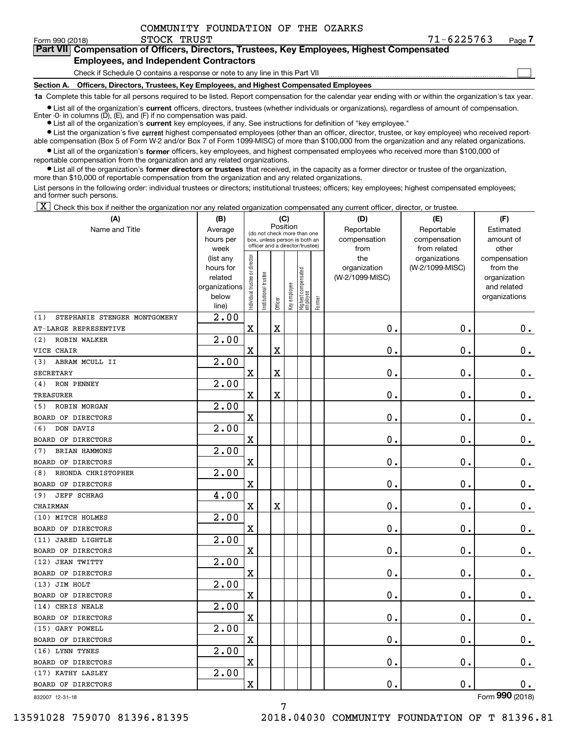**(A)**

 $\mathcal{L}^{\text{max}}$ 

**7Part VII Compensation of Officers, Directors, Trustees, Key Employees, Highest Compensated**

# **Employees, and Independent Contractors**

Check if Schedule O contains a response or note to any line in this Part VII

**Section A. Officers, Directors, Trustees, Key Employees, and Highest Compensated Employees**

**1a**  Complete this table for all persons required to be listed. Report compensation for the calendar year ending with or within the organization's tax year.

**•** List all of the organization's current officers, directors, trustees (whether individuals or organizations), regardless of amount of compensation. Enter -0- in columns  $(D)$ ,  $(E)$ , and  $(F)$  if no compensation was paid.

● List all of the organization's **current** key employees, if any. See instructions for definition of "key employee."

**•** List the organization's five current highest compensated employees (other than an officer, director, trustee, or key employee) who received reportable compensation (Box 5 of Form W-2 and/or Box 7 of Form 1099-MISC) of more than \$100,000 from the organization and any related organizations.

 $\bullet$  List all of the organization's **former** officers, key employees, and highest compensated employees who received more than \$100,000 of reportable compensation from the organization and any related organizations.

**•** List all of the organization's former directors or trustees that received, in the capacity as a former director or trustee of the organization, more than \$10,000 of reportable compensation from the organization and any related organizations.

List persons in the following order: individual trustees or directors; institutional trustees; officers; key employees; highest compensated employees; and former such persons.

 $\boxed{\textbf{X}}$  Check this box if neither the organization nor any related organization compensated any current officer, director, or trustee.

| (A)                                 | (B)               |                                |                       |                         | (C)          |                                                                  |        | (D)                  | (E)                          | (F)                |
|-------------------------------------|-------------------|--------------------------------|-----------------------|-------------------------|--------------|------------------------------------------------------------------|--------|----------------------|------------------------------|--------------------|
| Name and Title                      | Average           |                                |                       | Position                |              | (do not check more than one                                      |        | Reportable           | Reportable                   | Estimated          |
|                                     | hours per<br>week |                                |                       |                         |              | box, unless person is both an<br>officer and a director/trustee) |        | compensation<br>from | compensation<br>from related | amount of<br>other |
|                                     | (list any         |                                |                       |                         |              |                                                                  |        | the                  | organizations                | compensation       |
|                                     | hours for         |                                |                       |                         |              |                                                                  |        | organization         | (W-2/1099-MISC)              | from the           |
|                                     | related           |                                |                       |                         |              |                                                                  |        | (W-2/1099-MISC)      |                              | organization       |
|                                     | organizations     |                                |                       |                         |              |                                                                  |        |                      |                              | and related        |
|                                     | below             | Individual trustee or director | Institutional trustee | Officer                 | Key employee | Highest compensated<br>employee                                  | Former |                      |                              | organizations      |
|                                     | line)             |                                |                       |                         |              |                                                                  |        |                      |                              |                    |
| STEPHANIE STENGER MONTGOMERY<br>(1) | 2.00              |                                |                       |                         |              |                                                                  |        |                      |                              |                    |
| AT-LARGE REPRESENTIVE               |                   | $\mathbf X$                    |                       | $\mathbf X$             |              |                                                                  |        | $\mathbf 0$ .        | 0.                           | $\mathbf 0$ .      |
| ROBIN WALKER<br>(2)                 | 2.00              |                                |                       |                         |              |                                                                  |        |                      |                              |                    |
| VICE CHAIR                          |                   | $\mathbf X$                    |                       | $\rm X$                 |              |                                                                  |        | $\mathbf 0$ .        | $\mathbf 0$ .                | $\mathbf 0$ .      |
| (3)<br>ABRAM MCULL II               | 2.00              |                                |                       |                         |              |                                                                  |        |                      |                              |                    |
| <b>SECRETARY</b>                    |                   | $\mathbf X$                    |                       | $\overline{\mathbf{X}}$ |              |                                                                  |        | $\mathbf 0$ .        | $\mathbf 0$ .                | 0.                 |
| RON PENNEY<br>(4)                   | 2.00              |                                |                       |                         |              |                                                                  |        |                      |                              |                    |
| <b>TREASURER</b>                    |                   | $\mathbf X$                    |                       | $\mathbf X$             |              |                                                                  |        | $\mathbf 0$ .        | $\mathbf 0$ .                | $0_{.}$            |
| ROBIN MORGAN<br>(5)                 | 2.00              |                                |                       |                         |              |                                                                  |        |                      |                              |                    |
| BOARD OF DIRECTORS                  |                   | $\mathbf x$                    |                       |                         |              |                                                                  |        | $\mathbf 0$ .        | $\mathbf 0$ .                | $\mathbf 0$ .      |
| DON DAVIS<br>(6)                    | 2.00              |                                |                       |                         |              |                                                                  |        |                      |                              |                    |
| BOARD OF DIRECTORS                  |                   | $\mathbf X$                    |                       |                         |              |                                                                  |        | $\mathbf 0$ .        | $\mathbf 0$ .                | $\mathbf 0$ .      |
| BRIAN HAMMONS<br>(7)                | 2.00              |                                |                       |                         |              |                                                                  |        |                      |                              |                    |
| BOARD OF DIRECTORS                  |                   | $\mathbf X$                    |                       |                         |              |                                                                  |        | $\mathbf 0$ .        | $\mathbf 0$ .                | $0_{.}$            |
| RHONDA CHRISTOPHER<br>(8)           | 2.00              |                                |                       |                         |              |                                                                  |        |                      |                              |                    |
| BOARD OF DIRECTORS                  |                   | $\mathbf X$                    |                       |                         |              |                                                                  |        | $\mathbf 0$ .        | $\mathbf 0$ .                | $\mathbf 0$ .      |
| <b>JEFF SCHRAG</b><br>(9)           | 4.00              |                                |                       |                         |              |                                                                  |        |                      |                              |                    |
| CHAIRMAN                            |                   | $\mathbf X$                    |                       | $\mathbf X$             |              |                                                                  |        | $\mathbf 0$ .        | $\mathbf 0$ .                | $\mathbf 0$ .      |
| (10) MITCH HOLMES                   | 2.00              |                                |                       |                         |              |                                                                  |        |                      |                              |                    |
| BOARD OF DIRECTORS                  |                   | $\mathbf X$                    |                       |                         |              |                                                                  |        | $\mathbf 0$ .        | $\mathbf 0$ .                | $0$ .              |
| (11) JARED LIGHTLE                  | 2.00              |                                |                       |                         |              |                                                                  |        |                      |                              |                    |
| BOARD OF DIRECTORS                  |                   | $\mathbf X$                    |                       |                         |              |                                                                  |        | $\mathbf 0$ .        | 0.                           | 0.                 |
| (12) JEAN TWITTY                    | 2.00              |                                |                       |                         |              |                                                                  |        |                      |                              |                    |
| BOARD OF DIRECTORS                  |                   | X                              |                       |                         |              |                                                                  |        | $\mathbf 0$ .        | $\mathbf 0$ .                | $\mathbf 0$ .      |
| (13) JIM HOLT                       | 2.00              |                                |                       |                         |              |                                                                  |        |                      |                              |                    |
| BOARD OF DIRECTORS                  |                   | $\mathbf X$                    |                       |                         |              |                                                                  |        | $\mathbf 0$ .        | $\mathbf 0$ .                | $\mathbf 0$ .      |
| (14) CHRIS NEALE                    | $\overline{2.00}$ |                                |                       |                         |              |                                                                  |        |                      |                              |                    |
| BOARD OF DIRECTORS                  |                   | $\mathbf x$                    |                       |                         |              |                                                                  |        | $\mathbf 0$ .        | $\mathbf 0$ .                | $0$ .              |
| (15) GARY POWELL                    | 2.00              |                                |                       |                         |              |                                                                  |        |                      |                              |                    |
| BOARD OF DIRECTORS                  |                   | $\mathbf X$                    |                       |                         |              |                                                                  |        | о.                   | 0.                           | $0_{.}$            |
| (16) LYNN TYNES                     | 2.00              |                                |                       |                         |              |                                                                  |        |                      |                              |                    |
| BOARD OF DIRECTORS                  |                   | $\mathbf X$                    |                       |                         |              |                                                                  |        | $\mathbf 0$ .        | $\mathbf 0$ .                | $0$ .              |
| (17) KATHY LASLEY                   | 2.00              |                                |                       |                         |              |                                                                  |        |                      |                              |                    |
| BOARD OF DIRECTORS                  |                   | $\mathbf X$                    |                       |                         |              |                                                                  |        | $\mathbf 0$ .        | $\mathbf 0$ .                | $0$ .              |
| 832007 12-31-18                     |                   |                                |                       |                         |              |                                                                  |        |                      |                              | Form 990 (2018)    |

832007 12-31-18

13591028 759070 81396.81395 2018.04030 COMMUNITY FOUNDATION OF T 81396.81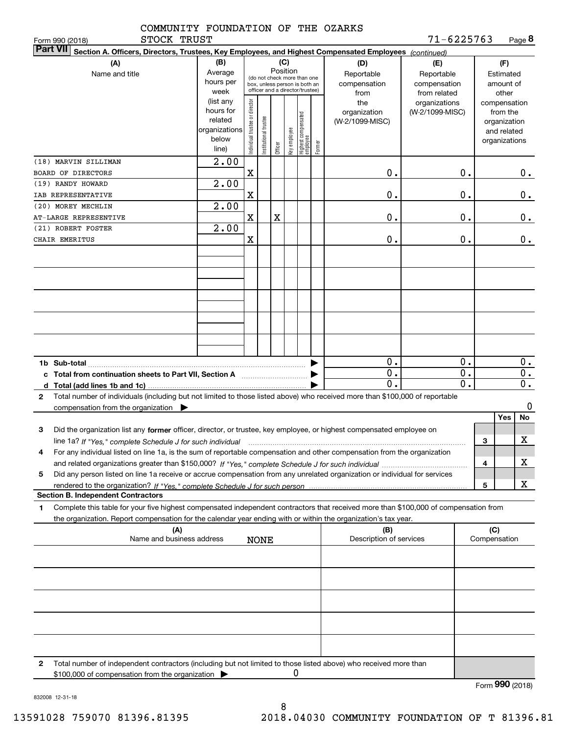|              | COMMUNITY FOUNDATION OF THE OZARKS |  |  |
|--------------|------------------------------------|--|--|
| STOCK TRIIST |                                    |  |  |

| STOCK TRUST<br>Form 990 (2018)                                                                                                                       |                   |                                |                        |          |              |                                                              |                         | 71-6225763      |    |              | Page 8        |                  |
|------------------------------------------------------------------------------------------------------------------------------------------------------|-------------------|--------------------------------|------------------------|----------|--------------|--------------------------------------------------------------|-------------------------|-----------------|----|--------------|---------------|------------------|
| <b>Part VII</b><br>Section A. Officers, Directors, Trustees, Key Employees, and Highest Compensated Employees (continued)                            |                   |                                |                        |          |              |                                                              |                         |                 |    |              |               |                  |
| (A)                                                                                                                                                  | (B)               |                                |                        | (C)      |              |                                                              | (D)                     | (E)             |    |              | (F)           |                  |
| Name and title                                                                                                                                       | Average           |                                |                        | Position |              |                                                              | Reportable              | Reportable      |    |              | Estimated     |                  |
|                                                                                                                                                      | hours per         |                                |                        |          |              | (do not check more than one<br>box, unless person is both an | compensation            | compensation    |    |              | amount of     |                  |
|                                                                                                                                                      | week              |                                |                        |          |              | officer and a director/trustee)                              | from                    | from related    |    |              | other         |                  |
|                                                                                                                                                      | (list any         |                                |                        |          |              |                                                              | the                     | organizations   |    |              | compensation  |                  |
|                                                                                                                                                      | hours for         |                                |                        |          |              |                                                              | organization            | (W-2/1099-MISC) |    |              | from the      |                  |
|                                                                                                                                                      | related           |                                |                        |          |              |                                                              | (W-2/1099-MISC)         |                 |    |              | organization  |                  |
|                                                                                                                                                      | organizations     |                                |                        |          |              |                                                              |                         |                 |    |              | and related   |                  |
|                                                                                                                                                      | below             |                                |                        |          |              |                                                              |                         |                 |    |              | organizations |                  |
|                                                                                                                                                      | line)             | Individual trustee or director | In stitutional trustee | Officer  | Key employee | Highest compensated<br> employee<br>Former                   |                         |                 |    |              |               |                  |
| (18) MARVIN SILLIMAN                                                                                                                                 | $\overline{2.00}$ |                                |                        |          |              |                                                              |                         |                 |    |              |               |                  |
|                                                                                                                                                      |                   |                                |                        |          |              |                                                              |                         |                 |    |              |               |                  |
| BOARD OF DIRECTORS                                                                                                                                   |                   | X                              |                        |          |              |                                                              | 0.                      |                 | 0. |              |               | 0.               |
| (19) RANDY HOWARD                                                                                                                                    | $\overline{2.00}$ |                                |                        |          |              |                                                              |                         |                 |    |              |               |                  |
| IAB REPRESENTATIVE                                                                                                                                   |                   | X                              |                        |          |              |                                                              | 0.                      |                 | 0. |              |               | 0.               |
| (20) MOREY MECHLIN                                                                                                                                   | $\overline{2.00}$ |                                |                        |          |              |                                                              |                         |                 |    |              |               |                  |
| AT-LARGE REPRESENTIVE                                                                                                                                |                   | X                              |                        | X        |              |                                                              | 0.                      |                 | 0. |              |               | 0.               |
| (21) ROBERT FOSTER                                                                                                                                   | $\overline{2.00}$ |                                |                        |          |              |                                                              |                         |                 |    |              |               |                  |
| CHAIR EMERITUS                                                                                                                                       |                   | X                              |                        |          |              |                                                              | 0.                      |                 | 0. |              |               | 0.               |
|                                                                                                                                                      |                   |                                |                        |          |              |                                                              |                         |                 |    |              |               |                  |
|                                                                                                                                                      |                   |                                |                        |          |              |                                                              |                         |                 |    |              |               |                  |
|                                                                                                                                                      |                   |                                |                        |          |              |                                                              |                         |                 |    |              |               |                  |
|                                                                                                                                                      |                   |                                |                        |          |              |                                                              |                         |                 |    |              |               |                  |
|                                                                                                                                                      |                   |                                |                        |          |              |                                                              |                         |                 |    |              |               |                  |
|                                                                                                                                                      |                   |                                |                        |          |              |                                                              |                         |                 |    |              |               |                  |
|                                                                                                                                                      |                   |                                |                        |          |              |                                                              |                         |                 |    |              |               |                  |
|                                                                                                                                                      |                   |                                |                        |          |              |                                                              |                         |                 |    |              |               |                  |
|                                                                                                                                                      |                   |                                |                        |          |              |                                                              |                         |                 |    |              |               |                  |
|                                                                                                                                                      |                   |                                |                        |          |              |                                                              |                         |                 |    |              |               |                  |
|                                                                                                                                                      |                   |                                |                        |          |              |                                                              |                         |                 |    |              |               |                  |
|                                                                                                                                                      |                   |                                |                        |          |              |                                                              |                         |                 |    |              |               |                  |
|                                                                                                                                                      |                   |                                |                        |          |              |                                                              | 0.                      |                 | 0. |              |               | $\overline{0}$ . |
| c Total from continuation sheets to Part VII, Section A                                                                                              |                   |                                |                        |          |              |                                                              | 0.                      |                 | 0. |              |               | 0.               |
|                                                                                                                                                      |                   |                                |                        |          |              |                                                              | $\mathbf 0$ .           |                 | 0. |              |               | $\overline{0}$ . |
| Total number of individuals (including but not limited to those listed above) who received more than \$100,000 of reportable<br>$\mathbf{2}$         |                   |                                |                        |          |              |                                                              |                         |                 |    |              |               |                  |
|                                                                                                                                                      |                   |                                |                        |          |              |                                                              |                         |                 |    |              |               | 0                |
| compensation from the organization $\blacktriangleright$                                                                                             |                   |                                |                        |          |              |                                                              |                         |                 |    |              |               |                  |
|                                                                                                                                                      |                   |                                |                        |          |              |                                                              |                         |                 |    |              | Yes           | No               |
| 3<br>Did the organization list any former officer, director, or trustee, key employee, or highest compensated employee on                            |                   |                                |                        |          |              |                                                              |                         |                 |    |              |               |                  |
| line 1a? If "Yes," complete Schedule J for such individual manufactured contained and the line 1a? If "Yes," complete Schedule J for such individual |                   |                                |                        |          |              |                                                              |                         |                 |    | З            |               | X                |
| For any individual listed on line 1a, is the sum of reportable compensation and other compensation from the organization                             |                   |                                |                        |          |              |                                                              |                         |                 |    |              |               |                  |
|                                                                                                                                                      |                   |                                |                        |          |              |                                                              |                         |                 |    | 4            |               | х                |
| Did any person listed on line 1a receive or accrue compensation from any unrelated organization or individual for services<br>5                      |                   |                                |                        |          |              |                                                              |                         |                 |    |              |               |                  |
|                                                                                                                                                      |                   |                                |                        |          |              |                                                              |                         |                 |    |              |               | x                |
|                                                                                                                                                      |                   |                                |                        |          |              |                                                              |                         |                 |    | 5            |               |                  |
| <b>Section B. Independent Contractors</b>                                                                                                            |                   |                                |                        |          |              |                                                              |                         |                 |    |              |               |                  |
| Complete this table for your five highest compensated independent contractors that received more than \$100,000 of compensation from<br>1            |                   |                                |                        |          |              |                                                              |                         |                 |    |              |               |                  |
| the organization. Report compensation for the calendar year ending with or within the organization's tax year.                                       |                   |                                |                        |          |              |                                                              |                         |                 |    |              |               |                  |
| (A)                                                                                                                                                  |                   |                                |                        |          |              |                                                              | (B)                     |                 |    | (C)          |               |                  |
| Name and business address                                                                                                                            |                   |                                | <b>NONE</b>            |          |              |                                                              | Description of services |                 |    | Compensation |               |                  |
|                                                                                                                                                      |                   |                                |                        |          |              |                                                              |                         |                 |    |              |               |                  |
|                                                                                                                                                      |                   |                                |                        |          |              |                                                              |                         |                 |    |              |               |                  |
|                                                                                                                                                      |                   |                                |                        |          |              |                                                              |                         |                 |    |              |               |                  |
|                                                                                                                                                      |                   |                                |                        |          |              |                                                              |                         |                 |    |              |               |                  |
|                                                                                                                                                      |                   |                                |                        |          |              |                                                              |                         |                 |    |              |               |                  |
|                                                                                                                                                      |                   |                                |                        |          |              |                                                              |                         |                 |    |              |               |                  |
|                                                                                                                                                      |                   |                                |                        |          |              |                                                              |                         |                 |    |              |               |                  |
|                                                                                                                                                      |                   |                                |                        |          |              |                                                              |                         |                 |    |              |               |                  |
|                                                                                                                                                      |                   |                                |                        |          |              |                                                              |                         |                 |    |              |               |                  |
|                                                                                                                                                      |                   |                                |                        |          |              |                                                              |                         |                 |    |              |               |                  |
|                                                                                                                                                      |                   |                                |                        |          |              |                                                              |                         |                 |    |              |               |                  |
|                                                                                                                                                      |                   |                                |                        |          |              |                                                              |                         |                 |    |              |               |                  |
| Total number of independent contractors (including but not limited to those listed above) who received more than<br>2                                |                   |                                |                        |          |              |                                                              |                         |                 |    |              |               |                  |
| \$100,000 of compensation from the organization                                                                                                      |                   |                                |                        |          | 0            |                                                              |                         |                 |    |              |               |                  |

Form (2018) **990**

832008 12-31-18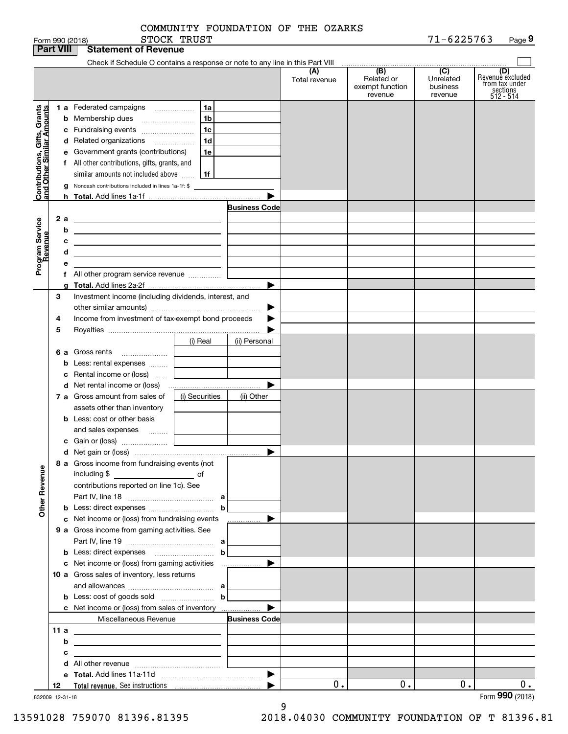| COMMUNITY FOUNDATION OF THE OZARKS |
|------------------------------------|
|------------------------------------|

| Check if Schedule O contains a response or note to any line in this Part VIII<br>(B)<br>(C)<br>(A)<br>(D)<br>Revenuè excluded<br>Related or<br>Unrelated<br>Total revenue<br>from tax under<br>exempt function<br>business<br>sections<br>512 - 514<br>revenue<br>revenue<br>Contributions, Gifts, Grants<br>and Other Similar Amounts<br><b>1 a</b> Federated campaigns<br>1a<br>1 <sub>b</sub><br>Membership dues<br>b<br>1c<br>Fundraising events<br>c<br>1 <sub>d</sub><br>d Related organizations<br>Government grants (contributions)<br>1e<br>е<br>f All other contributions, gifts, grants, and<br>similar amounts not included above<br>1f<br>Noncash contributions included in lines 1a-1f: \$<br>g<br><b>Business Code</b><br>2a<br>Program Service<br>Revenue<br><u> 1989 - Johann Barn, amerikansk politiker (</u><br>b<br><u> 1989 - Johann Stein, marwolaethau (b. 1989)</u><br>с<br>d<br><u> 1989 - Johann Stein, marwolaethau a bhann an t-Amhair an t-Amhair an t-Amhair an t-Amhair an t-Amhair an t-A</u><br>f All other program service revenue<br>▶<br>3<br>Investment income (including dividends, interest, and<br>Income from investment of tax-exempt bond proceeds<br>4<br>5<br>(i) Real<br>(ii) Personal<br>6 a Gross rents<br>Less: rental expenses<br>b<br>Rental income or (loss)<br>▶<br>7 a Gross amount from sales of<br>(i) Securities<br>(ii) Other<br>assets other than inventory<br><b>b</b> Less: cost or other basis<br>and sales expenses<br>▶<br>8 a Gross income from fundraising events (not<br><b>Other Revenue</b><br>including \$<br>$\overline{\phantom{a}}$ of<br>contributions reported on line 1c). See<br>c Net income or (loss) from fundraising events<br><u> …………</u> …… ▶<br>9 a Gross income from gaming activities. See<br>$\mathbf b$<br>10 a Gross sales of inventory, less returns<br><b>b</b> Less: cost of goods sold $\ldots$ $\ldots$ <b>b</b><br>▶<br>c Net income or (loss) from sales of inventory<br>Miscellaneous Revenue<br><b>Business Code</b><br>11 a<br><u> 1989 - Johann Barn, fransk politik amerikansk politik (</u><br>b<br><u> 1989 - Andrea State Barbara, amerikan personal di personal dengan personal dengan personal dengan personal d</u><br>с<br>$0$ .<br>0.<br>0.<br>0.<br>12<br>832009 12-31-18 |  | <b>Part VIII</b> | <b>Statement of Revenue</b> |  |  |                 |
|------------------------------------------------------------------------------------------------------------------------------------------------------------------------------------------------------------------------------------------------------------------------------------------------------------------------------------------------------------------------------------------------------------------------------------------------------------------------------------------------------------------------------------------------------------------------------------------------------------------------------------------------------------------------------------------------------------------------------------------------------------------------------------------------------------------------------------------------------------------------------------------------------------------------------------------------------------------------------------------------------------------------------------------------------------------------------------------------------------------------------------------------------------------------------------------------------------------------------------------------------------------------------------------------------------------------------------------------------------------------------------------------------------------------------------------------------------------------------------------------------------------------------------------------------------------------------------------------------------------------------------------------------------------------------------------------------------------------------------------------------------------------------------------------------------------------------------------------------------------------------------------------------------------------------------------------------------------------------------------------------------------------------------------------------------------------------------------------------------------------------------------------------------------------------------------------------------------------------------------------------------------------------------------|--|------------------|-----------------------------|--|--|-----------------|
|                                                                                                                                                                                                                                                                                                                                                                                                                                                                                                                                                                                                                                                                                                                                                                                                                                                                                                                                                                                                                                                                                                                                                                                                                                                                                                                                                                                                                                                                                                                                                                                                                                                                                                                                                                                                                                                                                                                                                                                                                                                                                                                                                                                                                                                                                          |  |                  |                             |  |  |                 |
|                                                                                                                                                                                                                                                                                                                                                                                                                                                                                                                                                                                                                                                                                                                                                                                                                                                                                                                                                                                                                                                                                                                                                                                                                                                                                                                                                                                                                                                                                                                                                                                                                                                                                                                                                                                                                                                                                                                                                                                                                                                                                                                                                                                                                                                                                          |  |                  |                             |  |  |                 |
|                                                                                                                                                                                                                                                                                                                                                                                                                                                                                                                                                                                                                                                                                                                                                                                                                                                                                                                                                                                                                                                                                                                                                                                                                                                                                                                                                                                                                                                                                                                                                                                                                                                                                                                                                                                                                                                                                                                                                                                                                                                                                                                                                                                                                                                                                          |  |                  |                             |  |  |                 |
|                                                                                                                                                                                                                                                                                                                                                                                                                                                                                                                                                                                                                                                                                                                                                                                                                                                                                                                                                                                                                                                                                                                                                                                                                                                                                                                                                                                                                                                                                                                                                                                                                                                                                                                                                                                                                                                                                                                                                                                                                                                                                                                                                                                                                                                                                          |  |                  |                             |  |  |                 |
|                                                                                                                                                                                                                                                                                                                                                                                                                                                                                                                                                                                                                                                                                                                                                                                                                                                                                                                                                                                                                                                                                                                                                                                                                                                                                                                                                                                                                                                                                                                                                                                                                                                                                                                                                                                                                                                                                                                                                                                                                                                                                                                                                                                                                                                                                          |  |                  |                             |  |  |                 |
|                                                                                                                                                                                                                                                                                                                                                                                                                                                                                                                                                                                                                                                                                                                                                                                                                                                                                                                                                                                                                                                                                                                                                                                                                                                                                                                                                                                                                                                                                                                                                                                                                                                                                                                                                                                                                                                                                                                                                                                                                                                                                                                                                                                                                                                                                          |  |                  |                             |  |  |                 |
|                                                                                                                                                                                                                                                                                                                                                                                                                                                                                                                                                                                                                                                                                                                                                                                                                                                                                                                                                                                                                                                                                                                                                                                                                                                                                                                                                                                                                                                                                                                                                                                                                                                                                                                                                                                                                                                                                                                                                                                                                                                                                                                                                                                                                                                                                          |  |                  |                             |  |  |                 |
|                                                                                                                                                                                                                                                                                                                                                                                                                                                                                                                                                                                                                                                                                                                                                                                                                                                                                                                                                                                                                                                                                                                                                                                                                                                                                                                                                                                                                                                                                                                                                                                                                                                                                                                                                                                                                                                                                                                                                                                                                                                                                                                                                                                                                                                                                          |  |                  |                             |  |  |                 |
|                                                                                                                                                                                                                                                                                                                                                                                                                                                                                                                                                                                                                                                                                                                                                                                                                                                                                                                                                                                                                                                                                                                                                                                                                                                                                                                                                                                                                                                                                                                                                                                                                                                                                                                                                                                                                                                                                                                                                                                                                                                                                                                                                                                                                                                                                          |  |                  |                             |  |  |                 |
|                                                                                                                                                                                                                                                                                                                                                                                                                                                                                                                                                                                                                                                                                                                                                                                                                                                                                                                                                                                                                                                                                                                                                                                                                                                                                                                                                                                                                                                                                                                                                                                                                                                                                                                                                                                                                                                                                                                                                                                                                                                                                                                                                                                                                                                                                          |  |                  |                             |  |  |                 |
|                                                                                                                                                                                                                                                                                                                                                                                                                                                                                                                                                                                                                                                                                                                                                                                                                                                                                                                                                                                                                                                                                                                                                                                                                                                                                                                                                                                                                                                                                                                                                                                                                                                                                                                                                                                                                                                                                                                                                                                                                                                                                                                                                                                                                                                                                          |  |                  |                             |  |  |                 |
|                                                                                                                                                                                                                                                                                                                                                                                                                                                                                                                                                                                                                                                                                                                                                                                                                                                                                                                                                                                                                                                                                                                                                                                                                                                                                                                                                                                                                                                                                                                                                                                                                                                                                                                                                                                                                                                                                                                                                                                                                                                                                                                                                                                                                                                                                          |  |                  |                             |  |  |                 |
|                                                                                                                                                                                                                                                                                                                                                                                                                                                                                                                                                                                                                                                                                                                                                                                                                                                                                                                                                                                                                                                                                                                                                                                                                                                                                                                                                                                                                                                                                                                                                                                                                                                                                                                                                                                                                                                                                                                                                                                                                                                                                                                                                                                                                                                                                          |  |                  |                             |  |  |                 |
|                                                                                                                                                                                                                                                                                                                                                                                                                                                                                                                                                                                                                                                                                                                                                                                                                                                                                                                                                                                                                                                                                                                                                                                                                                                                                                                                                                                                                                                                                                                                                                                                                                                                                                                                                                                                                                                                                                                                                                                                                                                                                                                                                                                                                                                                                          |  |                  |                             |  |  |                 |
|                                                                                                                                                                                                                                                                                                                                                                                                                                                                                                                                                                                                                                                                                                                                                                                                                                                                                                                                                                                                                                                                                                                                                                                                                                                                                                                                                                                                                                                                                                                                                                                                                                                                                                                                                                                                                                                                                                                                                                                                                                                                                                                                                                                                                                                                                          |  |                  |                             |  |  |                 |
|                                                                                                                                                                                                                                                                                                                                                                                                                                                                                                                                                                                                                                                                                                                                                                                                                                                                                                                                                                                                                                                                                                                                                                                                                                                                                                                                                                                                                                                                                                                                                                                                                                                                                                                                                                                                                                                                                                                                                                                                                                                                                                                                                                                                                                                                                          |  |                  |                             |  |  |                 |
|                                                                                                                                                                                                                                                                                                                                                                                                                                                                                                                                                                                                                                                                                                                                                                                                                                                                                                                                                                                                                                                                                                                                                                                                                                                                                                                                                                                                                                                                                                                                                                                                                                                                                                                                                                                                                                                                                                                                                                                                                                                                                                                                                                                                                                                                                          |  |                  |                             |  |  |                 |
|                                                                                                                                                                                                                                                                                                                                                                                                                                                                                                                                                                                                                                                                                                                                                                                                                                                                                                                                                                                                                                                                                                                                                                                                                                                                                                                                                                                                                                                                                                                                                                                                                                                                                                                                                                                                                                                                                                                                                                                                                                                                                                                                                                                                                                                                                          |  |                  |                             |  |  |                 |
|                                                                                                                                                                                                                                                                                                                                                                                                                                                                                                                                                                                                                                                                                                                                                                                                                                                                                                                                                                                                                                                                                                                                                                                                                                                                                                                                                                                                                                                                                                                                                                                                                                                                                                                                                                                                                                                                                                                                                                                                                                                                                                                                                                                                                                                                                          |  |                  |                             |  |  |                 |
|                                                                                                                                                                                                                                                                                                                                                                                                                                                                                                                                                                                                                                                                                                                                                                                                                                                                                                                                                                                                                                                                                                                                                                                                                                                                                                                                                                                                                                                                                                                                                                                                                                                                                                                                                                                                                                                                                                                                                                                                                                                                                                                                                                                                                                                                                          |  |                  |                             |  |  |                 |
|                                                                                                                                                                                                                                                                                                                                                                                                                                                                                                                                                                                                                                                                                                                                                                                                                                                                                                                                                                                                                                                                                                                                                                                                                                                                                                                                                                                                                                                                                                                                                                                                                                                                                                                                                                                                                                                                                                                                                                                                                                                                                                                                                                                                                                                                                          |  |                  |                             |  |  |                 |
|                                                                                                                                                                                                                                                                                                                                                                                                                                                                                                                                                                                                                                                                                                                                                                                                                                                                                                                                                                                                                                                                                                                                                                                                                                                                                                                                                                                                                                                                                                                                                                                                                                                                                                                                                                                                                                                                                                                                                                                                                                                                                                                                                                                                                                                                                          |  |                  |                             |  |  |                 |
|                                                                                                                                                                                                                                                                                                                                                                                                                                                                                                                                                                                                                                                                                                                                                                                                                                                                                                                                                                                                                                                                                                                                                                                                                                                                                                                                                                                                                                                                                                                                                                                                                                                                                                                                                                                                                                                                                                                                                                                                                                                                                                                                                                                                                                                                                          |  |                  |                             |  |  |                 |
|                                                                                                                                                                                                                                                                                                                                                                                                                                                                                                                                                                                                                                                                                                                                                                                                                                                                                                                                                                                                                                                                                                                                                                                                                                                                                                                                                                                                                                                                                                                                                                                                                                                                                                                                                                                                                                                                                                                                                                                                                                                                                                                                                                                                                                                                                          |  |                  |                             |  |  |                 |
|                                                                                                                                                                                                                                                                                                                                                                                                                                                                                                                                                                                                                                                                                                                                                                                                                                                                                                                                                                                                                                                                                                                                                                                                                                                                                                                                                                                                                                                                                                                                                                                                                                                                                                                                                                                                                                                                                                                                                                                                                                                                                                                                                                                                                                                                                          |  |                  |                             |  |  |                 |
|                                                                                                                                                                                                                                                                                                                                                                                                                                                                                                                                                                                                                                                                                                                                                                                                                                                                                                                                                                                                                                                                                                                                                                                                                                                                                                                                                                                                                                                                                                                                                                                                                                                                                                                                                                                                                                                                                                                                                                                                                                                                                                                                                                                                                                                                                          |  |                  |                             |  |  |                 |
|                                                                                                                                                                                                                                                                                                                                                                                                                                                                                                                                                                                                                                                                                                                                                                                                                                                                                                                                                                                                                                                                                                                                                                                                                                                                                                                                                                                                                                                                                                                                                                                                                                                                                                                                                                                                                                                                                                                                                                                                                                                                                                                                                                                                                                                                                          |  |                  |                             |  |  |                 |
|                                                                                                                                                                                                                                                                                                                                                                                                                                                                                                                                                                                                                                                                                                                                                                                                                                                                                                                                                                                                                                                                                                                                                                                                                                                                                                                                                                                                                                                                                                                                                                                                                                                                                                                                                                                                                                                                                                                                                                                                                                                                                                                                                                                                                                                                                          |  |                  |                             |  |  |                 |
|                                                                                                                                                                                                                                                                                                                                                                                                                                                                                                                                                                                                                                                                                                                                                                                                                                                                                                                                                                                                                                                                                                                                                                                                                                                                                                                                                                                                                                                                                                                                                                                                                                                                                                                                                                                                                                                                                                                                                                                                                                                                                                                                                                                                                                                                                          |  |                  |                             |  |  |                 |
|                                                                                                                                                                                                                                                                                                                                                                                                                                                                                                                                                                                                                                                                                                                                                                                                                                                                                                                                                                                                                                                                                                                                                                                                                                                                                                                                                                                                                                                                                                                                                                                                                                                                                                                                                                                                                                                                                                                                                                                                                                                                                                                                                                                                                                                                                          |  |                  |                             |  |  |                 |
|                                                                                                                                                                                                                                                                                                                                                                                                                                                                                                                                                                                                                                                                                                                                                                                                                                                                                                                                                                                                                                                                                                                                                                                                                                                                                                                                                                                                                                                                                                                                                                                                                                                                                                                                                                                                                                                                                                                                                                                                                                                                                                                                                                                                                                                                                          |  |                  |                             |  |  |                 |
|                                                                                                                                                                                                                                                                                                                                                                                                                                                                                                                                                                                                                                                                                                                                                                                                                                                                                                                                                                                                                                                                                                                                                                                                                                                                                                                                                                                                                                                                                                                                                                                                                                                                                                                                                                                                                                                                                                                                                                                                                                                                                                                                                                                                                                                                                          |  |                  |                             |  |  |                 |
|                                                                                                                                                                                                                                                                                                                                                                                                                                                                                                                                                                                                                                                                                                                                                                                                                                                                                                                                                                                                                                                                                                                                                                                                                                                                                                                                                                                                                                                                                                                                                                                                                                                                                                                                                                                                                                                                                                                                                                                                                                                                                                                                                                                                                                                                                          |  |                  |                             |  |  |                 |
|                                                                                                                                                                                                                                                                                                                                                                                                                                                                                                                                                                                                                                                                                                                                                                                                                                                                                                                                                                                                                                                                                                                                                                                                                                                                                                                                                                                                                                                                                                                                                                                                                                                                                                                                                                                                                                                                                                                                                                                                                                                                                                                                                                                                                                                                                          |  |                  |                             |  |  |                 |
|                                                                                                                                                                                                                                                                                                                                                                                                                                                                                                                                                                                                                                                                                                                                                                                                                                                                                                                                                                                                                                                                                                                                                                                                                                                                                                                                                                                                                                                                                                                                                                                                                                                                                                                                                                                                                                                                                                                                                                                                                                                                                                                                                                                                                                                                                          |  |                  |                             |  |  |                 |
|                                                                                                                                                                                                                                                                                                                                                                                                                                                                                                                                                                                                                                                                                                                                                                                                                                                                                                                                                                                                                                                                                                                                                                                                                                                                                                                                                                                                                                                                                                                                                                                                                                                                                                                                                                                                                                                                                                                                                                                                                                                                                                                                                                                                                                                                                          |  |                  |                             |  |  |                 |
|                                                                                                                                                                                                                                                                                                                                                                                                                                                                                                                                                                                                                                                                                                                                                                                                                                                                                                                                                                                                                                                                                                                                                                                                                                                                                                                                                                                                                                                                                                                                                                                                                                                                                                                                                                                                                                                                                                                                                                                                                                                                                                                                                                                                                                                                                          |  |                  |                             |  |  |                 |
|                                                                                                                                                                                                                                                                                                                                                                                                                                                                                                                                                                                                                                                                                                                                                                                                                                                                                                                                                                                                                                                                                                                                                                                                                                                                                                                                                                                                                                                                                                                                                                                                                                                                                                                                                                                                                                                                                                                                                                                                                                                                                                                                                                                                                                                                                          |  |                  |                             |  |  |                 |
|                                                                                                                                                                                                                                                                                                                                                                                                                                                                                                                                                                                                                                                                                                                                                                                                                                                                                                                                                                                                                                                                                                                                                                                                                                                                                                                                                                                                                                                                                                                                                                                                                                                                                                                                                                                                                                                                                                                                                                                                                                                                                                                                                                                                                                                                                          |  |                  |                             |  |  |                 |
|                                                                                                                                                                                                                                                                                                                                                                                                                                                                                                                                                                                                                                                                                                                                                                                                                                                                                                                                                                                                                                                                                                                                                                                                                                                                                                                                                                                                                                                                                                                                                                                                                                                                                                                                                                                                                                                                                                                                                                                                                                                                                                                                                                                                                                                                                          |  |                  |                             |  |  |                 |
|                                                                                                                                                                                                                                                                                                                                                                                                                                                                                                                                                                                                                                                                                                                                                                                                                                                                                                                                                                                                                                                                                                                                                                                                                                                                                                                                                                                                                                                                                                                                                                                                                                                                                                                                                                                                                                                                                                                                                                                                                                                                                                                                                                                                                                                                                          |  |                  |                             |  |  |                 |
|                                                                                                                                                                                                                                                                                                                                                                                                                                                                                                                                                                                                                                                                                                                                                                                                                                                                                                                                                                                                                                                                                                                                                                                                                                                                                                                                                                                                                                                                                                                                                                                                                                                                                                                                                                                                                                                                                                                                                                                                                                                                                                                                                                                                                                                                                          |  |                  |                             |  |  |                 |
|                                                                                                                                                                                                                                                                                                                                                                                                                                                                                                                                                                                                                                                                                                                                                                                                                                                                                                                                                                                                                                                                                                                                                                                                                                                                                                                                                                                                                                                                                                                                                                                                                                                                                                                                                                                                                                                                                                                                                                                                                                                                                                                                                                                                                                                                                          |  |                  |                             |  |  |                 |
|                                                                                                                                                                                                                                                                                                                                                                                                                                                                                                                                                                                                                                                                                                                                                                                                                                                                                                                                                                                                                                                                                                                                                                                                                                                                                                                                                                                                                                                                                                                                                                                                                                                                                                                                                                                                                                                                                                                                                                                                                                                                                                                                                                                                                                                                                          |  |                  |                             |  |  |                 |
|                                                                                                                                                                                                                                                                                                                                                                                                                                                                                                                                                                                                                                                                                                                                                                                                                                                                                                                                                                                                                                                                                                                                                                                                                                                                                                                                                                                                                                                                                                                                                                                                                                                                                                                                                                                                                                                                                                                                                                                                                                                                                                                                                                                                                                                                                          |  |                  |                             |  |  |                 |
|                                                                                                                                                                                                                                                                                                                                                                                                                                                                                                                                                                                                                                                                                                                                                                                                                                                                                                                                                                                                                                                                                                                                                                                                                                                                                                                                                                                                                                                                                                                                                                                                                                                                                                                                                                                                                                                                                                                                                                                                                                                                                                                                                                                                                                                                                          |  |                  |                             |  |  |                 |
|                                                                                                                                                                                                                                                                                                                                                                                                                                                                                                                                                                                                                                                                                                                                                                                                                                                                                                                                                                                                                                                                                                                                                                                                                                                                                                                                                                                                                                                                                                                                                                                                                                                                                                                                                                                                                                                                                                                                                                                                                                                                                                                                                                                                                                                                                          |  |                  |                             |  |  |                 |
|                                                                                                                                                                                                                                                                                                                                                                                                                                                                                                                                                                                                                                                                                                                                                                                                                                                                                                                                                                                                                                                                                                                                                                                                                                                                                                                                                                                                                                                                                                                                                                                                                                                                                                                                                                                                                                                                                                                                                                                                                                                                                                                                                                                                                                                                                          |  |                  |                             |  |  |                 |
|                                                                                                                                                                                                                                                                                                                                                                                                                                                                                                                                                                                                                                                                                                                                                                                                                                                                                                                                                                                                                                                                                                                                                                                                                                                                                                                                                                                                                                                                                                                                                                                                                                                                                                                                                                                                                                                                                                                                                                                                                                                                                                                                                                                                                                                                                          |  |                  |                             |  |  |                 |
|                                                                                                                                                                                                                                                                                                                                                                                                                                                                                                                                                                                                                                                                                                                                                                                                                                                                                                                                                                                                                                                                                                                                                                                                                                                                                                                                                                                                                                                                                                                                                                                                                                                                                                                                                                                                                                                                                                                                                                                                                                                                                                                                                                                                                                                                                          |  |                  |                             |  |  |                 |
|                                                                                                                                                                                                                                                                                                                                                                                                                                                                                                                                                                                                                                                                                                                                                                                                                                                                                                                                                                                                                                                                                                                                                                                                                                                                                                                                                                                                                                                                                                                                                                                                                                                                                                                                                                                                                                                                                                                                                                                                                                                                                                                                                                                                                                                                                          |  |                  |                             |  |  |                 |
|                                                                                                                                                                                                                                                                                                                                                                                                                                                                                                                                                                                                                                                                                                                                                                                                                                                                                                                                                                                                                                                                                                                                                                                                                                                                                                                                                                                                                                                                                                                                                                                                                                                                                                                                                                                                                                                                                                                                                                                                                                                                                                                                                                                                                                                                                          |  |                  |                             |  |  | Form 990 (2018) |

832009 12-31-18

9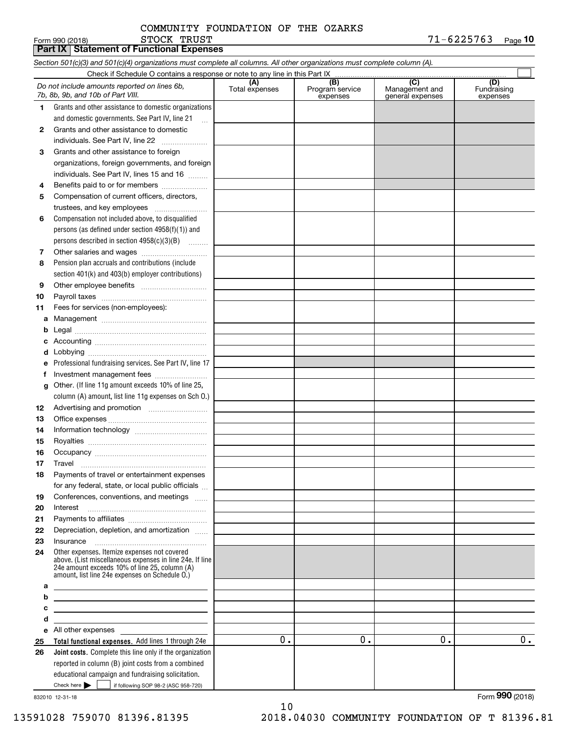# STOCK TRUST COMMUNITY FOUNDATION OF THE OZARKS

|          | <b>Part IX   Statement of Functional Expenses</b>                                                                                                           |                       |                                    |                                           |                                |
|----------|-------------------------------------------------------------------------------------------------------------------------------------------------------------|-----------------------|------------------------------------|-------------------------------------------|--------------------------------|
|          | Section 501(c)(3) and 501(c)(4) organizations must complete all columns. All other organizations must complete column (A).                                  |                       |                                    |                                           |                                |
|          | Check if Schedule O contains a response or note to any line in this Part IX                                                                                 |                       |                                    |                                           |                                |
|          | Do not include amounts reported on lines 6b,<br>7b, 8b, 9b, and 10b of Part VIII.                                                                           | (A)<br>Total expenses | (B)<br>Program service<br>expenses | (C)<br>Management and<br>general expenses | (D)<br>Fundraising<br>expenses |
| 1.       | Grants and other assistance to domestic organizations                                                                                                       |                       |                                    |                                           |                                |
|          | and domestic governments. See Part IV, line 21                                                                                                              |                       |                                    |                                           |                                |
| 2        | Grants and other assistance to domestic                                                                                                                     |                       |                                    |                                           |                                |
|          | individuals. See Part IV, line 22                                                                                                                           |                       |                                    |                                           |                                |
| 3        | Grants and other assistance to foreign                                                                                                                      |                       |                                    |                                           |                                |
|          | organizations, foreign governments, and foreign                                                                                                             |                       |                                    |                                           |                                |
|          | individuals. See Part IV, lines 15 and 16                                                                                                                   |                       |                                    |                                           |                                |
| 4        | Benefits paid to or for members                                                                                                                             |                       |                                    |                                           |                                |
| 5        | Compensation of current officers, directors,                                                                                                                |                       |                                    |                                           |                                |
|          | trustees, and key employees                                                                                                                                 |                       |                                    |                                           |                                |
| 6        | Compensation not included above, to disqualified                                                                                                            |                       |                                    |                                           |                                |
|          | persons (as defined under section 4958(f)(1)) and                                                                                                           |                       |                                    |                                           |                                |
|          | persons described in section 4958(c)(3)(B)                                                                                                                  |                       |                                    |                                           |                                |
| 7        |                                                                                                                                                             |                       |                                    |                                           |                                |
| 8        | Pension plan accruals and contributions (include                                                                                                            |                       |                                    |                                           |                                |
|          | section 401(k) and 403(b) employer contributions)                                                                                                           |                       |                                    |                                           |                                |
| 9        |                                                                                                                                                             |                       |                                    |                                           |                                |
| 10       |                                                                                                                                                             |                       |                                    |                                           |                                |
| 11       | Fees for services (non-employees):                                                                                                                          |                       |                                    |                                           |                                |
| а        |                                                                                                                                                             |                       |                                    |                                           |                                |
| b        |                                                                                                                                                             |                       |                                    |                                           |                                |
| с        |                                                                                                                                                             |                       |                                    |                                           |                                |
| d        |                                                                                                                                                             |                       |                                    |                                           |                                |
| е        | Professional fundraising services. See Part IV, line 17                                                                                                     |                       |                                    |                                           |                                |
| f        | Investment management fees                                                                                                                                  |                       |                                    |                                           |                                |
| g        | Other. (If line 11g amount exceeds 10% of line 25,                                                                                                          |                       |                                    |                                           |                                |
|          | column (A) amount, list line 11g expenses on Sch O.)                                                                                                        |                       |                                    |                                           |                                |
| 12       |                                                                                                                                                             |                       |                                    |                                           |                                |
| 13       |                                                                                                                                                             |                       |                                    |                                           |                                |
| 14       |                                                                                                                                                             |                       |                                    |                                           |                                |
| 15       |                                                                                                                                                             |                       |                                    |                                           |                                |
| 16       |                                                                                                                                                             |                       |                                    |                                           |                                |
| 17       | Travel                                                                                                                                                      |                       |                                    |                                           |                                |
| 18       | Payments of travel or entertainment expenses                                                                                                                |                       |                                    |                                           |                                |
|          | for any federal, state, or local public officials                                                                                                           |                       |                                    |                                           |                                |
| 19       | Conferences, conventions, and meetings                                                                                                                      |                       |                                    |                                           |                                |
| 20       | Interest                                                                                                                                                    |                       |                                    |                                           |                                |
| 21       | Depreciation, depletion, and amortization                                                                                                                   |                       |                                    |                                           |                                |
| 22<br>23 | Insurance                                                                                                                                                   |                       |                                    |                                           |                                |
| 24       | Other expenses. Itemize expenses not covered                                                                                                                |                       |                                    |                                           |                                |
|          | above. (List miscellaneous expenses in line 24e. If line<br>24e amount exceeds 10% of line 25, column (A)<br>amount, list line 24e expenses on Schedule O.) |                       |                                    |                                           |                                |
| а        |                                                                                                                                                             |                       |                                    |                                           |                                |
| b        | <u> 1989 - Johann Barn, amerikansk politiker (d. 1989)</u>                                                                                                  |                       |                                    |                                           |                                |
| с        | <u> 1989 - Johann Barn, mars ann an t-Amhain ann an t-Amhain ann an t-Amhain ann an t-Amhain ann an t-Amhain ann a</u>                                      |                       |                                    |                                           |                                |
| d        | <u> 1989 - Johann Barbara, martin amerikan basar dan berasal dan berasal dalam basar dalam basar dalam basar dala</u>                                       |                       |                                    |                                           |                                |
| е        | All other expenses                                                                                                                                          |                       |                                    |                                           |                                |
| 25       | Total functional expenses. Add lines 1 through 24e                                                                                                          | 0.                    | 0.                                 | 0.                                        | 0.                             |
| 26       | <b>Joint costs.</b> Complete this line only if the organization                                                                                             |                       |                                    |                                           |                                |
|          | reported in column (B) joint costs from a combined                                                                                                          |                       |                                    |                                           |                                |
|          | educational campaign and fundraising solicitation.                                                                                                          |                       |                                    |                                           |                                |
|          | Check here $\blacktriangleright$<br>if following SOP 98-2 (ASC 958-720)                                                                                     |                       |                                    |                                           |                                |
|          | 832010 12-31-18                                                                                                                                             |                       |                                    |                                           | Form 990 (2018)                |

832010 12-31-18

10 13591028 759070 81396.81395 2018.04030 COMMUNITY FOUNDATION OF T 81396.81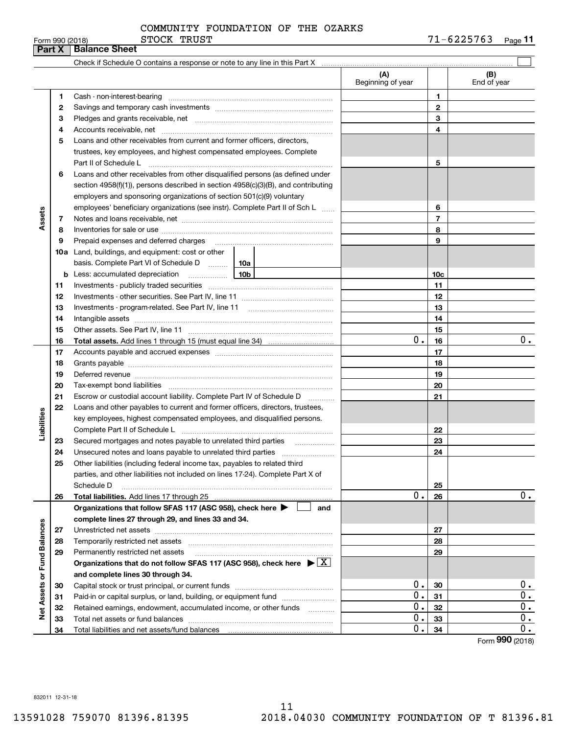#### Form 990 (2018) STOCK TRUST 7 1-6 2 2 5 7 6 3 <sub>Page</sub> 11 **Part X Balance Sheet** STOCK TRUST COMMUNITY FOUNDATION OF THE OZARKS

|                             |    | Check if Schedule O contains a response or note to any line in this Part X [11] manumerodic intermal manumerodic or                                                                                                            |        |                          |                 |                    |
|-----------------------------|----|--------------------------------------------------------------------------------------------------------------------------------------------------------------------------------------------------------------------------------|--------|--------------------------|-----------------|--------------------|
|                             |    |                                                                                                                                                                                                                                |        | (A)<br>Beginning of year |                 | (B)<br>End of year |
|                             | 1  |                                                                                                                                                                                                                                |        |                          | 1               |                    |
|                             | 2  |                                                                                                                                                                                                                                |        | $\mathbf{2}$             |                 |                    |
|                             | 3  |                                                                                                                                                                                                                                |        |                          | 3               |                    |
|                             | 4  |                                                                                                                                                                                                                                |        |                          | 4               |                    |
|                             | 5  | Loans and other receivables from current and former officers, directors,                                                                                                                                                       |        |                          |                 |                    |
|                             |    | trustees, key employees, and highest compensated employees. Complete                                                                                                                                                           |        |                          |                 |                    |
|                             |    | Part II of Schedule Latin minimum and the Contract of Schedule Latin minimum and the Marian minimum and the Schedule L                                                                                                         |        |                          | 5               |                    |
|                             | 6  | Loans and other receivables from other disqualified persons (as defined under                                                                                                                                                  |        |                          |                 |                    |
|                             |    | section 4958(f)(1)), persons described in section 4958(c)(3)(B), and contributing                                                                                                                                              |        |                          |                 |                    |
|                             |    | employers and sponsoring organizations of section 501(c)(9) voluntary                                                                                                                                                          |        |                          |                 |                    |
|                             |    | employees' beneficiary organizations (see instr). Complete Part II of Sch L                                                                                                                                                    |        |                          | 6               |                    |
| Assets                      | 7  |                                                                                                                                                                                                                                |        |                          | $\overline{7}$  |                    |
|                             | 8  |                                                                                                                                                                                                                                |        |                          | 8               |                    |
|                             | 9  | Prepaid expenses and deferred charges                                                                                                                                                                                          |        |                          | 9               |                    |
|                             |    | 10a Land, buildings, and equipment: cost or other                                                                                                                                                                              |        |                          |                 |                    |
|                             |    | basis. Complete Part VI of Schedule D  10a                                                                                                                                                                                     |        |                          |                 |                    |
|                             | b  | 10b<br>Less: accumulated depreciation                                                                                                                                                                                          |        |                          | 10 <sub>c</sub> |                    |
|                             | 11 |                                                                                                                                                                                                                                |        | 11                       |                 |                    |
|                             | 12 |                                                                                                                                                                                                                                |        |                          | 12              |                    |
|                             | 13 |                                                                                                                                                                                                                                |        |                          | 13              |                    |
|                             | 14 |                                                                                                                                                                                                                                |        |                          | 14              |                    |
|                             | 15 |                                                                                                                                                                                                                                |        |                          | 15              |                    |
|                             | 16 |                                                                                                                                                                                                                                |        | 0.                       | 16              | 0.                 |
|                             | 17 |                                                                                                                                                                                                                                |        |                          | 17              |                    |
|                             | 18 |                                                                                                                                                                                                                                |        | 18                       |                 |                    |
|                             | 19 | Deferred revenue manual contracts and contracts are all the contracts and contracts are contracted and contracts are contracted and contract are contracted and contract are contracted and contract are contracted and contra |        | 19                       |                 |                    |
|                             | 20 |                                                                                                                                                                                                                                |        |                          | 20              |                    |
|                             | 21 | Escrow or custodial account liability. Complete Part IV of Schedule D                                                                                                                                                          | $\sim$ |                          | 21              |                    |
|                             | 22 | Loans and other payables to current and former officers, directors, trustees,                                                                                                                                                  |        |                          |                 |                    |
| Liabilities                 |    | key employees, highest compensated employees, and disqualified persons.                                                                                                                                                        |        |                          |                 |                    |
|                             |    |                                                                                                                                                                                                                                |        |                          | 22              |                    |
|                             | 23 | Secured mortgages and notes payable to unrelated third parties                                                                                                                                                                 |        |                          | 23              |                    |
|                             | 24 |                                                                                                                                                                                                                                |        |                          | 24              |                    |
|                             | 25 | Other liabilities (including federal income tax, payables to related third                                                                                                                                                     |        |                          |                 |                    |
|                             |    | parties, and other liabilities not included on lines 17-24). Complete Part X of                                                                                                                                                |        |                          |                 |                    |
|                             |    | Schedule D                                                                                                                                                                                                                     |        |                          | 25              |                    |
|                             | 26 |                                                                                                                                                                                                                                |        | 0.                       | 26              | $0$ .              |
|                             |    | Organizations that follow SFAS 117 (ASC 958), check here $\blacktriangleright$                                                                                                                                                 | and    |                          |                 |                    |
|                             |    | complete lines 27 through 29, and lines 33 and 34.                                                                                                                                                                             |        |                          |                 |                    |
|                             | 27 |                                                                                                                                                                                                                                |        |                          | 27              |                    |
|                             | 28 |                                                                                                                                                                                                                                |        |                          | 28              |                    |
|                             | 29 | Permanently restricted net assets                                                                                                                                                                                              |        |                          | 29              |                    |
|                             |    | Organizations that do not follow SFAS 117 (ASC 958), check here $\blacktriangleright \lfloor \underline{X} \rfloor$                                                                                                            |        |                          |                 |                    |
| Net Assets or Fund Balances |    | and complete lines 30 through 34.                                                                                                                                                                                              |        |                          |                 |                    |
|                             | 30 |                                                                                                                                                                                                                                |        | 0.                       | 30              | 0.                 |
|                             | 31 | Paid-in or capital surplus, or land, building, or equipment fund                                                                                                                                                               |        | $0$ .                    | 31              | 0.                 |
|                             | 32 | Retained earnings, endowment, accumulated income, or other funds                                                                                                                                                               |        | 0.                       | 32              | $0$ .              |
|                             | 33 |                                                                                                                                                                                                                                |        | 0.                       | 33              | 0.                 |
|                             | 34 |                                                                                                                                                                                                                                |        | 0.                       | 34              | 0.                 |
|                             |    |                                                                                                                                                                                                                                |        |                          |                 | Form 990 (2018)    |

832011 12-31-18

 $\overline{\phantom{a}}$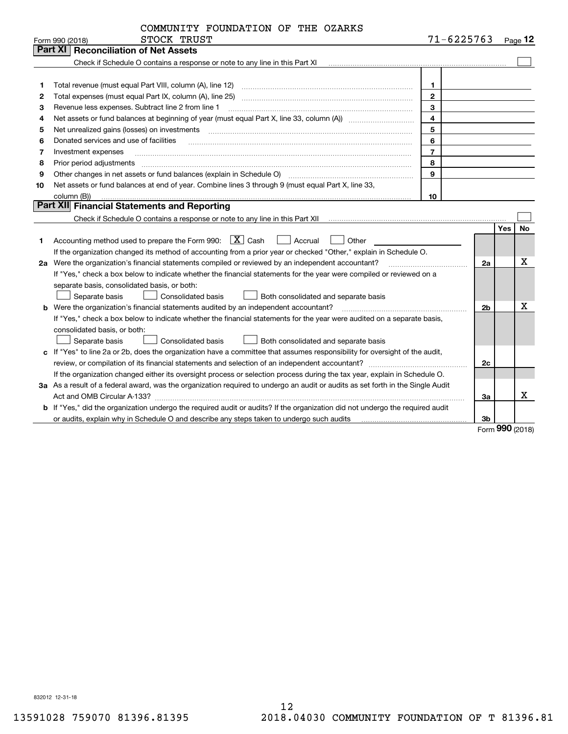|  | COMMUNITY FOUNDATION OF THE OZARKS |  |  |
|--|------------------------------------|--|--|
|--|------------------------------------|--|--|

|    | STOCK TRUST<br>Form 990 (2018)                                                                                                                                                                                                | 71-6225763     |                |     | Page $12$ |
|----|-------------------------------------------------------------------------------------------------------------------------------------------------------------------------------------------------------------------------------|----------------|----------------|-----|-----------|
|    | <b>Part XI</b><br><b>Reconciliation of Net Assets</b>                                                                                                                                                                         |                |                |     |           |
|    |                                                                                                                                                                                                                               |                |                |     |           |
|    |                                                                                                                                                                                                                               |                |                |     |           |
| 1  |                                                                                                                                                                                                                               | 1.             |                |     |           |
| 2  |                                                                                                                                                                                                                               | $\mathbf{2}$   |                |     |           |
| з  | Revenue less expenses. Subtract line 2 from line 1                                                                                                                                                                            | 3              |                |     |           |
| 4  |                                                                                                                                                                                                                               | $\overline{4}$ |                |     |           |
| 5  | Net unrealized gains (losses) on investments [11] matter continuum matter and all the set of the set of the set of the set of the set of the set of the set of the set of the set of the set of the set of the set of the set | 5              |                |     |           |
| 6  | Donated services and use of facilities                                                                                                                                                                                        | 6              |                |     |           |
| 7  | Investment expenses                                                                                                                                                                                                           | $\overline{7}$ |                |     |           |
| 8  | Prior period adjustments                                                                                                                                                                                                      | 8              |                |     |           |
| 9  | Other changes in net assets or fund balances (explain in Schedule O)                                                                                                                                                          | 9              |                |     |           |
| 10 | Net assets or fund balances at end of year. Combine lines 3 through 9 (must equal Part X, line 33,                                                                                                                            |                |                |     |           |
|    | column (B))                                                                                                                                                                                                                   | 10             |                |     |           |
|    | Part XII Financial Statements and Reporting                                                                                                                                                                                   |                |                |     |           |
|    |                                                                                                                                                                                                                               |                |                |     |           |
|    |                                                                                                                                                                                                                               |                |                | Yes | No        |
| 1  | Accounting method used to prepare the Form 990: $X$ Cash<br>  Accrual<br>Other                                                                                                                                                |                |                |     |           |
|    | If the organization changed its method of accounting from a prior year or checked "Other," explain in Schedule O.                                                                                                             |                |                |     |           |
|    | 2a Were the organization's financial statements compiled or reviewed by an independent accountant?                                                                                                                            |                | 2a             |     | x         |
|    | If "Yes," check a box below to indicate whether the financial statements for the year were compiled or reviewed on a                                                                                                          |                |                |     |           |
|    | separate basis, consolidated basis, or both:                                                                                                                                                                                  |                |                |     |           |
|    | Separate basis<br>Consolidated basis<br>Both consolidated and separate basis                                                                                                                                                  |                |                |     |           |
|    | <b>b</b> Were the organization's financial statements audited by an independent accountant?                                                                                                                                   |                | 2 <sub>b</sub> |     | х         |
|    | If "Yes," check a box below to indicate whether the financial statements for the year were audited on a separate basis,                                                                                                       |                |                |     |           |
|    | consolidated basis, or both:                                                                                                                                                                                                  |                |                |     |           |
|    | Separate basis<br>Consolidated basis<br>Both consolidated and separate basis                                                                                                                                                  |                |                |     |           |
|    | c If "Yes" to line 2a or 2b, does the organization have a committee that assumes responsibility for oversight of the audit,                                                                                                   |                |                |     |           |
|    |                                                                                                                                                                                                                               |                | 2c             |     |           |
|    | If the organization changed either its oversight process or selection process during the tax year, explain in Schedule O.                                                                                                     |                |                |     |           |
|    | 3a As a result of a federal award, was the organization required to undergo an audit or audits as set forth in the Single Audit                                                                                               |                |                |     |           |
|    |                                                                                                                                                                                                                               |                | За             |     | x.        |

**b** If "Yes," did the organization undergo the required audit or audits? If the organization did not undergo the required audit **3b**or audits, explain why in Schedule O and describe any steps taken to undergo such audits

Form (2018) **990**

832012 12-31-18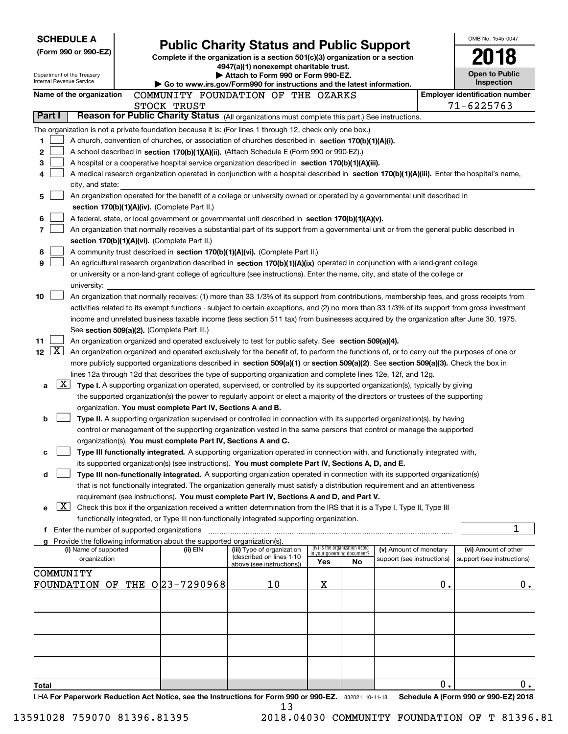|                                              | <b>SCHEDULE A</b>                                      |  |                                                                                                                                  |                                                                                                                                                                                                                                                                                  |                                     |                                                                |                            |    | OMB No. 1545-0047                                  |
|----------------------------------------------|--------------------------------------------------------|--|----------------------------------------------------------------------------------------------------------------------------------|----------------------------------------------------------------------------------------------------------------------------------------------------------------------------------------------------------------------------------------------------------------------------------|-------------------------------------|----------------------------------------------------------------|----------------------------|----|----------------------------------------------------|
| (Form 990 or 990-EZ)                         |                                                        |  | <b>Public Charity Status and Public Support</b><br>Complete if the organization is a section 501(c)(3) organization or a section |                                                                                                                                                                                                                                                                                  |                                     |                                                                |                            |    |                                                    |
|                                              |                                                        |  | 4947(a)(1) nonexempt charitable trust.                                                                                           |                                                                                                                                                                                                                                                                                  |                                     |                                                                |                            |    |                                                    |
|                                              | Department of the Treasury<br>Internal Revenue Service |  | Attach to Form 990 or Form 990-EZ.                                                                                               |                                                                                                                                                                                                                                                                                  | <b>Open to Public</b><br>Inspection |                                                                |                            |    |                                                    |
|                                              | Name of the organization                               |  |                                                                                                                                  | Go to www.irs.gov/Form990 for instructions and the latest information.<br>COMMUNITY FOUNDATION OF THE OZARKS                                                                                                                                                                     |                                     |                                                                |                            |    | <b>Employer identification number</b>              |
|                                              |                                                        |  | STOCK TRUST                                                                                                                      |                                                                                                                                                                                                                                                                                  |                                     |                                                                |                            |    | 71-6225763                                         |
| Part I                                       |                                                        |  |                                                                                                                                  | Reason for Public Charity Status (All organizations must complete this part.) See instructions.                                                                                                                                                                                  |                                     |                                                                |                            |    |                                                    |
|                                              |                                                        |  |                                                                                                                                  | The organization is not a private foundation because it is: (For lines 1 through 12, check only one box.)                                                                                                                                                                        |                                     |                                                                |                            |    |                                                    |
| 1                                            |                                                        |  |                                                                                                                                  | A church, convention of churches, or association of churches described in section 170(b)(1)(A)(i).                                                                                                                                                                               |                                     |                                                                |                            |    |                                                    |
| 2                                            |                                                        |  |                                                                                                                                  | A school described in section 170(b)(1)(A)(ii). (Attach Schedule E (Form 990 or 990-EZ).)                                                                                                                                                                                        |                                     |                                                                |                            |    |                                                    |
| 3                                            |                                                        |  |                                                                                                                                  | A hospital or a cooperative hospital service organization described in section 170(b)(1)(A)(iii).                                                                                                                                                                                |                                     |                                                                |                            |    |                                                    |
| 4                                            |                                                        |  |                                                                                                                                  | A medical research organization operated in conjunction with a hospital described in section 170(b)(1)(A)(iii). Enter the hospital's name,                                                                                                                                       |                                     |                                                                |                            |    |                                                    |
|                                              | city, and state:                                       |  |                                                                                                                                  |                                                                                                                                                                                                                                                                                  |                                     |                                                                |                            |    |                                                    |
| 5                                            |                                                        |  |                                                                                                                                  | An organization operated for the benefit of a college or university owned or operated by a governmental unit described in                                                                                                                                                        |                                     |                                                                |                            |    |                                                    |
|                                              |                                                        |  | section 170(b)(1)(A)(iv). (Complete Part II.)                                                                                    |                                                                                                                                                                                                                                                                                  |                                     |                                                                |                            |    |                                                    |
| 6                                            |                                                        |  |                                                                                                                                  | A federal, state, or local government or governmental unit described in section 170(b)(1)(A)(v).                                                                                                                                                                                 |                                     |                                                                |                            |    |                                                    |
| 7                                            |                                                        |  | section 170(b)(1)(A)(vi). (Complete Part II.)                                                                                    | An organization that normally receives a substantial part of its support from a governmental unit or from the general public described in                                                                                                                                        |                                     |                                                                |                            |    |                                                    |
| 8                                            |                                                        |  |                                                                                                                                  | A community trust described in section 170(b)(1)(A)(vi). (Complete Part II.)                                                                                                                                                                                                     |                                     |                                                                |                            |    |                                                    |
| 9                                            |                                                        |  |                                                                                                                                  | An agricultural research organization described in section 170(b)(1)(A)(ix) operated in conjunction with a land-grant college                                                                                                                                                    |                                     |                                                                |                            |    |                                                    |
|                                              |                                                        |  |                                                                                                                                  | or university or a non-land-grant college of agriculture (see instructions). Enter the name, city, and state of the college or                                                                                                                                                   |                                     |                                                                |                            |    |                                                    |
|                                              | university:                                            |  |                                                                                                                                  |                                                                                                                                                                                                                                                                                  |                                     |                                                                |                            |    |                                                    |
| 10                                           |                                                        |  |                                                                                                                                  | An organization that normally receives: (1) more than 33 1/3% of its support from contributions, membership fees, and gross receipts from                                                                                                                                        |                                     |                                                                |                            |    |                                                    |
|                                              |                                                        |  |                                                                                                                                  | activities related to its exempt functions - subject to certain exceptions, and (2) no more than 33 1/3% of its support from gross investment                                                                                                                                    |                                     |                                                                |                            |    |                                                    |
|                                              |                                                        |  |                                                                                                                                  | income and unrelated business taxable income (less section 511 tax) from businesses acquired by the organization after June 30, 1975.                                                                                                                                            |                                     |                                                                |                            |    |                                                    |
|                                              |                                                        |  | See section 509(a)(2). (Complete Part III.)                                                                                      |                                                                                                                                                                                                                                                                                  |                                     |                                                                |                            |    |                                                    |
| 11<br>$\lfloor x \rfloor$<br>12 <sub>2</sub> |                                                        |  |                                                                                                                                  | An organization organized and operated exclusively to test for public safety. See section 509(a)(4).                                                                                                                                                                             |                                     |                                                                |                            |    |                                                    |
|                                              |                                                        |  |                                                                                                                                  | An organization organized and operated exclusively for the benefit of, to perform the functions of, or to carry out the purposes of one or<br>more publicly supported organizations described in section 509(a)(1) or section 509(a)(2). See section 509(a)(3). Check the box in |                                     |                                                                |                            |    |                                                    |
|                                              |                                                        |  |                                                                                                                                  | lines 12a through 12d that describes the type of supporting organization and complete lines 12e, 12f, and 12g.                                                                                                                                                                   |                                     |                                                                |                            |    |                                                    |
| a                                            |                                                        |  |                                                                                                                                  | $X$ Type I. A supporting organization operated, supervised, or controlled by its supported organization(s), typically by giving                                                                                                                                                  |                                     |                                                                |                            |    |                                                    |
|                                              |                                                        |  |                                                                                                                                  | the supported organization(s) the power to regularly appoint or elect a majority of the directors or trustees of the supporting                                                                                                                                                  |                                     |                                                                |                            |    |                                                    |
|                                              |                                                        |  | organization. You must complete Part IV, Sections A and B.                                                                       |                                                                                                                                                                                                                                                                                  |                                     |                                                                |                            |    |                                                    |
| b                                            |                                                        |  |                                                                                                                                  | Type II. A supporting organization supervised or controlled in connection with its supported organization(s), by having                                                                                                                                                          |                                     |                                                                |                            |    |                                                    |
|                                              |                                                        |  |                                                                                                                                  | control or management of the supporting organization vested in the same persons that control or manage the supported                                                                                                                                                             |                                     |                                                                |                            |    |                                                    |
|                                              |                                                        |  | organization(s). You must complete Part IV, Sections A and C.                                                                    |                                                                                                                                                                                                                                                                                  |                                     |                                                                |                            |    |                                                    |
| с                                            |                                                        |  |                                                                                                                                  | Type III functionally integrated. A supporting organization operated in connection with, and functionally integrated with,                                                                                                                                                       |                                     |                                                                |                            |    |                                                    |
|                                              |                                                        |  |                                                                                                                                  | its supported organization(s) (see instructions). You must complete Part IV, Sections A, D, and E.                                                                                                                                                                               |                                     |                                                                |                            |    |                                                    |
| d                                            |                                                        |  |                                                                                                                                  | Type III non-functionally integrated. A supporting organization operated in connection with its supported organization(s)                                                                                                                                                        |                                     |                                                                |                            |    |                                                    |
|                                              |                                                        |  |                                                                                                                                  | that is not functionally integrated. The organization generally must satisfy a distribution requirement and an attentiveness<br>requirement (see instructions). You must complete Part IV, Sections A and D, and Part V.                                                         |                                     |                                                                |                            |    |                                                    |
| е                                            | X                                                      |  |                                                                                                                                  | Check this box if the organization received a written determination from the IRS that it is a Type I, Type II, Type III                                                                                                                                                          |                                     |                                                                |                            |    |                                                    |
|                                              |                                                        |  |                                                                                                                                  | functionally integrated, or Type III non-functionally integrated supporting organization.                                                                                                                                                                                        |                                     |                                                                |                            |    |                                                    |
|                                              | f Enter the number of supported organizations          |  |                                                                                                                                  |                                                                                                                                                                                                                                                                                  |                                     |                                                                |                            |    | 1                                                  |
|                                              |                                                        |  | Provide the following information about the supported organization(s).                                                           |                                                                                                                                                                                                                                                                                  |                                     |                                                                |                            |    |                                                    |
|                                              | (i) Name of supported                                  |  | (ii) EIN                                                                                                                         | (iii) Type of organization<br>(described on lines 1-10                                                                                                                                                                                                                           |                                     | (iv) Is the organization listed<br>in your governing document? | (v) Amount of monetary     |    | (vi) Amount of other<br>support (see instructions) |
|                                              | organization                                           |  |                                                                                                                                  | above (see instructions))                                                                                                                                                                                                                                                        | Yes                                 | No                                                             | support (see instructions) |    |                                                    |
|                                              | COMMUNITY                                              |  |                                                                                                                                  |                                                                                                                                                                                                                                                                                  |                                     |                                                                |                            |    |                                                    |
|                                              |                                                        |  | FOUNDATION OF THE 023-7290968                                                                                                    | 10                                                                                                                                                                                                                                                                               | х                                   |                                                                |                            | 0. | 0.                                                 |
|                                              |                                                        |  |                                                                                                                                  |                                                                                                                                                                                                                                                                                  |                                     |                                                                |                            |    |                                                    |
|                                              |                                                        |  |                                                                                                                                  |                                                                                                                                                                                                                                                                                  |                                     |                                                                |                            |    |                                                    |
|                                              |                                                        |  |                                                                                                                                  |                                                                                                                                                                                                                                                                                  |                                     |                                                                |                            |    |                                                    |
|                                              |                                                        |  |                                                                                                                                  |                                                                                                                                                                                                                                                                                  |                                     |                                                                |                            |    |                                                    |
|                                              |                                                        |  |                                                                                                                                  |                                                                                                                                                                                                                                                                                  |                                     |                                                                |                            |    |                                                    |
|                                              |                                                        |  |                                                                                                                                  |                                                                                                                                                                                                                                                                                  |                                     |                                                                |                            |    |                                                    |
|                                              |                                                        |  |                                                                                                                                  |                                                                                                                                                                                                                                                                                  |                                     |                                                                |                            |    |                                                    |
| <b>Total</b>                                 |                                                        |  |                                                                                                                                  |                                                                                                                                                                                                                                                                                  |                                     |                                                                |                            | о. | 0.                                                 |
|                                              |                                                        |  |                                                                                                                                  | LHA For Paperwork Reduction Act Notice, see the Instructions for Form 990 or 990-EZ. 832021 10-11-18<br>13                                                                                                                                                                       |                                     |                                                                |                            |    | Schedule A (Form 990 or 990-EZ) 2018               |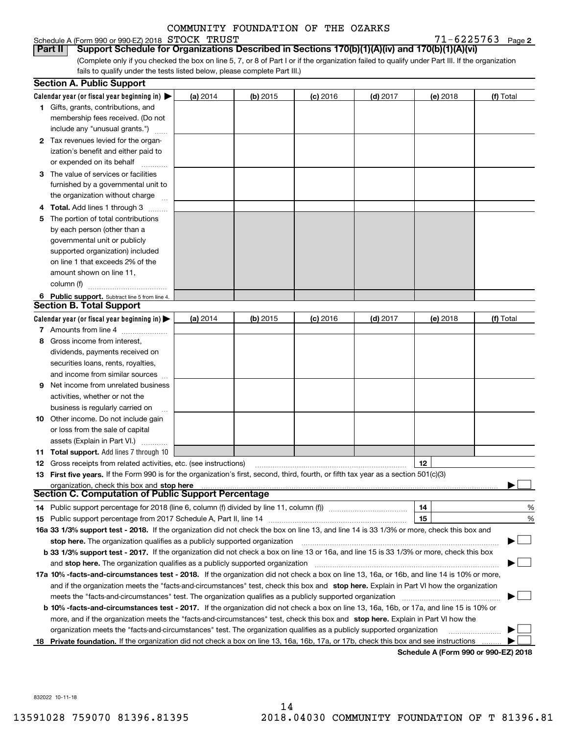# Schedule A (Form 990 or 990-EZ) 2018 Page STOCK TRUST 71-6225763

 $71 - 6225763$  Page 2

(Complete only if you checked the box on line 5, 7, or 8 of Part I or if the organization failed to qualify under Part III. If the organization fails to qualify under the tests listed below, please complete Part III.) **Part II Support Schedule for Organizations Described in Sections 170(b)(1)(A)(iv) and 170(b)(1)(A)(vi)**

|    | <b>Section A. Public Support</b>                                                                                                                             |                 |            |            |            |          |           |
|----|--------------------------------------------------------------------------------------------------------------------------------------------------------------|-----------------|------------|------------|------------|----------|-----------|
|    | Calendar year (or fiscal year beginning in) $\blacktriangleright$                                                                                            | <b>(a)</b> 2014 | (b) 2015   | $(c)$ 2016 | $(d)$ 2017 | (e) 2018 | (f) Total |
|    | <b>1</b> Gifts, grants, contributions, and                                                                                                                   |                 |            |            |            |          |           |
|    | membership fees received. (Do not                                                                                                                            |                 |            |            |            |          |           |
|    | include any "unusual grants.")                                                                                                                               |                 |            |            |            |          |           |
|    | 2 Tax revenues levied for the organ-                                                                                                                         |                 |            |            |            |          |           |
|    | ization's benefit and either paid to                                                                                                                         |                 |            |            |            |          |           |
|    | or expended on its behalf                                                                                                                                    |                 |            |            |            |          |           |
|    | 3 The value of services or facilities                                                                                                                        |                 |            |            |            |          |           |
|    | furnished by a governmental unit to                                                                                                                          |                 |            |            |            |          |           |
|    | the organization without charge                                                                                                                              |                 |            |            |            |          |           |
|    | Total. Add lines 1 through 3                                                                                                                                 |                 |            |            |            |          |           |
| 5. | The portion of total contributions                                                                                                                           |                 |            |            |            |          |           |
|    | by each person (other than a                                                                                                                                 |                 |            |            |            |          |           |
|    | governmental unit or publicly                                                                                                                                |                 |            |            |            |          |           |
|    | supported organization) included                                                                                                                             |                 |            |            |            |          |           |
|    | on line 1 that exceeds 2% of the                                                                                                                             |                 |            |            |            |          |           |
|    |                                                                                                                                                              |                 |            |            |            |          |           |
|    | amount shown on line 11,                                                                                                                                     |                 |            |            |            |          |           |
|    | column (f)                                                                                                                                                   |                 |            |            |            |          |           |
|    | 6 Public support. Subtract line 5 from line 4.<br><b>Section B. Total Support</b>                                                                            |                 |            |            |            |          |           |
|    |                                                                                                                                                              |                 |            |            |            |          |           |
|    | Calendar year (or fiscal year beginning in) $\blacktriangleright$                                                                                            | (a) 2014        | $(b)$ 2015 | $(c)$ 2016 | $(d)$ 2017 | (e) 2018 | (f) Total |
|    | 7 Amounts from line 4                                                                                                                                        |                 |            |            |            |          |           |
| 8  | Gross income from interest,                                                                                                                                  |                 |            |            |            |          |           |
|    | dividends, payments received on                                                                                                                              |                 |            |            |            |          |           |
|    | securities loans, rents, royalties,                                                                                                                          |                 |            |            |            |          |           |
|    | and income from similar sources                                                                                                                              |                 |            |            |            |          |           |
| 9  | Net income from unrelated business                                                                                                                           |                 |            |            |            |          |           |
|    | activities, whether or not the                                                                                                                               |                 |            |            |            |          |           |
|    | business is regularly carried on                                                                                                                             |                 |            |            |            |          |           |
| 10 | Other income. Do not include gain                                                                                                                            |                 |            |            |            |          |           |
|    | or loss from the sale of capital                                                                                                                             |                 |            |            |            |          |           |
|    | assets (Explain in Part VI.)                                                                                                                                 |                 |            |            |            |          |           |
|    | 11 Total support. Add lines 7 through 10                                                                                                                     |                 |            |            |            |          |           |
|    | 12 Gross receipts from related activities, etc. (see instructions)                                                                                           |                 |            |            |            | 12       |           |
|    | 13 First five years. If the Form 990 is for the organization's first, second, third, fourth, or fifth tax year as a section 501(c)(3)                        |                 |            |            |            |          |           |
|    |                                                                                                                                                              |                 |            |            |            |          |           |
|    | organization, cneck this box and stop here <b>Community and a construct of Public Support Percentage</b> Section C. Computation of Public Support Percentage |                 |            |            |            |          |           |
|    | 14 Public support percentage for 2018 (line 6, column (f) divided by line 11, column (f) <i>marrouum</i> manu-                                               |                 |            |            |            | 14       | %         |
|    | 15 Public support percentage from 2017 Schedule A, Part II, line 14                                                                                          |                 |            |            |            | 15       | %         |
|    | 16a 33 1/3% support test - 2018. If the organization did not check the box on line 13, and line 14 is 33 1/3% or more, check this box and                    |                 |            |            |            |          |           |
|    | stop here. The organization qualifies as a publicly supported organization                                                                                   |                 |            |            |            |          |           |
|    | b 33 1/3% support test - 2017. If the organization did not check a box on line 13 or 16a, and line 15 is 33 1/3% or more, check this box                     |                 |            |            |            |          |           |
|    | and stop here. The organization qualifies as a publicly supported organization                                                                               |                 |            |            |            |          |           |
|    | 17a 10% -facts-and-circumstances test - 2018. If the organization did not check a box on line 13, 16a, or 16b, and line 14 is 10% or more,                   |                 |            |            |            |          |           |
|    | and if the organization meets the "facts-and-circumstances" test, check this box and stop here. Explain in Part VI how the organization                      |                 |            |            |            |          |           |
|    | meets the "facts-and-circumstances" test. The organization qualifies as a publicly supported organization                                                    |                 |            |            |            |          |           |
|    | <b>b 10% -facts-and-circumstances test - 2017.</b> If the organization did not check a box on line 13, 16a, 16b, or 17a, and line 15 is 10% or               |                 |            |            |            |          |           |
|    |                                                                                                                                                              |                 |            |            |            |          |           |
|    | more, and if the organization meets the "facts-and-circumstances" test, check this box and stop here. Explain in Part VI how the                             |                 |            |            |            |          |           |
|    | organization meets the "facts-and-circumstances" test. The organization qualifies as a publicly supported organization                                       |                 |            |            |            |          |           |
| 18 | Private foundation. If the organization did not check a box on line 13, 16a, 16b, 17a, or 17b, check this box and see instructions                           |                 |            |            |            |          |           |

**Schedule A (Form 990 or 990-EZ) 2018**

832022 10-11-18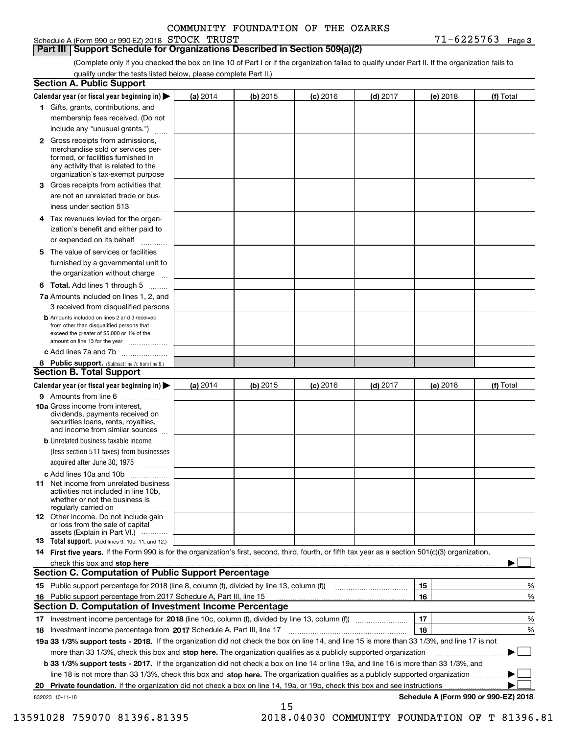Schedule A (Form 990 or 990-EZ) 2018 Page STOCK TRUST 71-6225763

**Part III Support Schedule for Organizations Described in Section 509(a)(2)** 

**3**

(Complete only if you checked the box on line 10 of Part I or if the organization failed to qualify under Part II. If the organization fails to qualify under the tests listed below, please complete Part II.)

|    | <b>Section A. Public Support</b>                                                                                                                                                                                                                                 |          |          |            |            |          |                                      |
|----|------------------------------------------------------------------------------------------------------------------------------------------------------------------------------------------------------------------------------------------------------------------|----------|----------|------------|------------|----------|--------------------------------------|
|    | Calendar year (or fiscal year beginning in) $\blacktriangleright$                                                                                                                                                                                                | (a) 2014 | (b) 2015 | $(c)$ 2016 | $(d)$ 2017 | (e) 2018 | (f) Total                            |
|    | 1 Gifts, grants, contributions, and                                                                                                                                                                                                                              |          |          |            |            |          |                                      |
|    | membership fees received. (Do not                                                                                                                                                                                                                                |          |          |            |            |          |                                      |
|    | include any "unusual grants.")                                                                                                                                                                                                                                   |          |          |            |            |          |                                      |
|    | <b>2</b> Gross receipts from admissions,<br>merchandise sold or services per-<br>formed, or facilities furnished in<br>any activity that is related to the<br>organization's tax-exempt purpose                                                                  |          |          |            |            |          |                                      |
|    | 3 Gross receipts from activities that<br>are not an unrelated trade or bus-                                                                                                                                                                                      |          |          |            |            |          |                                      |
|    | iness under section 513                                                                                                                                                                                                                                          |          |          |            |            |          |                                      |
|    | 4 Tax revenues levied for the organ-<br>ization's benefit and either paid to                                                                                                                                                                                     |          |          |            |            |          |                                      |
|    | or expended on its behalf<br>.                                                                                                                                                                                                                                   |          |          |            |            |          |                                      |
|    | 5 The value of services or facilities<br>furnished by a governmental unit to<br>the organization without charge                                                                                                                                                  |          |          |            |            |          |                                      |
|    |                                                                                                                                                                                                                                                                  |          |          |            |            |          |                                      |
|    | <b>6 Total.</b> Add lines 1 through 5<br>7a Amounts included on lines 1, 2, and<br>3 received from disqualified persons                                                                                                                                          |          |          |            |            |          |                                      |
|    | <b>b</b> Amounts included on lines 2 and 3 received<br>from other than disqualified persons that<br>exceed the greater of \$5,000 or 1% of the<br>amount on line 13 for the year                                                                                 |          |          |            |            |          |                                      |
|    | c Add lines 7a and 7b                                                                                                                                                                                                                                            |          |          |            |            |          |                                      |
|    | 8 Public support. (Subtract line 7c from line 6.)                                                                                                                                                                                                                |          |          |            |            |          |                                      |
|    | <b>Section B. Total Support</b>                                                                                                                                                                                                                                  |          |          |            |            |          |                                      |
|    | Calendar year (or fiscal year beginning in)                                                                                                                                                                                                                      | (a) 2014 | (b) 2015 | $(c)$ 2016 | $(d)$ 2017 | (e) 2018 | (f) Total                            |
|    | 9 Amounts from line 6                                                                                                                                                                                                                                            |          |          |            |            |          |                                      |
|    | 10a Gross income from interest,<br>dividends, payments received on<br>securities loans, rents, royalties,<br>and income from similar sources                                                                                                                     |          |          |            |            |          |                                      |
|    | <b>b</b> Unrelated business taxable income<br>(less section 511 taxes) from businesses<br>acquired after June 30, 1975                                                                                                                                           |          |          |            |            |          |                                      |
|    | c Add lines 10a and 10b                                                                                                                                                                                                                                          |          |          |            |            |          |                                      |
|    | 11 Net income from unrelated business<br>activities not included in line 10b,<br>whether or not the business is<br>regularly carried on                                                                                                                          |          |          |            |            |          |                                      |
|    | <b>12</b> Other income. Do not include gain<br>or loss from the sale of capital<br>assets (Explain in Part VI.)                                                                                                                                                  |          |          |            |            |          |                                      |
|    | 13 Total support. (Add lines 9, 10c, 11, and 12.)                                                                                                                                                                                                                |          |          |            |            |          |                                      |
|    | 14 First five years. If the Form 990 is for the organization's first, second, third, fourth, or fifth tax year as a section 501(c)(3) organization,                                                                                                              |          |          |            |            |          |                                      |
|    | check this box and stop here manufactured and content to the state of the state of the state of the state of the state of the state of the state of the state of the state of the state of the state of the state of the state                                   |          |          |            |            |          |                                      |
|    | <b>Section C. Computation of Public Support Percentage</b>                                                                                                                                                                                                       |          |          |            |            |          |                                      |
|    | 15 Public support percentage for 2018 (line 8, column (f), divided by line 13, column (f))                                                                                                                                                                       |          |          |            |            | 15       | %                                    |
|    | 16 Public support percentage from 2017 Schedule A, Part III, line 15                                                                                                                                                                                             |          |          |            |            | 16       | %                                    |
|    | <b>Section D. Computation of Investment Income Percentage</b>                                                                                                                                                                                                    |          |          |            |            |          |                                      |
|    | 17 Investment income percentage for 2018 (line 10c, column (f), divided by line 13, column (f))                                                                                                                                                                  |          |          |            |            | 17<br>18 | %                                    |
|    | <b>18</b> Investment income percentage from <b>2017</b> Schedule A, Part III, line 17                                                                                                                                                                            |          |          |            |            |          | %                                    |
|    | 19a 33 1/3% support tests - 2018. If the organization did not check the box on line 14, and line 15 is more than 33 1/3%, and line 17 is not<br>more than 33 1/3%, check this box and stop here. The organization qualifies as a publicly supported organization |          |          |            |            |          | $\sim$ 1                             |
|    |                                                                                                                                                                                                                                                                  |          |          |            |            |          |                                      |
|    | b 33 1/3% support tests - 2017. If the organization did not check a box on line 14 or line 19a, and line 16 is more than 33 1/3%, and                                                                                                                            |          |          |            |            |          |                                      |
|    | line 18 is not more than 33 1/3%, check this box and stop here. The organization qualifies as a publicly supported organization                                                                                                                                  |          |          |            |            |          |                                      |
| 20 | Private foundation. If the organization did not check a box on line 14, 19a, or 19b, check this box and see instructions                                                                                                                                         |          |          |            |            |          | Schedule A (Form 990 or 990-EZ) 2018 |
|    | 832023 10-11-18                                                                                                                                                                                                                                                  |          | 15       |            |            |          |                                      |

13591028 759070 81396.81395 2018.04030 COMMUNITY FOUNDATION OF T 81396.81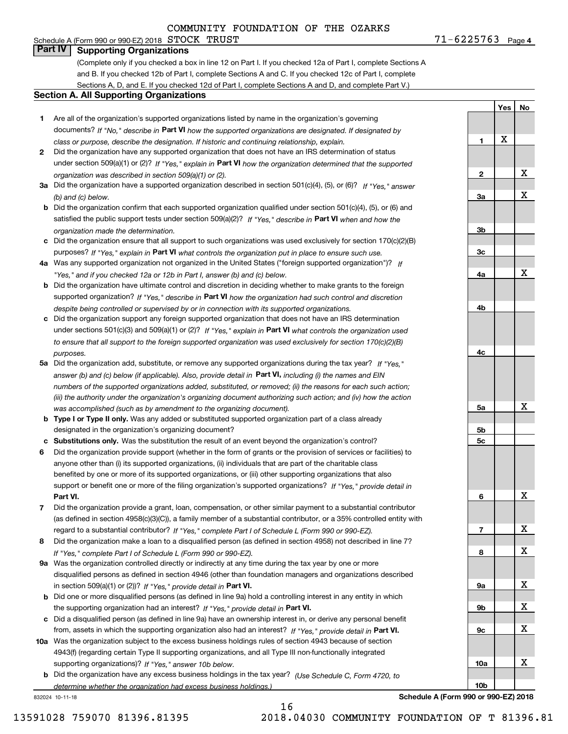# **Part IV Supporting Organizations**

(Complete only if you checked a box in line 12 on Part I. If you checked 12a of Part I, complete Sections A and B. If you checked 12b of Part I, complete Sections A and C. If you checked 12c of Part I, complete Sections A, D, and E. If you checked 12d of Part I, complete Sections A and D, and complete Part V.)

#### **Section A. All Supporting Organizations**

- **1** Are all of the organization's supported organizations listed by name in the organization's governing documents? If "No," describe in **Part VI** how the supported organizations are designated. If designated by *class or purpose, describe the designation. If historic and continuing relationship, explain.*
- **2** Did the organization have any supported organization that does not have an IRS determination of status under section 509(a)(1) or (2)? If "Yes," explain in Part VI how the organization determined that the supported *organization was described in section 509(a)(1) or (2).*
- **3a** Did the organization have a supported organization described in section 501(c)(4), (5), or (6)? If "Yes," answer *(b) and (c) below.*
- **b** Did the organization confirm that each supported organization qualified under section 501(c)(4), (5), or (6) and satisfied the public support tests under section 509(a)(2)? If "Yes," describe in **Part VI** when and how the *organization made the determination.*
- **c**Did the organization ensure that all support to such organizations was used exclusively for section 170(c)(2)(B) purposes? If "Yes," explain in **Part VI** what controls the organization put in place to ensure such use.
- **4a***If* Was any supported organization not organized in the United States ("foreign supported organization")? *"Yes," and if you checked 12a or 12b in Part I, answer (b) and (c) below.*
- **b** Did the organization have ultimate control and discretion in deciding whether to make grants to the foreign supported organization? If "Yes," describe in **Part VI** how the organization had such control and discretion *despite being controlled or supervised by or in connection with its supported organizations.*
- **c** Did the organization support any foreign supported organization that does not have an IRS determination under sections 501(c)(3) and 509(a)(1) or (2)? If "Yes," explain in **Part VI** what controls the organization used *to ensure that all support to the foreign supported organization was used exclusively for section 170(c)(2)(B) purposes.*
- **5a** Did the organization add, substitute, or remove any supported organizations during the tax year? If "Yes," answer (b) and (c) below (if applicable). Also, provide detail in **Part VI,** including (i) the names and EIN *numbers of the supported organizations added, substituted, or removed; (ii) the reasons for each such action; (iii) the authority under the organization's organizing document authorizing such action; and (iv) how the action was accomplished (such as by amendment to the organizing document).*
- **b** Type I or Type II only. Was any added or substituted supported organization part of a class already designated in the organization's organizing document?
- **cSubstitutions only.**  Was the substitution the result of an event beyond the organization's control?
- **6** Did the organization provide support (whether in the form of grants or the provision of services or facilities) to **Part VI.** *If "Yes," provide detail in* support or benefit one or more of the filing organization's supported organizations? anyone other than (i) its supported organizations, (ii) individuals that are part of the charitable class benefited by one or more of its supported organizations, or (iii) other supporting organizations that also
- **7**Did the organization provide a grant, loan, compensation, or other similar payment to a substantial contributor *If "Yes," complete Part I of Schedule L (Form 990 or 990-EZ).* regard to a substantial contributor? (as defined in section 4958(c)(3)(C)), a family member of a substantial contributor, or a 35% controlled entity with
- **8** Did the organization make a loan to a disqualified person (as defined in section 4958) not described in line 7? *If "Yes," complete Part I of Schedule L (Form 990 or 990-EZ).*
- **9a** Was the organization controlled directly or indirectly at any time during the tax year by one or more in section 509(a)(1) or (2))? If "Yes," *provide detail in* <code>Part VI.</code> disqualified persons as defined in section 4946 (other than foundation managers and organizations described
- **b**the supporting organization had an interest? If "Yes," provide detail in P**art VI**. Did one or more disqualified persons (as defined in line 9a) hold a controlling interest in any entity in which
- **c**Did a disqualified person (as defined in line 9a) have an ownership interest in, or derive any personal benefit from, assets in which the supporting organization also had an interest? If "Yes," provide detail in P**art VI.**
- **10a** Was the organization subject to the excess business holdings rules of section 4943 because of section supporting organizations)? If "Yes," answer 10b below. 4943(f) (regarding certain Type II supporting organizations, and all Type III non-functionally integrated
- **b** Did the organization have any excess business holdings in the tax year? (Use Schedule C, Form 4720, to *determine whether the organization had excess business holdings.)*

832024 10-11-18

**Schedule A (Form 990 or 990-EZ) 2018**

16

**1**

**2**

**3a**

**3b**

**3c**

**4a**

**4b**

**4c**

**5a**

**5b5c**

**6**

**7**

**8**

**9a**

**9b**

**9c**

**10a**

**10b**

**Yes**

X

**No**

X

X

X

X

X

X

X

X

X

X

X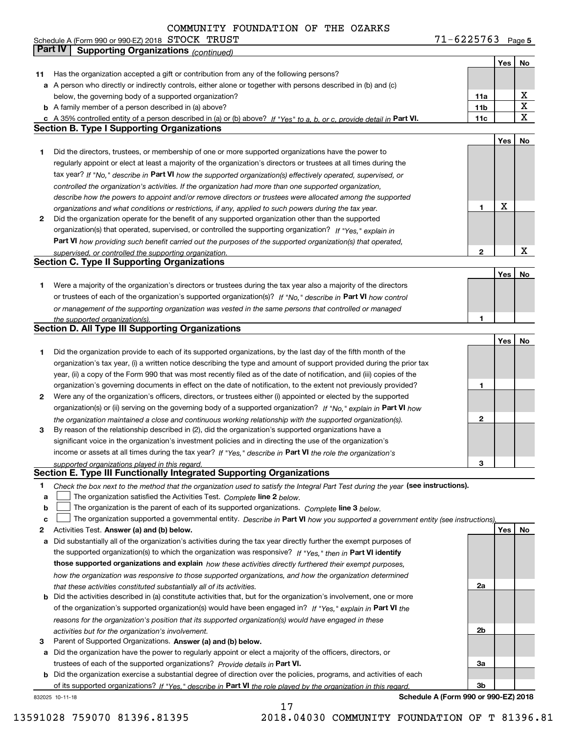|    |                                                                                                                                   | $71 - 6225763$ Page 5 |     |             |
|----|-----------------------------------------------------------------------------------------------------------------------------------|-----------------------|-----|-------------|
|    | Part IV<br><b>Supporting Organizations (continued)</b>                                                                            |                       |     |             |
|    |                                                                                                                                   |                       | Yes | No          |
| 11 | Has the organization accepted a gift or contribution from any of the following persons?                                           |                       |     |             |
|    | a A person who directly or indirectly controls, either alone or together with persons described in (b) and (c)                    |                       |     |             |
|    | below, the governing body of a supported organization?                                                                            | 11a                   |     | х           |
|    | <b>b</b> A family member of a person described in (a) above?                                                                      | 11b                   |     | $\mathbf X$ |
|    | c A 35% controlled entity of a person described in (a) or (b) above? If "Yes" to a, b, or c, provide detail in Part VI.           | 11c                   |     | $\mathbf X$ |
|    | <b>Section B. Type I Supporting Organizations</b>                                                                                 |                       |     |             |
|    |                                                                                                                                   |                       | Yes | No          |
| 1. | Did the directors, trustees, or membership of one or more supported organizations have the power to                               |                       |     |             |
|    | regularly appoint or elect at least a majority of the organization's directors or trustees at all times during the                |                       |     |             |
|    | tax year? If "No," describe in Part VI how the supported organization(s) effectively operated, supervised, or                     |                       |     |             |
|    | controlled the organization's activities. If the organization had more than one supported organization,                           |                       |     |             |
|    | describe how the powers to appoint and/or remove directors or trustees were allocated among the supported                         |                       |     |             |
|    | organizations and what conditions or restrictions, if any, applied to such powers during the tax year.                            | 1                     | X   |             |
| 2  | Did the organization operate for the benefit of any supported organization other than the supported                               |                       |     |             |
|    | organization(s) that operated, supervised, or controlled the supporting organization? If "Yes," explain in                        |                       |     |             |
|    | <b>Part VI</b> how providing such benefit carried out the purposes of the supported organization(s) that operated,                |                       |     |             |
|    | supervised, or controlled the supporting organization.                                                                            | $\mathbf{2}$          |     | X           |
|    | Section C. Type II Supporting Organizations                                                                                       |                       |     |             |
|    |                                                                                                                                   |                       | Yes | No          |
| 1. | Were a majority of the organization's directors or trustees during the tax year also a majority of the directors                  |                       |     |             |
|    | or trustees of each of the organization's supported organization(s)? If "No," describe in Part VI how control                     |                       |     |             |
|    | or management of the supporting organization was vested in the same persons that controlled or managed                            | 1                     |     |             |
|    | the supported organization(s).<br><b>Section D. All Type III Supporting Organizations</b>                                         |                       |     |             |
|    |                                                                                                                                   |                       | Yes | No          |
| 1. | Did the organization provide to each of its supported organizations, by the last day of the fifth month of the                    |                       |     |             |
|    | organization's tax year, (i) a written notice describing the type and amount of support provided during the prior tax             |                       |     |             |
|    | year, (ii) a copy of the Form 990 that was most recently filed as of the date of notification, and (iii) copies of the            |                       |     |             |
|    | organization's governing documents in effect on the date of notification, to the extent not previously provided?                  | 1                     |     |             |
| 2  | Were any of the organization's officers, directors, or trustees either (i) appointed or elected by the supported                  |                       |     |             |
|    | organization(s) or (ii) serving on the governing body of a supported organization? If "No," explain in Part VI how                |                       |     |             |
|    | the organization maintained a close and continuous working relationship with the supported organization(s).                       | 2                     |     |             |
| 3  | By reason of the relationship described in (2), did the organization's supported organizations have a                             |                       |     |             |
|    | significant voice in the organization's investment policies and in directing the use of the organization's                        |                       |     |             |
|    | income or assets at all times during the tax year? If "Yes," describe in Part VI the role the organization's                      |                       |     |             |
|    | supported organizations played in this regard.                                                                                    | з                     |     |             |
|    | Section E. Type III Functionally Integrated Supporting Organizations                                                              |                       |     |             |
| 1. | Check the box next to the method that the organization used to satisfy the Integral Part Test during the year (see instructions). |                       |     |             |
| a  | The organization satisfied the Activities Test. Complete line 2 below.                                                            |                       |     |             |
| b  | The organization is the parent of each of its supported organizations. Complete line 3 below.                                     |                       |     |             |
| c  | The organization supported a governmental entity. Describe in Part VI how you supported a government entity (see instructions),   |                       |     |             |
| 2  | Activities Test. Answer (a) and (b) below.                                                                                        |                       | Yes | No          |
| а  | Did substantially all of the organization's activities during the tax year directly further the exempt purposes of                |                       |     |             |
|    | the supported organization(s) to which the organization was responsive? If "Yes," then in Part VI identify                        |                       |     |             |
|    | those supported organizations and explain how these activities directly furthered their exempt purposes,                          |                       |     |             |
|    | how the organization was responsive to those supported organizations, and how the organization determined                         |                       |     |             |
|    | that these activities constituted substantially all of its activities.                                                            | 2a                    |     |             |
|    | <b>b</b> Did the activities described in (a) constitute activities that, but for the organization's involvement, one or more      |                       |     |             |
|    | of the organization's supported organization(s) would have been engaged in? If "Yes," explain in Part VI the                      |                       |     |             |
|    | reasons for the organization's position that its supported organization(s) would have engaged in these                            |                       |     |             |
|    | activities but for the organization's involvement.                                                                                | 2b                    |     |             |
| з  | Parent of Supported Organizations. Answer (a) and (b) below.                                                                      |                       |     |             |
|    | a Did the organization have the power to regularly appoint or elect a majority of the officers, directors, or                     |                       |     |             |
|    | trustees of each of the supported organizations? Provide details in Part VI.                                                      | За                    |     |             |
|    | <b>b</b> Did the organization exercise a substantial degree of direction over the policies programs, and activities of each       |                       |     |             |

**b**of its supported organizations? If "Yes," describe in Part VI the role played by the organization in this regard. Did the organization exercise a substantial degree of direction over the policies, programs, and activities of each

17

832025 10-11-18

**Schedule A (Form 990 or 990-EZ) 2018**

**3b**

13591028 759070 81396.81395 2018.04030 COMMUNITY FOUNDATION OF T 81396.81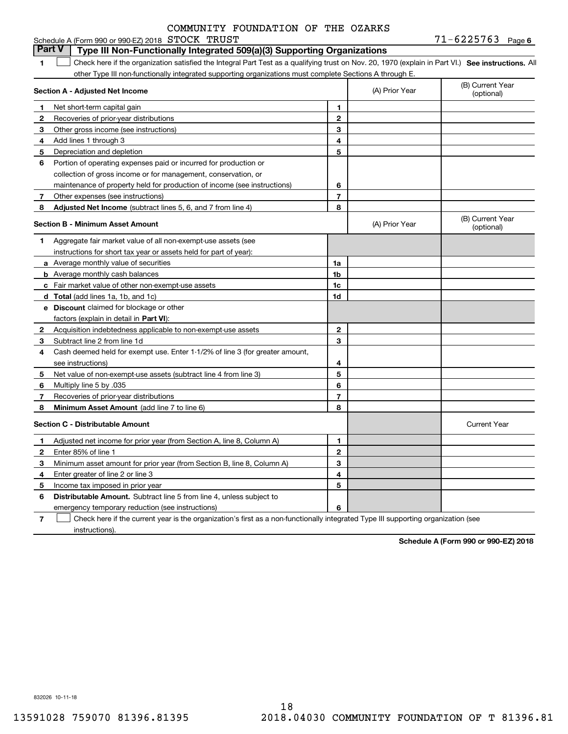| COMMUNITY FOUNDATION OF THE OZARKS |
|------------------------------------|
|------------------------------------|

|              | <b>Part V</b><br>Type III Non-Functionally Integrated 509(a)(3) Supporting Organizations                                                          |                |                |                                |
|--------------|---------------------------------------------------------------------------------------------------------------------------------------------------|----------------|----------------|--------------------------------|
| 1.           | Check here if the organization satisfied the Integral Part Test as a qualifying trust on Nov. 20, 1970 (explain in Part VI.) See instructions. Al |                |                |                                |
|              | other Type III non-functionally integrated supporting organizations must complete Sections A through E.                                           |                |                |                                |
|              | Section A - Adjusted Net Income                                                                                                                   |                | (A) Prior Year | (B) Current Year<br>(optional) |
| 1            | Net short-term capital gain                                                                                                                       | 1              |                |                                |
| $\mathbf{2}$ | Recoveries of prior-year distributions                                                                                                            | $\mathbf{2}$   |                |                                |
| 3            | Other gross income (see instructions)                                                                                                             | 3              |                |                                |
| 4            | Add lines 1 through 3                                                                                                                             | 4              |                |                                |
| 5            | Depreciation and depletion                                                                                                                        | 5              |                |                                |
| 6            | Portion of operating expenses paid or incurred for production or                                                                                  |                |                |                                |
|              | collection of gross income or for management, conservation, or                                                                                    |                |                |                                |
|              | maintenance of property held for production of income (see instructions)                                                                          | 6              |                |                                |
| 7            | Other expenses (see instructions)                                                                                                                 | $\overline{7}$ |                |                                |
| 8            | Adjusted Net Income (subtract lines 5, 6, and 7 from line 4)                                                                                      | 8              |                |                                |
|              | <b>Section B - Minimum Asset Amount</b>                                                                                                           |                | (A) Prior Year | (B) Current Year<br>(optional) |
| 1            | Aggregate fair market value of all non-exempt-use assets (see                                                                                     |                |                |                                |
|              | instructions for short tax year or assets held for part of year):                                                                                 |                |                |                                |
|              | <b>a</b> Average monthly value of securities                                                                                                      | 1a             |                |                                |
|              | <b>b</b> Average monthly cash balances                                                                                                            | 1 <sub>b</sub> |                |                                |
|              | <b>c</b> Fair market value of other non-exempt-use assets                                                                                         | 1 <sub>c</sub> |                |                                |
|              | <b>d</b> Total (add lines 1a, 1b, and 1c)                                                                                                         | 1d             |                |                                |
|              | <b>e</b> Discount claimed for blockage or other                                                                                                   |                |                |                                |
|              | factors (explain in detail in Part VI):                                                                                                           |                |                |                                |
| $\mathbf{2}$ | Acquisition indebtedness applicable to non-exempt-use assets                                                                                      | $\mathbf{2}$   |                |                                |
| 3            | Subtract line 2 from line 1d                                                                                                                      | 3              |                |                                |
| 4            | Cash deemed held for exempt use. Enter 1-1/2% of line 3 (for greater amount,                                                                      |                |                |                                |
|              | see instructions)                                                                                                                                 | 4              |                |                                |
| 5            | Net value of non-exempt-use assets (subtract line 4 from line 3)                                                                                  | 5              |                |                                |
| 6            | Multiply line 5 by .035                                                                                                                           | 6              |                |                                |
| 7            | Recoveries of prior-year distributions                                                                                                            | $\overline{7}$ |                |                                |
| 8            | <b>Minimum Asset Amount</b> (add line 7 to line 6)                                                                                                | 8              |                |                                |
|              | <b>Section C - Distributable Amount</b>                                                                                                           |                |                | <b>Current Year</b>            |
| 1            | Adjusted net income for prior year (from Section A, line 8, Column A)                                                                             | 1              |                |                                |
| 2            | Enter 85% of line 1                                                                                                                               | $\mathbf{2}$   |                |                                |
| З            | Minimum asset amount for prior year (from Section B, line 8, Column A)                                                                            | 3              |                |                                |
| 4            | Enter greater of line 2 or line 3                                                                                                                 | 4              |                |                                |
| 5            | Income tax imposed in prior year                                                                                                                  | 5              |                |                                |
| 6            | <b>Distributable Amount.</b> Subtract line 5 from line 4, unless subject to                                                                       |                |                |                                |
|              | emergency temporary reduction (see instructions)                                                                                                  | 6              |                |                                |

**7**Check here if the current year is the organization's first as a non-functionally integrated Type III supporting organization (see instructions).

**Schedule A (Form 990 or 990-EZ) 2018**

832026 10-11-18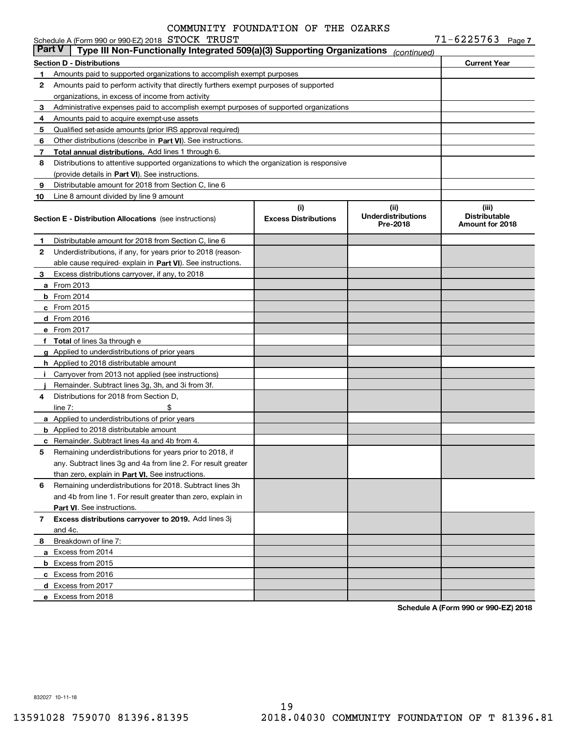|               | Schedule A (Form 990 or 990-EZ) 2018 STOCK TRUST                                           |                                    |                                               | $71 - 6225763$ Page 7                            |  |
|---------------|--------------------------------------------------------------------------------------------|------------------------------------|-----------------------------------------------|--------------------------------------------------|--|
| <b>Part V</b> | Type III Non-Functionally Integrated 509(a)(3) Supporting Organizations                    |                                    | (continued)                                   |                                                  |  |
|               | <b>Section D - Distributions</b>                                                           |                                    |                                               | <b>Current Year</b>                              |  |
| 1             | Amounts paid to supported organizations to accomplish exempt purposes                      |                                    |                                               |                                                  |  |
| 2             | Amounts paid to perform activity that directly furthers exempt purposes of supported       |                                    |                                               |                                                  |  |
|               | organizations, in excess of income from activity                                           |                                    |                                               |                                                  |  |
| 3             | Administrative expenses paid to accomplish exempt purposes of supported organizations      |                                    |                                               |                                                  |  |
| 4             | Amounts paid to acquire exempt-use assets                                                  |                                    |                                               |                                                  |  |
| 5             | Qualified set-aside amounts (prior IRS approval required)                                  |                                    |                                               |                                                  |  |
| 6             | Other distributions (describe in Part VI). See instructions.                               |                                    |                                               |                                                  |  |
| 7             | Total annual distributions. Add lines 1 through 6.                                         |                                    |                                               |                                                  |  |
| 8             | Distributions to attentive supported organizations to which the organization is responsive |                                    |                                               |                                                  |  |
|               | (provide details in Part VI). See instructions.                                            |                                    |                                               |                                                  |  |
| 9             | Distributable amount for 2018 from Section C, line 6                                       |                                    |                                               |                                                  |  |
| 10            | Line 8 amount divided by line 9 amount                                                     |                                    |                                               |                                                  |  |
|               | <b>Section E - Distribution Allocations</b> (see instructions)                             | (i)<br><b>Excess Distributions</b> | (ii)<br><b>Underdistributions</b><br>Pre-2018 | (iii)<br><b>Distributable</b><br>Amount for 2018 |  |
| 1             | Distributable amount for 2018 from Section C, line 6                                       |                                    |                                               |                                                  |  |
| 2             | Underdistributions, if any, for years prior to 2018 (reason-                               |                                    |                                               |                                                  |  |
|               | able cause required-explain in Part VI). See instructions.                                 |                                    |                                               |                                                  |  |
| З.            | Excess distributions carryover, if any, to 2018                                            |                                    |                                               |                                                  |  |
|               | <b>a</b> From 2013                                                                         |                                    |                                               |                                                  |  |
|               | $b$ From 2014                                                                              |                                    |                                               |                                                  |  |
|               | $c$ From 2015                                                                              |                                    |                                               |                                                  |  |
|               | d From 2016                                                                                |                                    |                                               |                                                  |  |
|               | e From 2017                                                                                |                                    |                                               |                                                  |  |
|               | f Total of lines 3a through e                                                              |                                    |                                               |                                                  |  |
|               | g Applied to underdistributions of prior years                                             |                                    |                                               |                                                  |  |
|               | <b>h</b> Applied to 2018 distributable amount                                              |                                    |                                               |                                                  |  |
|               | Carryover from 2013 not applied (see instructions)                                         |                                    |                                               |                                                  |  |
|               | Remainder. Subtract lines 3g, 3h, and 3i from 3f.                                          |                                    |                                               |                                                  |  |
| 4             | Distributions for 2018 from Section D.                                                     |                                    |                                               |                                                  |  |
|               | \$<br>line $7:$                                                                            |                                    |                                               |                                                  |  |
|               | <b>a</b> Applied to underdistributions of prior years                                      |                                    |                                               |                                                  |  |
|               | <b>b</b> Applied to 2018 distributable amount                                              |                                    |                                               |                                                  |  |
|               | <b>c</b> Remainder. Subtract lines 4a and 4b from 4.                                       |                                    |                                               |                                                  |  |
|               | Remaining underdistributions for years prior to 2018, if                                   |                                    |                                               |                                                  |  |
|               | any. Subtract lines 3g and 4a from line 2. For result greater                              |                                    |                                               |                                                  |  |
|               | than zero, explain in Part VI. See instructions.                                           |                                    |                                               |                                                  |  |
| 6             | Remaining underdistributions for 2018. Subtract lines 3h                                   |                                    |                                               |                                                  |  |
|               | and 4b from line 1. For result greater than zero, explain in                               |                                    |                                               |                                                  |  |
|               | Part VI. See instructions.                                                                 |                                    |                                               |                                                  |  |
| 7             | Excess distributions carryover to 2019. Add lines 3j                                       |                                    |                                               |                                                  |  |
|               | and 4c.                                                                                    |                                    |                                               |                                                  |  |
| 8             | Breakdown of line 7:                                                                       |                                    |                                               |                                                  |  |
|               | a Excess from 2014                                                                         |                                    |                                               |                                                  |  |
|               | <b>b</b> Excess from 2015                                                                  |                                    |                                               |                                                  |  |
|               | c Excess from 2016                                                                         |                                    |                                               |                                                  |  |
|               | d Excess from 2017                                                                         |                                    |                                               |                                                  |  |
|               | e Excess from 2018                                                                         |                                    |                                               |                                                  |  |
|               |                                                                                            |                                    |                                               |                                                  |  |

**Schedule A (Form 990 or 990-EZ) 2018**

832027 10-11-18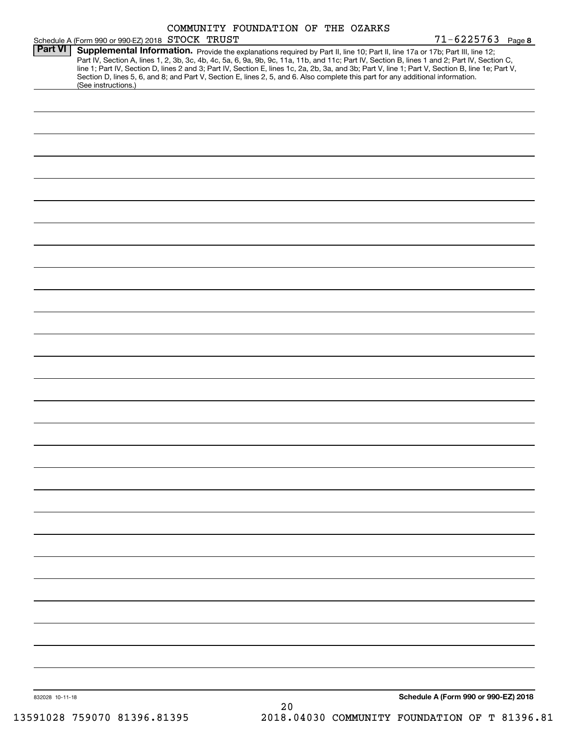| Part VI         | Schedule A (Form 990 or 990-EZ) 2018 STOCK TRUST                                                                                                                                                                                                                              |    |                                               | $71 - 6225763$ Page 8                |
|-----------------|-------------------------------------------------------------------------------------------------------------------------------------------------------------------------------------------------------------------------------------------------------------------------------|----|-----------------------------------------------|--------------------------------------|
|                 | Supplemental Information. Provide the explanations required by Part II, line 10; Part II, line 17a or 17b; Part III, line 12;<br>Part IV, Section A, lines 1, 2, 3b, 3c, 4b, 4c, 5a, 6, 9a, 9b, 9c, 11a, 11b, and 11c; Part IV, Section B, lines 1 and 2; Part IV, Section C, |    |                                               |                                      |
|                 | line 1; Part IV, Section D, lines 2 and 3; Part IV, Section E, lines 1c, 2a, 2b, 3a, and 3b; Part V, line 1; Part V, Section B, line 1e; Part V,                                                                                                                              |    |                                               |                                      |
|                 | Section D, lines 5, 6, and 8; and Part V, Section E, lines 2, 5, and 6. Also complete this part for any additional information.                                                                                                                                               |    |                                               |                                      |
|                 | (See instructions.)                                                                                                                                                                                                                                                           |    |                                               |                                      |
|                 |                                                                                                                                                                                                                                                                               |    |                                               |                                      |
|                 |                                                                                                                                                                                                                                                                               |    |                                               |                                      |
|                 |                                                                                                                                                                                                                                                                               |    |                                               |                                      |
|                 |                                                                                                                                                                                                                                                                               |    |                                               |                                      |
|                 |                                                                                                                                                                                                                                                                               |    |                                               |                                      |
|                 |                                                                                                                                                                                                                                                                               |    |                                               |                                      |
|                 |                                                                                                                                                                                                                                                                               |    |                                               |                                      |
|                 |                                                                                                                                                                                                                                                                               |    |                                               |                                      |
|                 |                                                                                                                                                                                                                                                                               |    |                                               |                                      |
|                 |                                                                                                                                                                                                                                                                               |    |                                               |                                      |
|                 |                                                                                                                                                                                                                                                                               |    |                                               |                                      |
|                 |                                                                                                                                                                                                                                                                               |    |                                               |                                      |
|                 |                                                                                                                                                                                                                                                                               |    |                                               |                                      |
|                 |                                                                                                                                                                                                                                                                               |    |                                               |                                      |
|                 |                                                                                                                                                                                                                                                                               |    |                                               |                                      |
|                 |                                                                                                                                                                                                                                                                               |    |                                               |                                      |
|                 |                                                                                                                                                                                                                                                                               |    |                                               |                                      |
|                 |                                                                                                                                                                                                                                                                               |    |                                               |                                      |
|                 |                                                                                                                                                                                                                                                                               |    |                                               |                                      |
|                 |                                                                                                                                                                                                                                                                               |    |                                               |                                      |
|                 |                                                                                                                                                                                                                                                                               |    |                                               |                                      |
|                 |                                                                                                                                                                                                                                                                               |    |                                               |                                      |
|                 |                                                                                                                                                                                                                                                                               |    |                                               |                                      |
|                 |                                                                                                                                                                                                                                                                               |    |                                               |                                      |
|                 |                                                                                                                                                                                                                                                                               |    |                                               |                                      |
|                 |                                                                                                                                                                                                                                                                               |    |                                               |                                      |
|                 |                                                                                                                                                                                                                                                                               |    |                                               |                                      |
|                 |                                                                                                                                                                                                                                                                               |    |                                               |                                      |
|                 |                                                                                                                                                                                                                                                                               |    |                                               |                                      |
|                 |                                                                                                                                                                                                                                                                               |    |                                               |                                      |
|                 |                                                                                                                                                                                                                                                                               |    |                                               |                                      |
|                 |                                                                                                                                                                                                                                                                               |    |                                               |                                      |
|                 |                                                                                                                                                                                                                                                                               |    |                                               |                                      |
|                 |                                                                                                                                                                                                                                                                               |    |                                               |                                      |
|                 |                                                                                                                                                                                                                                                                               |    |                                               |                                      |
|                 |                                                                                                                                                                                                                                                                               |    |                                               |                                      |
|                 |                                                                                                                                                                                                                                                                               |    |                                               |                                      |
|                 |                                                                                                                                                                                                                                                                               |    |                                               |                                      |
|                 |                                                                                                                                                                                                                                                                               |    |                                               |                                      |
|                 |                                                                                                                                                                                                                                                                               |    |                                               |                                      |
|                 |                                                                                                                                                                                                                                                                               |    |                                               |                                      |
|                 |                                                                                                                                                                                                                                                                               |    |                                               |                                      |
|                 |                                                                                                                                                                                                                                                                               |    |                                               |                                      |
|                 |                                                                                                                                                                                                                                                                               |    |                                               |                                      |
|                 |                                                                                                                                                                                                                                                                               |    |                                               |                                      |
|                 |                                                                                                                                                                                                                                                                               |    |                                               |                                      |
|                 |                                                                                                                                                                                                                                                                               |    |                                               |                                      |
|                 |                                                                                                                                                                                                                                                                               |    |                                               |                                      |
|                 |                                                                                                                                                                                                                                                                               |    |                                               |                                      |
|                 |                                                                                                                                                                                                                                                                               |    |                                               |                                      |
|                 |                                                                                                                                                                                                                                                                               |    |                                               |                                      |
|                 |                                                                                                                                                                                                                                                                               |    |                                               |                                      |
|                 |                                                                                                                                                                                                                                                                               |    |                                               |                                      |
|                 |                                                                                                                                                                                                                                                                               |    |                                               |                                      |
|                 |                                                                                                                                                                                                                                                                               |    |                                               |                                      |
| 832028 10-11-18 |                                                                                                                                                                                                                                                                               |    |                                               | Schedule A (Form 990 or 990-EZ) 2018 |
|                 |                                                                                                                                                                                                                                                                               | 20 |                                               |                                      |
|                 | 13591028 759070 81396.81395                                                                                                                                                                                                                                                   |    | 2018.04030 COMMUNITY FOUNDATION OF T 81396.81 |                                      |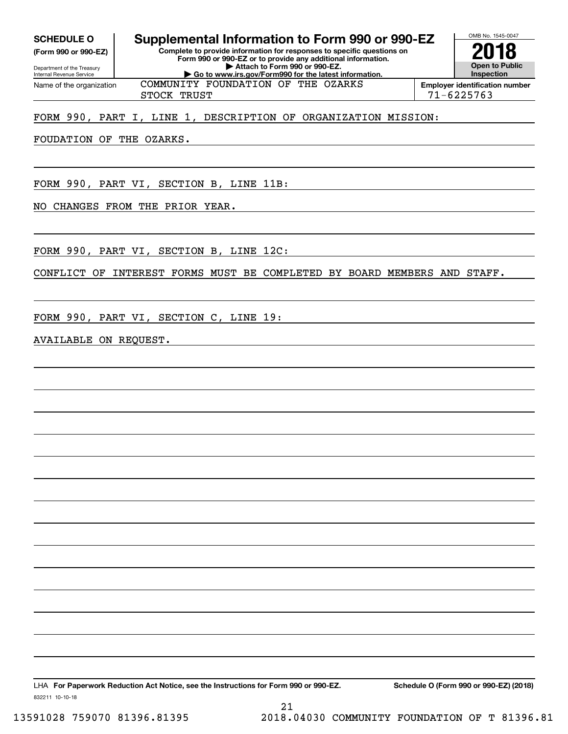**(Form 990 or 990-EZ)**

Department of the Treasury Internal Revenue Service Name of the organization

# **SCHEDULE O Supplemental Information to Form 990 or 990-EZ**

**Complete to provide information for responses to specific questions on Form 990 or 990-EZ or to provide any additional information. | Attach to Form 990 or 990-EZ. | Go to www.irs.gov/Form990 for the latest information.** COMMUNITY FOUNDATION OF THE OZARKS



STOCK TRUST 2008 2009 12:00 12:00 12:00 12:00 12:00 12:00 12:00 12:00 12:00 12:00 12:00 12:00 12:00 12:00 12:0

# FORM 990, PART I, LINE 1, DESCRIPTION OF ORGANIZATION MISSION:

FOUDATION OF THE OZARKS.

FORM 990, PART VI, SECTION B, LINE 11B:

NO CHANGES FROM THE PRIOR YEAR.

FORM 990, PART VI, SECTION B, LINE 12C:

CONFLICT OF INTEREST FORMS MUST BE COMPLETED BY BOARD MEMBERS AND STAFF.

FORM 990, PART VI, SECTION C, LINE 19:

# AVAILABLE ON REQUEST.

LHA For Paperwork Reduction Act Notice, see the Instructions for Form 990 or 990-EZ. Schedule O (Form 990 or 990-EZ) (2018)

832211 10-10-18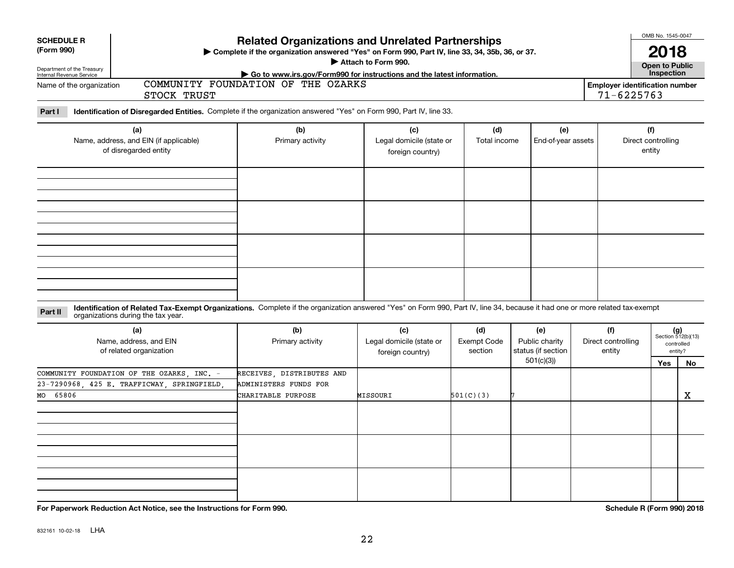| <b>SCHEDULE R</b><br>(Form 990)<br>Department of the Treasury<br>Internal Revenue Service |                                                                                                | <b>Related Organizations and Unrelated Partnerships</b><br>Complete if the organization answered "Yes" on Form 990, Part IV, line 33, 34, 35b, 36, or 37.<br>► Go to www.irs.gov/Form990 for instructions and the latest information. | Attach to Form 990.                                 |                                      |                                                          |                                                         | OMB No. 1545-0047<br>2018<br>Open to Public<br>Inspection |                                                            |
|-------------------------------------------------------------------------------------------|------------------------------------------------------------------------------------------------|---------------------------------------------------------------------------------------------------------------------------------------------------------------------------------------------------------------------------------------|-----------------------------------------------------|--------------------------------------|----------------------------------------------------------|---------------------------------------------------------|-----------------------------------------------------------|------------------------------------------------------------|
| Name of the organization                                                                  | STOCK TRUST                                                                                    | COMMUNITY FOUNDATION OF THE OZARKS                                                                                                                                                                                                    |                                                     |                                      |                                                          | <b>Employer identification number</b><br>$71 - 6225763$ |                                                           |                                                            |
| Part I                                                                                    |                                                                                                | Identification of Disregarded Entities. Complete if the organization answered "Yes" on Form 990, Part IV, line 33.                                                                                                                    |                                                     |                                      |                                                          |                                                         |                                                           |                                                            |
|                                                                                           | (a)<br>Name, address, and EIN (if applicable)<br>of disregarded entity                         | (b)<br>Primary activity                                                                                                                                                                                                               | (c)<br>Legal domicile (state or<br>foreign country) | (d)<br>Total income                  | (e)<br>End-of-year assets                                |                                                         | (f)<br>Direct controlling<br>entity                       |                                                            |
|                                                                                           |                                                                                                |                                                                                                                                                                                                                                       |                                                     |                                      |                                                          |                                                         |                                                           |                                                            |
|                                                                                           |                                                                                                | Identification of Related Tax-Exempt Organizations. Complete if the organization answered "Yes" on Form 990, Part IV, line 34, because it had one or more related tax-exempt                                                          |                                                     |                                      |                                                          |                                                         |                                                           |                                                            |
| Part II                                                                                   | organizations during the tax year.<br>(a)<br>Name, address, and EIN<br>of related organization | (b)<br>Primary activity                                                                                                                                                                                                               | (c)<br>Legal domicile (state or<br>foreign country) | (d)<br><b>Exempt Code</b><br>section | (e)<br>Public charity<br>status (if section<br>501(c)(3) | (f)<br>Direct controlling<br>entity                     | <b>Yes</b>                                                | $(g)$<br>Section 512(b)(13)<br>controlled<br>entity?<br>No |
| 65806<br>MO                                                                               | COMMUNITY FOUNDATION OF THE OZARKS, INC. -<br>23-7290968, 425 E. TRAFFICWAY, SPRINGFIELD       | RECEIVES, DISTRIBUTES AND<br>ADMINISTERS FUNDS FOR<br>CHARITABLE PURPOSE                                                                                                                                                              | MISSOURI                                            | 501(C)(3)                            |                                                          |                                                         |                                                           | х                                                          |
|                                                                                           |                                                                                                |                                                                                                                                                                                                                                       |                                                     |                                      |                                                          |                                                         |                                                           |                                                            |
|                                                                                           | For Paperwork Reduction Act Notice, see the Instructions for Form 990.                         |                                                                                                                                                                                                                                       |                                                     |                                      |                                                          |                                                         | Schedule R (Form 990) 2018                                |                                                            |

832161 10-02-18 LHA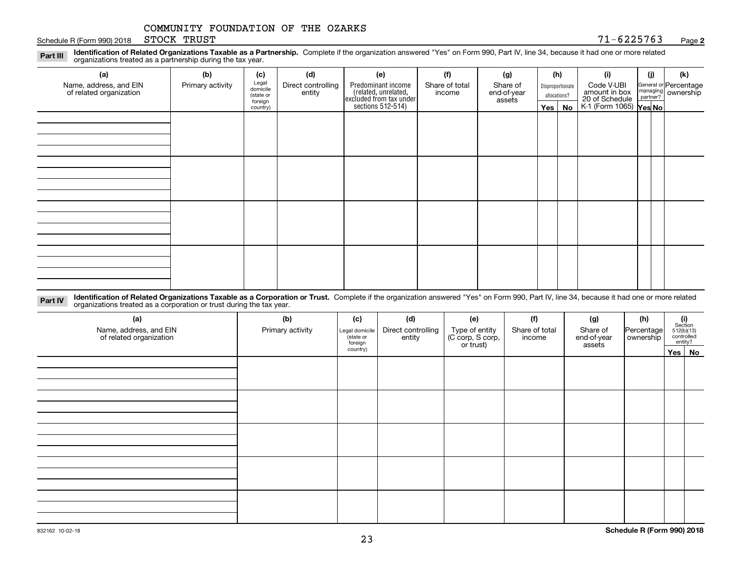Schedule R (Form 990) 2018 STOCK TRUST  $71-6225763$ STOCK TRUST

#### **2**

**Identification of Related Organizations Taxable as a Partnership.** Complete if the organization answered "Yes" on Form 990, Part IV, line 34, because it had one or more related **Part III** organizations treated as a partnership during the tax year.

| $\tilde{\phantom{a}}$                             |                  |                                |                              |                                                                                            |                          |                                   |     |                                  |                                               |     |                                                         |
|---------------------------------------------------|------------------|--------------------------------|------------------------------|--------------------------------------------------------------------------------------------|--------------------------|-----------------------------------|-----|----------------------------------|-----------------------------------------------|-----|---------------------------------------------------------|
| (a)                                               | (b)              | (c)                            | (d)                          | (e)                                                                                        | (f)                      | (g)                               |     | (h)                              | (i)                                           | (i) | (k)                                                     |
| Name, address, and EIN<br>of related organization | Primary activity | Legal<br>domicile<br>(state or | Direct controlling<br>entity | Predominant income<br>(related, unrelated,<br>excluded from tax under<br>sections 512-514) | Share of total<br>income | Share of<br>end-of-year<br>assets |     | Disproportionate<br>allocations? | Code V-UBI<br>amount in box<br>20 of Schedule |     | General or Percentage<br>managing ownership<br>partner? |
|                                                   |                  | foreign<br>country)            |                              |                                                                                            |                          |                                   | Yes | No                               | K-1 (Form 1065) Yes No                        |     |                                                         |
|                                                   |                  |                                |                              |                                                                                            |                          |                                   |     |                                  |                                               |     |                                                         |
|                                                   |                  |                                |                              |                                                                                            |                          |                                   |     |                                  |                                               |     |                                                         |
|                                                   |                  |                                |                              |                                                                                            |                          |                                   |     |                                  |                                               |     |                                                         |
|                                                   |                  |                                |                              |                                                                                            |                          |                                   |     |                                  |                                               |     |                                                         |
|                                                   |                  |                                |                              |                                                                                            |                          |                                   |     |                                  |                                               |     |                                                         |
|                                                   |                  |                                |                              |                                                                                            |                          |                                   |     |                                  |                                               |     |                                                         |
|                                                   |                  |                                |                              |                                                                                            |                          |                                   |     |                                  |                                               |     |                                                         |
|                                                   |                  |                                |                              |                                                                                            |                          |                                   |     |                                  |                                               |     |                                                         |
|                                                   |                  |                                |                              |                                                                                            |                          |                                   |     |                                  |                                               |     |                                                         |
|                                                   |                  |                                |                              |                                                                                            |                          |                                   |     |                                  |                                               |     |                                                         |
|                                                   |                  |                                |                              |                                                                                            |                          |                                   |     |                                  |                                               |     |                                                         |
|                                                   |                  |                                |                              |                                                                                            |                          |                                   |     |                                  |                                               |     |                                                         |
|                                                   |                  |                                |                              |                                                                                            |                          |                                   |     |                                  |                                               |     |                                                         |
|                                                   |                  |                                |                              |                                                                                            |                          |                                   |     |                                  |                                               |     |                                                         |
|                                                   |                  |                                |                              |                                                                                            |                          |                                   |     |                                  |                                               |     |                                                         |
|                                                   |                  |                                |                              |                                                                                            |                          |                                   |     |                                  |                                               |     |                                                         |

**Identification of Related Organizations Taxable as a Corporation or Trust.** Complete if the organization answered "Yes" on Form 990, Part IV, line 34, because it had one or more related **Part IV** organizations treated as a corporation or trust during the tax year.

| (a)<br>Name, address, and EIN<br>of related organization | (b)<br>Primary activity | (c)<br>Legal domicile<br>(state or<br>foreign | (d)<br>Direct controlling<br>entity | (e)<br>Type of entity<br>(C corp, S corp,<br>or trust) | (f)<br>Share of total<br>income | (g)<br>Share of<br>end-of-year<br>assets | (h)<br>Percentage<br>ownership | $\begin{array}{c} \textbf{(i)}\\ \text{Section}\\ 512 \text{(b)} \text{(13)}\\ \text{controlled}\\ \text{entity?} \end{array}$ |  |
|----------------------------------------------------------|-------------------------|-----------------------------------------------|-------------------------------------|--------------------------------------------------------|---------------------------------|------------------------------------------|--------------------------------|--------------------------------------------------------------------------------------------------------------------------------|--|
|                                                          |                         | country)                                      |                                     |                                                        |                                 |                                          |                                | Yes No                                                                                                                         |  |
|                                                          |                         |                                               |                                     |                                                        |                                 |                                          |                                |                                                                                                                                |  |
|                                                          |                         |                                               |                                     |                                                        |                                 |                                          |                                |                                                                                                                                |  |
|                                                          |                         |                                               |                                     |                                                        |                                 |                                          |                                |                                                                                                                                |  |
|                                                          |                         |                                               |                                     |                                                        |                                 |                                          |                                |                                                                                                                                |  |
|                                                          |                         |                                               |                                     |                                                        |                                 |                                          |                                |                                                                                                                                |  |
|                                                          |                         |                                               |                                     |                                                        |                                 |                                          |                                |                                                                                                                                |  |
|                                                          |                         |                                               |                                     |                                                        |                                 |                                          |                                |                                                                                                                                |  |
|                                                          |                         |                                               |                                     |                                                        |                                 |                                          |                                |                                                                                                                                |  |
|                                                          |                         |                                               |                                     |                                                        |                                 |                                          |                                |                                                                                                                                |  |
|                                                          |                         |                                               |                                     |                                                        |                                 |                                          |                                |                                                                                                                                |  |
|                                                          |                         |                                               |                                     |                                                        |                                 |                                          |                                |                                                                                                                                |  |
|                                                          |                         |                                               |                                     |                                                        |                                 |                                          |                                |                                                                                                                                |  |
|                                                          |                         |                                               |                                     |                                                        |                                 |                                          |                                |                                                                                                                                |  |
|                                                          |                         |                                               |                                     |                                                        |                                 |                                          |                                |                                                                                                                                |  |
|                                                          |                         |                                               |                                     |                                                        |                                 |                                          |                                |                                                                                                                                |  |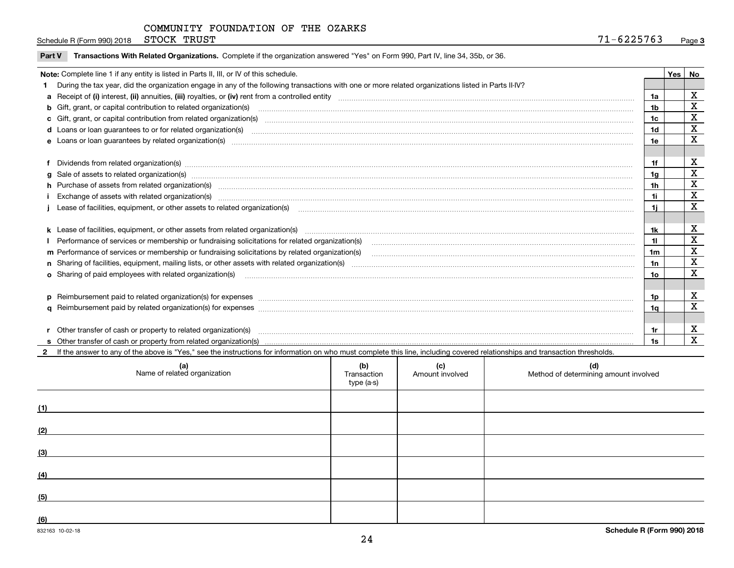Schedule R (Form 990) 2018 STOCK TRUST  $71-6225763$ STOCK TRUST

|  | Part V Transactions With Related Organizations. Complete if the organization answered "Yes" on Form 990, Part IV, line 34, 35b, or 36. |  |  |
|--|----------------------------------------------------------------------------------------------------------------------------------------|--|--|
|--|----------------------------------------------------------------------------------------------------------------------------------------|--|--|

| Note: Complete line 1 if any entity is listed in Parts II, III, or IV of this schedule.                                                                                                                                        |                | Yes | No |
|--------------------------------------------------------------------------------------------------------------------------------------------------------------------------------------------------------------------------------|----------------|-----|----|
| During the tax year, did the organization engage in any of the following transactions with one or more related organizations listed in Parts II-IV?                                                                            |                |     |    |
|                                                                                                                                                                                                                                | 1a             |     | X  |
| b Gift, grant, or capital contribution to related organization(s) manufaction contracts and contribution to related organization(s) manufaction contribution to related organization(s)                                        | 1 <sub>b</sub> |     | X  |
| c Gift, grant, or capital contribution from related organization(s) manufaction(s) and contribution from related organization(s) manufaction contribution from related organization(s) manufaction contribution from related o | 1c             |     | X  |
|                                                                                                                                                                                                                                | 1d             |     | X  |
|                                                                                                                                                                                                                                | 1e             |     | X  |
| e Loans or loan guarantees by related organization(s) encourance contains and contained a contained a contact the control of the control of the control of the control of the control of the control of the control of the con |                |     |    |
|                                                                                                                                                                                                                                |                |     | X  |
| Dividends from related organization(s) manufactured and contract and contract and contract and contract and contract and contract and contract and contract and contract and contract and contract and contract and contract a | 1f             |     | X  |
| g Sale of assets to related organization(s) material contents and content and content of the set of assets to related organization(s)                                                                                          | 1 <sub>q</sub> |     |    |
| h Purchase of assets from related organization(s) manufactured content to content the content of the content of the content of the content of the content of the content of the content of the content of the content of the c | 1 <sub>h</sub> |     | X  |
|                                                                                                                                                                                                                                | 1i             |     | X  |
| Lease of facilities, equipment, or other assets to related organization(s) manufactured content and content and content and content and content and content and content and content and content and content and content and co | 1i.            |     | X  |
|                                                                                                                                                                                                                                |                |     |    |
|                                                                                                                                                                                                                                | 1k             |     | X  |
|                                                                                                                                                                                                                                | 11             |     | X  |
|                                                                                                                                                                                                                                | 1 <sub>m</sub> |     | X  |
|                                                                                                                                                                                                                                | 1n             |     | X  |
|                                                                                                                                                                                                                                | 1o             |     | X  |
|                                                                                                                                                                                                                                |                |     |    |
| p Reimbursement paid to related organization(s) for expenses [1111] and the content of the content of the content of the content of the content of the content of the content of the content of the content of the content of  | 1p             |     | X  |
|                                                                                                                                                                                                                                | 1a             |     | X  |
|                                                                                                                                                                                                                                |                |     |    |
| r Other transfer of cash or property to related organization(s)                                                                                                                                                                | 1r             |     | X  |
|                                                                                                                                                                                                                                |                |     | X  |

**2**If the answer to any of the above is "Yes," see the instructions for information on who must complete this line, including covered relationships and transaction thresholds.

| (a)<br>Name of related organization | (b)<br>Transaction<br>type (a-s) | (c)<br>Amount involved | (d)<br>Method of determining amount involved |
|-------------------------------------|----------------------------------|------------------------|----------------------------------------------|
| (1)                                 |                                  |                        |                                              |
| (2)                                 |                                  |                        |                                              |
| (3)                                 |                                  |                        |                                              |
| (4)                                 |                                  |                        |                                              |
| (5)                                 |                                  |                        |                                              |
| (6)                                 |                                  |                        |                                              |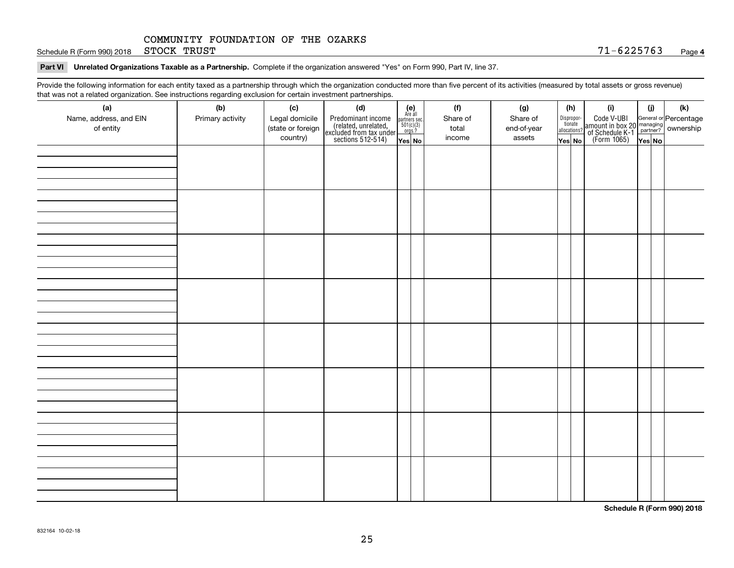Schedule R (Form 990) 2018 STOCK TRUST  $71-6225763$ STOCK TRUST

**Part VI Unrelated Organizations Taxable as a Partnership. Complete if the organization answered "Yes" on Form 990, Part IV, line 37.** 

Provide the following information for each entity taxed as a partnership through which the organization conducted more than five percent of its activities (measured by total assets or gross revenue) that was not a related organization. See instructions regarding exclusion for certain investment partnerships.

| that was not a related erganization. See includitions regarding excludion for contain investment partnereinper<br>(a) | (b)              | (c)               | (d)                                                                                        |                                                                                                                   | (f)      | (g)         | (h)                              | (i)                                                                                                    | (i)    | $(\mathsf{k})$ |
|-----------------------------------------------------------------------------------------------------------------------|------------------|-------------------|--------------------------------------------------------------------------------------------|-------------------------------------------------------------------------------------------------------------------|----------|-------------|----------------------------------|--------------------------------------------------------------------------------------------------------|--------|----------------|
| Name, address, and EIN                                                                                                | Primary activity | Legal domicile    |                                                                                            | $\begin{array}{c} \textbf{(e)}\\ \text{Are all} \\ \text{partners sec.}\\ 501(c)(3) \\ \text{orgs.?} \end{array}$ | Share of | Share of    |                                  |                                                                                                        |        |                |
| of entity                                                                                                             |                  | (state or foreign |                                                                                            |                                                                                                                   | total    | end-of-year | Disproportionate<br>allocations? |                                                                                                        |        |                |
|                                                                                                                       |                  | country)          | Predominant income<br>(related, unrelated,<br>excluded from tax under<br>sections 512-514) | Yes No                                                                                                            | income   | assets      | Yes No                           | Code V-UBI<br>amount in box 20 managing<br>of Schedule K-1 partner? ownership<br>(Form 1065)<br>ves No | Yes No |                |
|                                                                                                                       |                  |                   |                                                                                            |                                                                                                                   |          |             |                                  |                                                                                                        |        |                |
|                                                                                                                       |                  |                   |                                                                                            |                                                                                                                   |          |             |                                  |                                                                                                        |        |                |
|                                                                                                                       |                  |                   |                                                                                            |                                                                                                                   |          |             |                                  |                                                                                                        |        |                |
|                                                                                                                       |                  |                   |                                                                                            |                                                                                                                   |          |             |                                  |                                                                                                        |        |                |
|                                                                                                                       |                  |                   |                                                                                            |                                                                                                                   |          |             |                                  |                                                                                                        |        |                |
|                                                                                                                       |                  |                   |                                                                                            |                                                                                                                   |          |             |                                  |                                                                                                        |        |                |
|                                                                                                                       |                  |                   |                                                                                            |                                                                                                                   |          |             |                                  |                                                                                                        |        |                |
|                                                                                                                       |                  |                   |                                                                                            |                                                                                                                   |          |             |                                  |                                                                                                        |        |                |
|                                                                                                                       |                  |                   |                                                                                            |                                                                                                                   |          |             |                                  |                                                                                                        |        |                |
|                                                                                                                       |                  |                   |                                                                                            |                                                                                                                   |          |             |                                  |                                                                                                        |        |                |
|                                                                                                                       |                  |                   |                                                                                            |                                                                                                                   |          |             |                                  |                                                                                                        |        |                |
|                                                                                                                       |                  |                   |                                                                                            |                                                                                                                   |          |             |                                  |                                                                                                        |        |                |
|                                                                                                                       |                  |                   |                                                                                            |                                                                                                                   |          |             |                                  |                                                                                                        |        |                |
|                                                                                                                       |                  |                   |                                                                                            |                                                                                                                   |          |             |                                  |                                                                                                        |        |                |
|                                                                                                                       |                  |                   |                                                                                            |                                                                                                                   |          |             |                                  |                                                                                                        |        |                |
|                                                                                                                       |                  |                   |                                                                                            |                                                                                                                   |          |             |                                  |                                                                                                        |        |                |
|                                                                                                                       |                  |                   |                                                                                            |                                                                                                                   |          |             |                                  |                                                                                                        |        |                |
|                                                                                                                       |                  |                   |                                                                                            |                                                                                                                   |          |             |                                  |                                                                                                        |        |                |
|                                                                                                                       |                  |                   |                                                                                            |                                                                                                                   |          |             |                                  |                                                                                                        |        |                |
|                                                                                                                       |                  |                   |                                                                                            |                                                                                                                   |          |             |                                  |                                                                                                        |        |                |
|                                                                                                                       |                  |                   |                                                                                            |                                                                                                                   |          |             |                                  |                                                                                                        |        |                |
|                                                                                                                       |                  |                   |                                                                                            |                                                                                                                   |          |             |                                  |                                                                                                        |        |                |
|                                                                                                                       |                  |                   |                                                                                            |                                                                                                                   |          |             |                                  |                                                                                                        |        |                |
|                                                                                                                       |                  |                   |                                                                                            |                                                                                                                   |          |             |                                  |                                                                                                        |        |                |
|                                                                                                                       |                  |                   |                                                                                            |                                                                                                                   |          |             |                                  |                                                                                                        |        |                |
|                                                                                                                       |                  |                   |                                                                                            |                                                                                                                   |          |             |                                  |                                                                                                        |        |                |
|                                                                                                                       |                  |                   |                                                                                            |                                                                                                                   |          |             |                                  |                                                                                                        |        |                |
|                                                                                                                       |                  |                   |                                                                                            |                                                                                                                   |          |             |                                  |                                                                                                        |        |                |
|                                                                                                                       |                  |                   |                                                                                            |                                                                                                                   |          |             |                                  |                                                                                                        |        |                |
|                                                                                                                       |                  |                   |                                                                                            |                                                                                                                   |          |             |                                  |                                                                                                        |        |                |
|                                                                                                                       |                  |                   |                                                                                            |                                                                                                                   |          |             |                                  |                                                                                                        |        |                |
|                                                                                                                       |                  |                   |                                                                                            |                                                                                                                   |          |             |                                  |                                                                                                        |        |                |
|                                                                                                                       |                  |                   |                                                                                            |                                                                                                                   |          |             |                                  |                                                                                                        |        |                |

**Schedule R (Form 990) 2018**